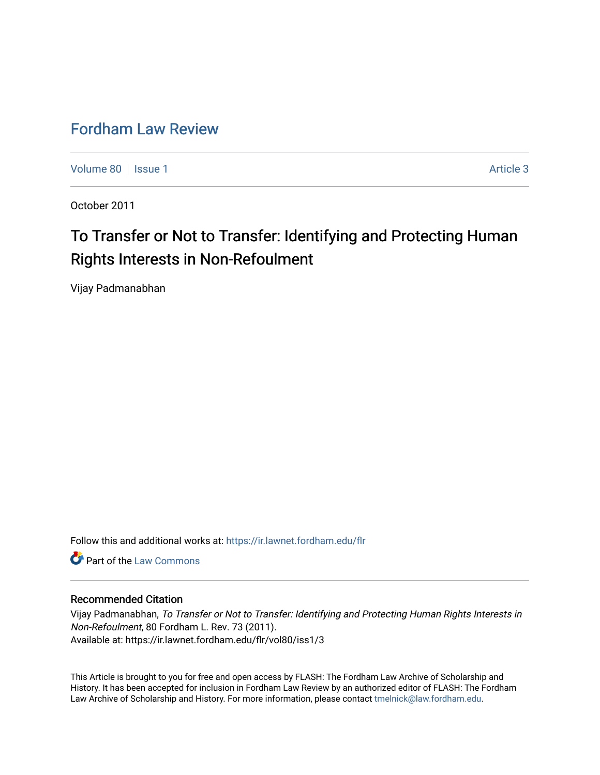# [Fordham Law Review](https://ir.lawnet.fordham.edu/flr)

[Volume 80](https://ir.lawnet.fordham.edu/flr/vol80) | [Issue 1](https://ir.lawnet.fordham.edu/flr/vol80/iss1) Article 3

October 2011

# To Transfer or Not to Transfer: Identifying and Protecting Human Rights Interests in Non-Refoulment

Vijay Padmanabhan

Follow this and additional works at: [https://ir.lawnet.fordham.edu/flr](https://ir.lawnet.fordham.edu/flr?utm_source=ir.lawnet.fordham.edu%2Fflr%2Fvol80%2Fiss1%2F3&utm_medium=PDF&utm_campaign=PDFCoverPages)

**C** Part of the [Law Commons](http://network.bepress.com/hgg/discipline/578?utm_source=ir.lawnet.fordham.edu%2Fflr%2Fvol80%2Fiss1%2F3&utm_medium=PDF&utm_campaign=PDFCoverPages)

# Recommended Citation

Vijay Padmanabhan, To Transfer or Not to Transfer: Identifying and Protecting Human Rights Interests in Non-Refoulment, 80 Fordham L. Rev. 73 (2011). Available at: https://ir.lawnet.fordham.edu/flr/vol80/iss1/3

This Article is brought to you for free and open access by FLASH: The Fordham Law Archive of Scholarship and History. It has been accepted for inclusion in Fordham Law Review by an authorized editor of FLASH: The Fordham Law Archive of Scholarship and History. For more information, please contact [tmelnick@law.fordham.edu](mailto:tmelnick@law.fordham.edu).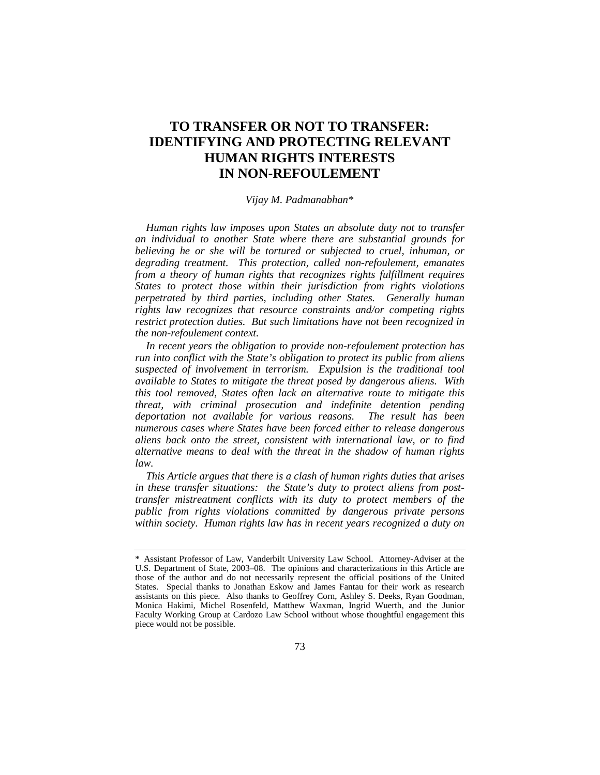# **TO TRANSFER OR NOT TO TRANSFER: IDENTIFYING AND PROTECTING RELEVANT HUMAN RIGHTS INTERESTS IN NON-REFOULEMENT**

## *Vijay M. Padmanabhan*[\\*](#page-1-0)

*Human rights law imposes upon States an absolute duty not to transfer an individual to another State where there are substantial grounds for believing he or she will be tortured or subjected to cruel, inhuman, or degrading treatment. This protection, called non-refoulement, emanates from a theory of human rights that recognizes rights fulfillment requires States to protect those within their jurisdiction from rights violations perpetrated by third parties, including other States. Generally human rights law recognizes that resource constraints and/or competing rights restrict protection duties. But such limitations have not been recognized in the non-refoulement context.*

*In recent years the obligation to provide non-refoulement protection has run into conflict with the State's obligation to protect its public from aliens suspected of involvement in terrorism. Expulsion is the traditional tool available to States to mitigate the threat posed by dangerous aliens. With this tool removed, States often lack an alternative route to mitigate this threat, with criminal prosecution and indefinite detention pending deportation not available for various reasons. The result has been numerous cases where States have been forced either to release dangerous aliens back onto the street, consistent with international law, or to find alternative means to deal with the threat in the shadow of human rights law.*

*This Article argues that there is a clash of human rights duties that arises in these transfer situations: the State's duty to protect aliens from posttransfer mistreatment conflicts with its duty to protect members of the public from rights violations committed by dangerous private persons within society. Human rights law has in recent years recognized a duty on* 

<span id="page-1-0"></span><sup>\*</sup> Assistant Professor of Law, Vanderbilt University Law School. Attorney-Adviser at the U.S. Department of State, 2003–08. The opinions and characterizations in this Article are those of the author and do not necessarily represent the official positions of the United States. Special thanks to Jonathan Eskow and James Fantau for their work as research assistants on this piece. Also thanks to Geoffrey Corn, Ashley S. Deeks, Ryan Goodman, Monica Hakimi, Michel Rosenfeld, Matthew Waxman, Ingrid Wuerth, and the Junior Faculty Working Group at Cardozo Law School without whose thoughtful engagement this piece would not be possible.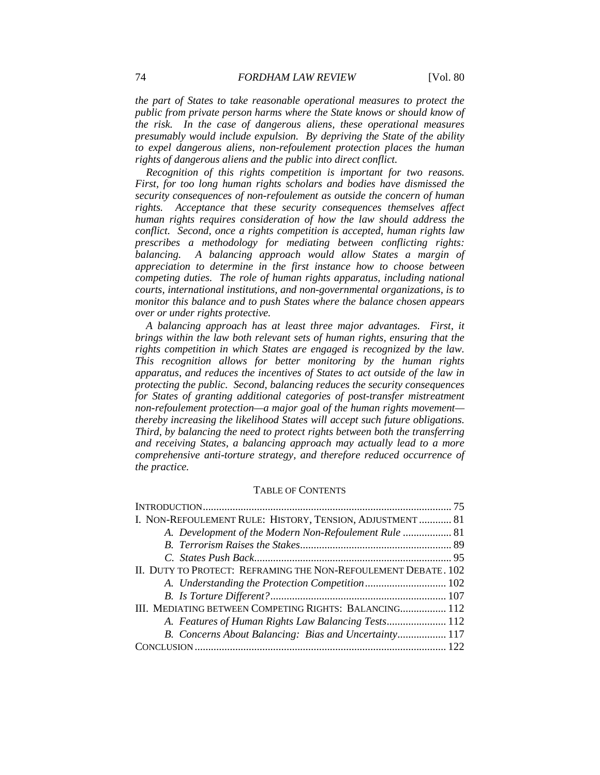*the part of States to take reasonable operational measures to protect the public from private person harms where the State knows or should know of the risk. In the case of dangerous aliens, these operational measures presumably would include expulsion. By depriving the State of the ability to expel dangerous aliens, non-refoulement protection places the human rights of dangerous aliens and the public into direct conflict.*

*Recognition of this rights competition is important for two reasons. First, for too long human rights scholars and bodies have dismissed the security consequences of non-refoulement as outside the concern of human rights. Acceptance that these security consequences themselves affect human rights requires consideration of how the law should address the conflict. Second, once a rights competition is accepted, human rights law prescribes a methodology for mediating between conflicting rights: balancing. A balancing approach would allow States a margin of appreciation to determine in the first instance how to choose between competing duties. The role of human rights apparatus, including national courts, international institutions, and non-governmental organizations, is to monitor this balance and to push States where the balance chosen appears over or under rights protective.*

*A balancing approach has at least three major advantages. First, it brings within the law both relevant sets of human rights, ensuring that the rights competition in which States are engaged is recognized by the law. This recognition allows for better monitoring by the human rights apparatus, and reduces the incentives of States to act outside of the law in protecting the public. Second, balancing reduces the security consequences*  for States of granting additional categories of post-transfer mistreatment *non-refoulement protection—a major goal of the human rights movement thereby increasing the likelihood States will accept such future obligations. Third, by balancing the need to protect rights between both the transferring and receiving States, a balancing approach may actually lead to a more comprehensive anti-torture strategy, and therefore reduced occurrence of the practice.*

#### TABLE OF CONTENTS

| I. NON-REFOULEMENT RULE: HISTORY, TENSION, ADJUSTMENT  81      |  |
|----------------------------------------------------------------|--|
| A. Development of the Modern Non-Refoulement Rule  81          |  |
|                                                                |  |
|                                                                |  |
| II. DUTY TO PROTECT: REFRAMING THE NON-REFOULEMENT DEBATE. 102 |  |
|                                                                |  |
|                                                                |  |
| III. MEDIATING BETWEEN COMPETING RIGHTS: BALANCING 112         |  |
|                                                                |  |
| B. Concerns About Balancing: Bias and Uncertainty 117          |  |
|                                                                |  |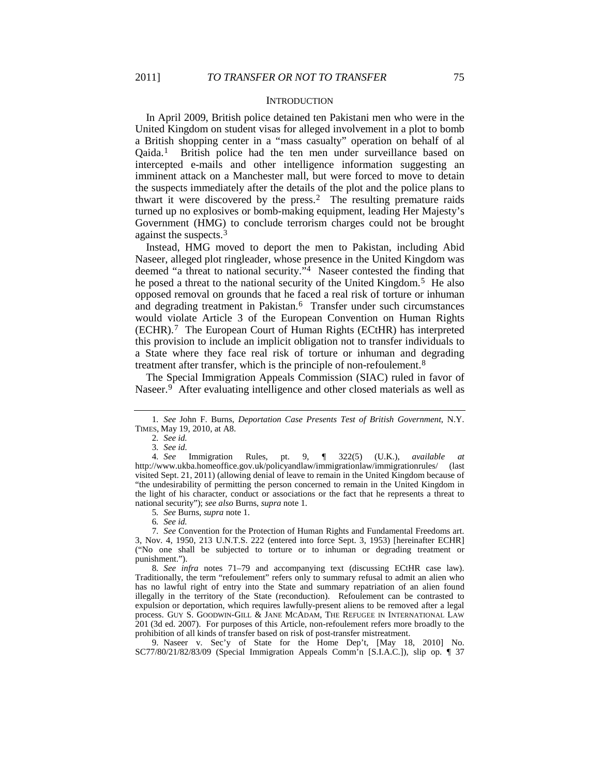#### **INTRODUCTION**

<span id="page-3-0"></span>In April 2009, British police detained ten Pakistani men who were in the United Kingdom on student visas for alleged involvement in a plot to bomb a British shopping center in a "mass casualty" operation on behalf of al Qaida.[1](#page-3-1) British police had the ten men under surveillance based on intercepted e-mails and other intelligence information suggesting an imminent attack on a Manchester mall, but were forced to move to detain the suspects immediately after the details of the plot and the police plans to thwart it were discovered by the press.[2](#page-3-2) The resulting premature raids turned up no explosives or bomb-making equipment, leading Her Majesty's Government (HMG) to conclude terrorism charges could not be brought against the suspects.[3](#page-3-3)

Instead, HMG moved to deport the men to Pakistan, including Abid Naseer, alleged plot ringleader, whose presence in the United Kingdom was deemed "a threat to national security."[4](#page-3-4) Naseer contested the finding that he posed a threat to the national security of the United Kingdom.<sup>5</sup> He also opposed removal on grounds that he faced a real risk of torture or inhuman and degrading treatment in Pakistan.<sup>6</sup> Transfer under such circumstances would violate Article 3 of the European Convention on Human Rights (ECHR).[7](#page-3-7) The European Court of Human Rights (ECtHR) has interpreted this provision to include an implicit obligation not to transfer individuals to a State where they face real risk of torture or inhuman and degrading treatment after transfer, which is the principle of non-refoulement.[8](#page-3-8)

<span id="page-3-12"></span><span id="page-3-11"></span>The Special Immigration Appeals Commission (SIAC) ruled in favor of Naseer.<sup>[9](#page-3-9)</sup> After evaluating intelligence and other closed materials as well as

5*. See* Burns, *supra* note 1.

6*. See id.*

<span id="page-3-8"></span>8*. See infra* notes [71](#page-13-0)[–79](#page-14-0) and accompanying text (discussing ECtHR case law). Traditionally, the term "refoulement" refers only to summary refusal to admit an alien who has no lawful right of entry into the State and summary repatriation of an alien found illegally in the territory of the State (reconduction). Refoulement can be contrasted to expulsion or deportation, which requires lawfully-present aliens to be removed after a legal process. GUY S. GOODWIN-GILL & JANE MCADAM, THE REFUGEE IN INTERNATIONAL LAW 201 (3d ed. 2007). For purposes of this Article, non-refoulement refers more broadly to the prohibition of all kinds of transfer based on risk of post-transfer mistreatment.

<span id="page-3-9"></span>9. Naseer v. Sec'y of State for the Home Dep't, [May 18, 2010] No. SC77/80/21/82/83/09 (Special Immigration Appeals Comm'n [S.I.A.C.]), slip op. ¶ 37

<span id="page-3-1"></span><sup>1</sup>*. See* John F. Burns, *Deportation Case Presents Test of British Government*, N.Y. TIMES, May 19, 2010, at A8.

<span id="page-3-10"></span><sup>2</sup>*. See id.*

<span id="page-3-4"></span><span id="page-3-3"></span><span id="page-3-2"></span><sup>3</sup>*. See id.* 4*. See* Immigration Rules, pt. 9, ¶ 322(5) (U.K.), *available at* http://www.ukba.homeoffice.gov.uk/policyandlaw/immigrationlaw/immigrationrules/ (last visited Sept. 21, 2011) (allowing denial of leave to remain in the United Kingdom because of "the undesirability of permitting the person concerned to remain in the United Kingdom in the light of his character, conduct or associations or the fact that he represents a threat to national security"); *see also* Burns, *supra* note [1.](#page-3-0)

<span id="page-3-7"></span><span id="page-3-6"></span><span id="page-3-5"></span><sup>7</sup>*. See* Convention for the Protection of Human Rights and Fundamental Freedoms art. 3, Nov. 4, 1950, 213 U.N.T.S. 222 (entered into force Sept. 3, 1953) [hereinafter ECHR] ("No one shall be subjected to torture or to inhuman or degrading treatment or punishment.").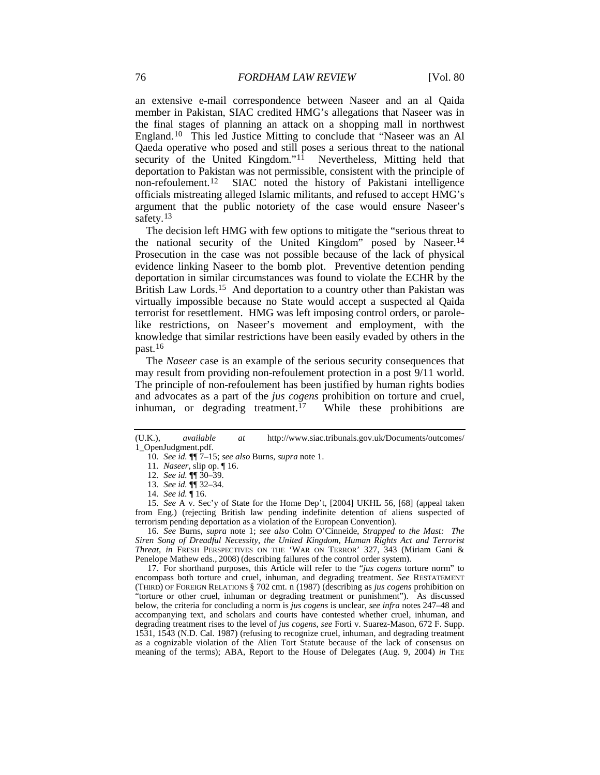an extensive e-mail correspondence between Naseer and an al Qaida member in Pakistan, SIAC credited HMG's allegations that Naseer was in the final stages of planning an attack on a shopping mall in northwest England.[10](#page-4-0) This led Justice Mitting to conclude that "Naseer was an Al Qaeda operative who posed and still poses a serious threat to the national security of the United Kingdom."<sup>[11](#page-4-1)</sup> Nevertheless, Mitting held that deportation to Pakistan was not permissible, consistent with the principle of non-refoulement.<sup>12</sup> SIAC noted the history of Pakistani intelligence SIAC noted the history of Pakistani intelligence officials mistreating alleged Islamic militants, and refused to accept HMG's argument that the public notoriety of the case would ensure Naseer's safety.<sup>[13](#page-4-3)</sup>

The decision left HMG with few options to mitigate the "serious threat to the national security of the United Kingdom" posed by Naseer.[14](#page-4-4) Prosecution in the case was not possible because of the lack of physical evidence linking Naseer to the bomb plot. Preventive detention pending deportation in similar circumstances was found to violate the ECHR by the British Law Lords.<sup>15</sup> And deportation to a country other than Pakistan was virtually impossible because no State would accept a suspected al Qaida terrorist for resettlement. HMG was left imposing control orders, or parolelike restrictions, on Naseer's movement and employment, with the knowledge that similar restrictions have been easily evaded by others in the past.[16](#page-4-6)

<span id="page-4-8"></span>The *Naseer* case is an example of the serious security consequences that may result from providing non-refoulement protection in a post 9/11 world. The principle of non-refoulement has been justified by human rights bodies and advocates as a part of the *jus cogens* prohibition on torture and cruel, inhuman, or degrading treatment.<sup>17</sup> While these prohibitions are

<span id="page-4-5"></span><span id="page-4-4"></span><span id="page-4-3"></span><span id="page-4-2"></span>15*. See* A v. Sec'y of State for the Home Dep't, [2004] UKHL 56, [68] (appeal taken from Eng.) (rejecting British law pending indefinite detention of aliens suspected of terrorism pending deportation as a violation of the European Convention).

<span id="page-4-6"></span>16*. See* Burns, *supra* note [1;](#page-3-0) *see also* Colm O'Cinneide, *Strapped to the Mast: The Siren Song of Dreadful Necessity, the United Kingdom, Human Rights Act and Terrorist Threat*, *in* FRESH PERSPECTIVES ON THE 'WAR ON TERROR' 327, 343 (Miriam Gani & Penelope Mathew eds., 2008) (describing failures of the control order system).

<span id="page-4-7"></span>17. For shorthand purposes, this Article will refer to the "*jus cogens* torture norm" to encompass both torture and cruel, inhuman, and degrading treatment. *See* RESTATEMENT (THIRD) OF FOREIGN RELATIONS § 702 cmt. n (1987) (describing as *jus cogens* prohibition on "torture or other cruel, inhuman or degrading treatment or punishment"). As discussed below, the criteria for concluding a norm is *jus cogens* is unclear, *see infra* note[s 247–](#page-36-0)48 and accompanying text, and scholars and courts have contested whether cruel, inhuman, and degrading treatment rises to the level of *jus cogens*, *see* Forti v. Suarez-Mason, 672 F. Supp. 1531, 1543 (N.D. Cal. 1987) (refusing to recognize cruel, inhuman, and degrading treatment as a cognizable violation of the Alien Tort Statute because of the lack of consensus on meaning of the terms); ABA, Report to the House of Delegates (Aug. 9, 2004) *in* THE

<span id="page-4-1"></span><span id="page-4-0"></span><sup>(</sup>U.K.), *available at* http://www.siac.tribunals.gov.uk/Documents/outcomes/ 1\_OpenJudgment.pdf.

<span id="page-4-9"></span><sup>10</sup>*. See id.* ¶¶ 7–15; *see also* Burns, *supra* note [1.](#page-3-0)

<sup>11</sup>*. Naseer*, slip op. ¶ 16.

<sup>12</sup>*. See id.* ¶¶ 30–39.

<sup>13</sup>*. See id.* ¶¶ 32–34.

<sup>14</sup>*. See id.* ¶ 16.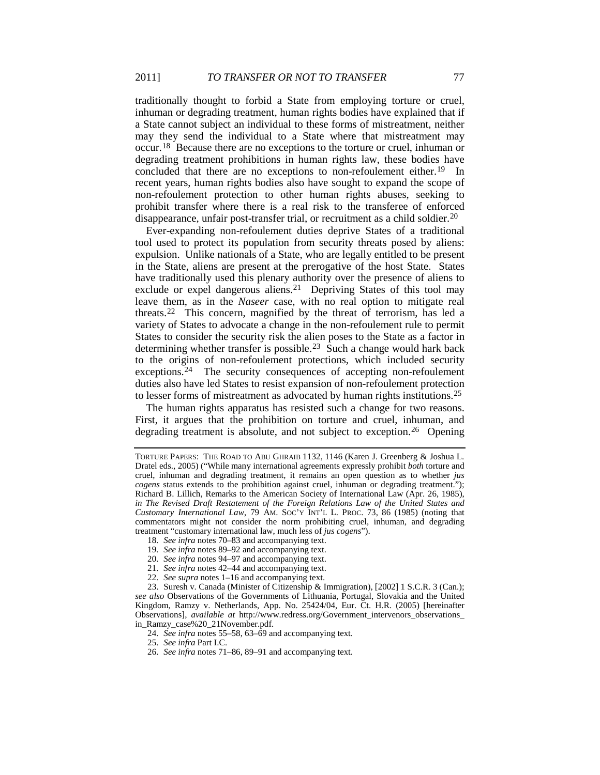traditionally thought to forbid a State from employing torture or cruel, inhuman or degrading treatment, human rights bodies have explained that if a State cannot subject an individual to these forms of mistreatment, neither may they send the individual to a State where that mistreatment may occur.[18](#page-5-0) Because there are no exceptions to the torture or cruel, inhuman or degrading treatment prohibitions in human rights law, these bodies have concluded that there are no exceptions to non-refoulement either.<sup>[19](#page-5-1)</sup> In recent years, human rights bodies also have sought to expand the scope of non-refoulement protection to other human rights abuses, seeking to prohibit transfer where there is a real risk to the transferee of enforced disappearance, unfair post-transfer trial, or recruitment as a child soldier.<sup>20</sup>

Ever-expanding non-refoulement duties deprive States of a traditional tool used to protect its population from security threats posed by aliens: expulsion. Unlike nationals of a State, who are legally entitled to be present in the State, aliens are present at the prerogative of the host State. States have traditionally used this plenary authority over the presence of aliens to exclude or expel dangerous aliens.[21](#page-5-3) Depriving States of this tool may leave them, as in the *Naseer* case, with no real option to mitigate real threats.[22](#page-5-4) This concern, magnified by the threat of terrorism, has led a variety of States to advocate a change in the non-refoulement rule to permit States to consider the security risk the alien poses to the State as a factor in determining whether transfer is possible.<sup>[23](#page-5-5)</sup> Such a change would hark back to the origins of non-refoulement protections, which included security exceptions.<sup>[24](#page-5-6)</sup> The security consequences of accepting non-refoulement duties also have led States to resist expansion of non-refoulement protection to lesser forms of mistreatment as advocated by human rights institutions.[25](#page-5-7)

<span id="page-5-9"></span>The human rights apparatus has resisted such a change for two reasons. First, it argues that the prohibition on torture and cruel, inhuman, and degrading treatment is absolute, and not subject to exception.<sup>[26](#page-5-8)</sup> Opening

TORTURE PAPERS: THE ROAD TO ABU GHRAIB 1132, 1146 (Karen J. Greenberg & Joshua L. Dratel eds., 2005) ("While many international agreements expressly prohibit *both* torture and cruel, inhuman and degrading treatment, it remains an open question as to whether *jus cogens* status extends to the prohibition against cruel, inhuman or degrading treatment."); Richard B. Lillich, Remarks to the American Society of International Law (Apr. 26, 1985), *in The Revised Draft Restatement of the Foreign Relations Law of the United States and Customary International Law*, 79 AM. SOC'Y INT'L L. PROC. 73, 86 (1985) (noting that commentators might not consider the norm prohibiting cruel, inhuman, and degrading treatment "customary international law, much less of *jus cogens*").

<sup>18</sup>*. See infra* note[s 70](#page-13-1)[–83](#page-14-1) and accompanying text.

<sup>19</sup>*. See infra* note[s 89](#page-15-0)[–92](#page-15-1) and accompanying text.

<sup>20</sup>*. See infra* note[s 94](#page-16-0)[–97](#page-16-1) and accompanying text.

<sup>21</sup>*. See infra* note[s 42](#page-9-0)[–44](#page-9-1) and accompanying text.

<sup>22</sup>*. See supra* note[s 1](#page-3-0)[–16](#page-4-8) and accompanying text.

<span id="page-5-7"></span><span id="page-5-6"></span><span id="page-5-5"></span><span id="page-5-4"></span><span id="page-5-3"></span><span id="page-5-2"></span><span id="page-5-1"></span><span id="page-5-0"></span><sup>23.</sup> Suresh v. Canada (Minister of Citizenship & Immigration), [2002] 1 S.C.R. 3 (Can.); *see also* Observations of the Governments of Lithuania, Portugal, Slovakia and the United Kingdom, Ramzy v. Netherlands, App. No. 25424/04, Eur. Ct. H.R. (2005) [hereinafter Observations], *available at* http://www.redress.org/Government\_intervenors\_observations\_ in\_Ramzy\_case%20\_21November.pdf.

<sup>24</sup>*. See infra* note[s 55](#page-11-0)[–58,](#page-11-1) [63](#page-12-0)[–69](#page-12-1) and accompanying text.

<sup>25</sup>*. See infra* Part I.C.

<span id="page-5-8"></span><sup>26</sup>*. See infra* note[s 71](#page-13-0)[–86,](#page-15-2) [89](#page-15-0)[–91](#page-15-3) and accompanying text.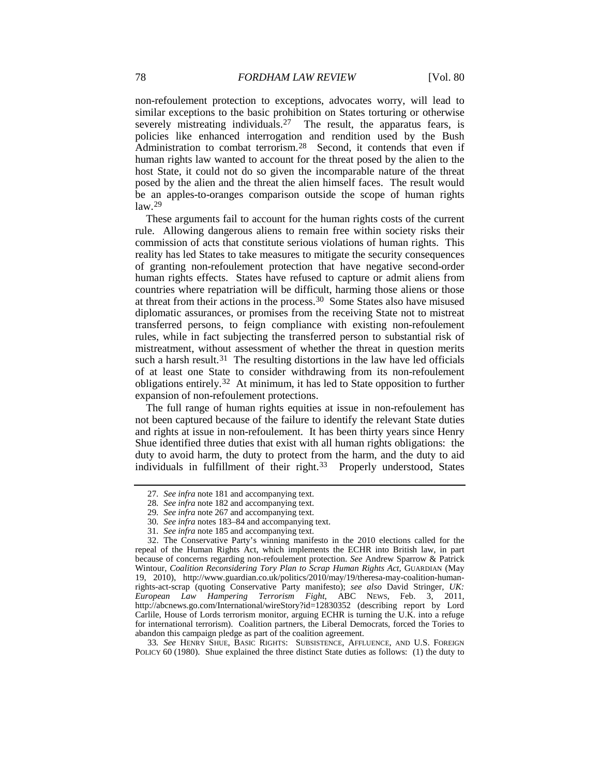non-refoulement protection to exceptions, advocates worry, will lead to similar exceptions to the basic prohibition on States torturing or otherwise severely mistreating individuals.<sup>[27](#page-6-0)</sup> The result, the apparatus fears, is policies like enhanced interrogation and rendition used by the Bush Administration to combat terrorism.<sup>[28](#page-6-1)</sup> Second, it contends that even if human rights law wanted to account for the threat posed by the alien to the host State, it could not do so given the incomparable nature of the threat posed by the alien and the threat the alien himself faces. The result would be an apples-to-oranges comparison outside the scope of human rights  $law.<sup>29</sup>$  $law.<sup>29</sup>$  $law.<sup>29</sup>$ 

These arguments fail to account for the human rights costs of the current rule. Allowing dangerous aliens to remain free within society risks their commission of acts that constitute serious violations of human rights. This reality has led States to take measures to mitigate the security consequences of granting non-refoulement protection that have negative second-order human rights effects. States have refused to capture or admit aliens from countries where repatriation will be difficult, harming those aliens or those at threat from their actions in the process[.30](#page-6-3) Some States also have misused diplomatic assurances, or promises from the receiving State not to mistreat transferred persons, to feign compliance with existing non-refoulement rules, while in fact subjecting the transferred person to substantial risk of mistreatment, without assessment of whether the threat in question merits such a harsh result.<sup>[31](#page-6-4)</sup> The resulting distortions in the law have led officials of at least one State to consider withdrawing from its non-refoulement obligations entirely.[32](#page-6-5) At minimum, it has led to State opposition to further expansion of non-refoulement protections.

The full range of human rights equities at issue in non-refoulement has not been captured because of the failure to identify the relevant State duties and rights at issue in non-refoulement. It has been thirty years since Henry Shue identified three duties that exist with all human rights obligations: the duty to avoid harm, the duty to protect from the harm, and the duty to aid individuals in fulfillment of their right.<sup>[33](#page-6-6)</sup> Properly understood, States

<span id="page-6-6"></span>33*. See* HENRY SHUE, BASIC RIGHTS: SUBSISTENCE, AFFLUENCE, AND U.S. FOREIGN POLICY 60 (1980). Shue explained the three distinct State duties as follows: (1) the duty to

<span id="page-6-7"></span><sup>27</sup>*. See infra* note [181](#page-27-0) and accompanying text.

<sup>28</sup>*. See infra* not[e 182](#page-27-1) and accompanying text.

<sup>29</sup>*. See infra* not[e 267](#page-40-0) and accompanying text.

<sup>30</sup>*. See infra* note[s 183–](#page-27-2)84 and accompanying text.

<sup>31</sup>*. See infra* not[e 185](#page-28-0) and accompanying text.

<span id="page-6-5"></span><span id="page-6-4"></span><span id="page-6-3"></span><span id="page-6-2"></span><span id="page-6-1"></span><span id="page-6-0"></span><sup>32.</sup> The Conservative Party's winning manifesto in the 2010 elections called for the repeal of the Human Rights Act, which implements the ECHR into British law, in part because of concerns regarding non-refoulement protection. *See* Andrew Sparrow & Patrick Wintour, *Coalition Reconsidering Tory Plan to Scrap Human Rights Act*, GUARDIAN (May 19, 2010), http://www.guardian.co.uk/politics/2010/may/19/theresa-may-coalition-humanrights-act-scrap (quoting Conservative Party manifesto); *see also* David Stringer, *UK: European Law Hampering Terrorism Fight*, ABC NEWS, Feb. 3, 2011, http://abcnews.go.com/International/wireStory?id=12830352 (describing report by Lord Carlile, House of Lords terrorism monitor, arguing ECHR is turning the U.K. into a refuge for international terrorism). Coalition partners, the Liberal Democrats, forced the Tories to abandon this campaign pledge as part of the coalition agreement.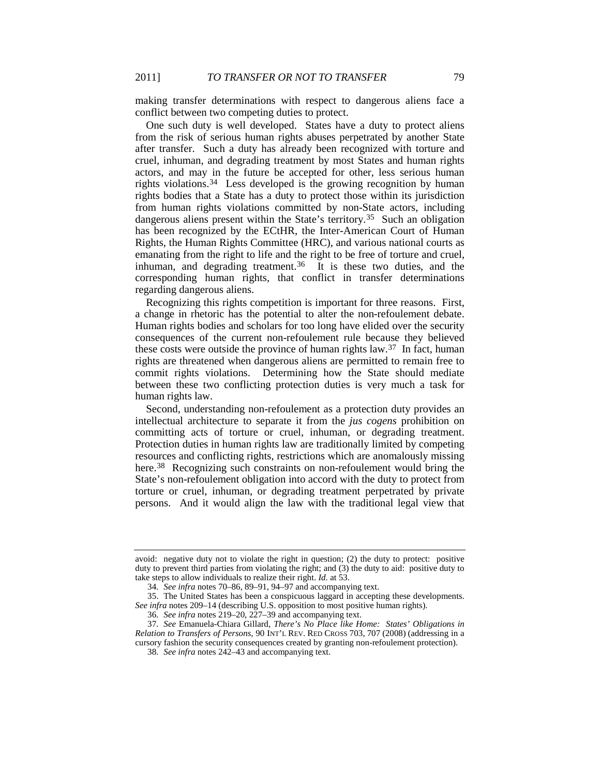making transfer determinations with respect to dangerous aliens face a conflict between two competing duties to protect.

One such duty is well developed. States have a duty to protect aliens from the risk of serious human rights abuses perpetrated by another State after transfer. Such a duty has already been recognized with torture and cruel, inhuman, and degrading treatment by most States and human rights actors, and may in the future be accepted for other, less serious human rights violations.[34](#page-7-0) Less developed is the growing recognition by human rights bodies that a State has a duty to protect those within its jurisdiction from human rights violations committed by non-State actors, including dangerous aliens present within the State's territory.[35](#page-7-1) Such an obligation has been recognized by the ECtHR, the Inter-American Court of Human Rights, the Human Rights Committee (HRC), and various national courts as emanating from the right to life and the right to be free of torture and cruel, inhuman, and degrading treatment.<sup>[36](#page-7-2)</sup> It is these two duties, and the corresponding human rights, that conflict in transfer determinations regarding dangerous aliens.

<span id="page-7-5"></span>Recognizing this rights competition is important for three reasons. First, a change in rhetoric has the potential to alter the non-refoulement debate. Human rights bodies and scholars for too long have elided over the security consequences of the current non-refoulement rule because they believed these costs were outside the province of human rights law.<sup>[37](#page-7-3)</sup> In fact, human rights are threatened when dangerous aliens are permitted to remain free to commit rights violations. Determining how the State should mediate between these two conflicting protection duties is very much a task for human rights law.

Second, understanding non-refoulement as a protection duty provides an intellectual architecture to separate it from the *jus cogens* prohibition on committing acts of torture or cruel, inhuman, or degrading treatment. Protection duties in human rights law are traditionally limited by competing resources and conflicting rights, restrictions which are anomalously missing here.<sup>[38](#page-7-4)</sup> Recognizing such constraints on non-refoulement would bring the State's non-refoulement obligation into accord with the duty to protect from torture or cruel, inhuman, or degrading treatment perpetrated by private persons. And it would align the law with the traditional legal view that

avoid: negative duty not to violate the right in question; (2) the duty to protect: positive duty to prevent third parties from violating the right; and (3) the duty to aid: positive duty to take steps to allow individuals to realize their right. *Id.* at 53.

<sup>34</sup>*. See infra* note[s 70](#page-13-1)[–86,](#page-15-2) [89](#page-15-0)[–91,](#page-15-3) [94](#page-16-0)[–97](#page-16-1) and accompanying text.

<span id="page-7-1"></span><span id="page-7-0"></span><sup>35.</sup> The United States has been a conspicuous laggard in accepting these developments. *See infra* note[s 209–](#page-30-0)14 (describing U.S. opposition to most positive human rights).

<sup>36</sup>*. See infra* note[s 219–](#page-31-0)20[, 227–](#page-33-0)39 and accompanying text.

<span id="page-7-4"></span><span id="page-7-3"></span><span id="page-7-2"></span><sup>37</sup>*. See* Emanuela-Chiara Gillard, *There's No Place like Home: States' Obligations in Relation to Transfers of Persons*, 90 INT'L REV. RED CROSS 703, 707 (2008) (addressing in a cursory fashion the security consequences created by granting non-refoulement protection).

<sup>38</sup>*. See infra* notes [242–](#page-35-0)43 and accompanying text.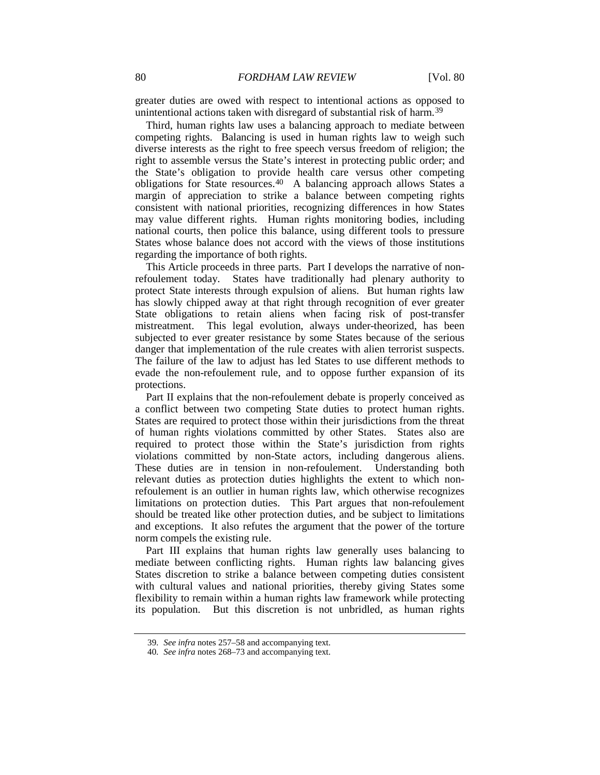greater duties are owed with respect to intentional actions as opposed to unintentional actions taken with disregard of substantial risk of harm.<sup>[39](#page-8-0)</sup>

Third, human rights law uses a balancing approach to mediate between competing rights. Balancing is used in human rights law to weigh such diverse interests as the right to free speech versus freedom of religion; the right to assemble versus the State's interest in protecting public order; and the State's obligation to provide health care versus other competing obligations for State resources.<sup>[40](#page-8-1)</sup> A balancing approach allows States a margin of appreciation to strike a balance between competing rights consistent with national priorities, recognizing differences in how States may value different rights. Human rights monitoring bodies, including national courts, then police this balance, using different tools to pressure States whose balance does not accord with the views of those institutions regarding the importance of both rights.

This Article proceeds in three parts. Part I develops the narrative of nonrefoulement today. States have traditionally had plenary authority to protect State interests through expulsion of aliens. But human rights law has slowly chipped away at that right through recognition of ever greater State obligations to retain aliens when facing risk of post-transfer mistreatment. This legal evolution, always under-theorized, has been subjected to ever greater resistance by some States because of the serious danger that implementation of the rule creates with alien terrorist suspects. The failure of the law to adjust has led States to use different methods to evade the non-refoulement rule, and to oppose further expansion of its protections.

Part II explains that the non-refoulement debate is properly conceived as a conflict between two competing State duties to protect human rights. States are required to protect those within their jurisdictions from the threat of human rights violations committed by other States. States also are required to protect those within the State's jurisdiction from rights violations committed by non-State actors, including dangerous aliens. These duties are in tension in non-refoulement. Understanding both relevant duties as protection duties highlights the extent to which nonrefoulement is an outlier in human rights law, which otherwise recognizes limitations on protection duties. This Part argues that non-refoulement should be treated like other protection duties, and be subject to limitations and exceptions. It also refutes the argument that the power of the torture norm compels the existing rule.

Part III explains that human rights law generally uses balancing to mediate between conflicting rights. Human rights law balancing gives States discretion to strike a balance between competing duties consistent with cultural values and national priorities, thereby giving States some flexibility to remain within a human rights law framework while protecting its population. But this discretion is not unbridled, as human rights

<span id="page-8-0"></span><sup>39</sup>*. See infra* note[s 257–](#page-38-0)58 and accompanying text.

<span id="page-8-1"></span><sup>40</sup>*. See infra* note[s 268–](#page-40-1)73 and accompanying text.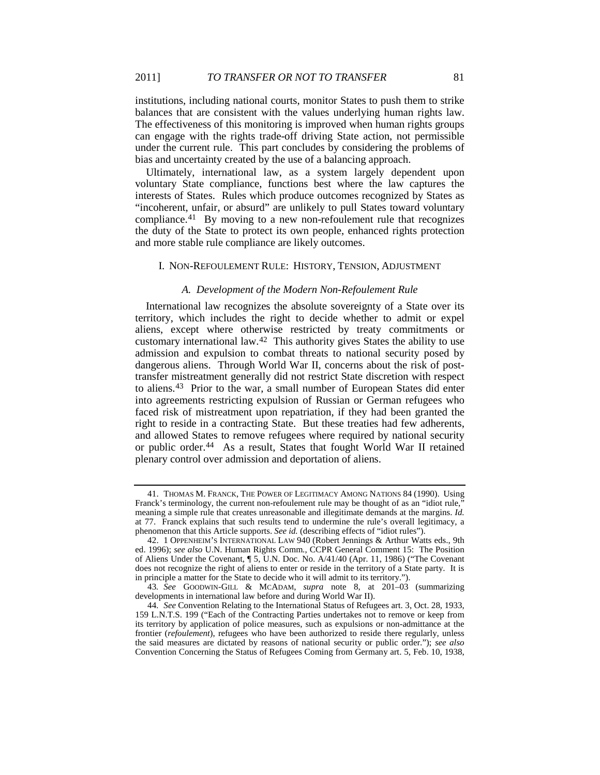institutions, including national courts, monitor States to push them to strike balances that are consistent with the values underlying human rights law. The effectiveness of this monitoring is improved when human rights groups can engage with the rights trade-off driving State action, not permissible under the current rule. This part concludes by considering the problems of bias and uncertainty created by the use of a balancing approach.

Ultimately, international law, as a system largely dependent upon voluntary State compliance, functions best where the law captures the interests of States. Rules which produce outcomes recognized by States as "incoherent, unfair, or absurd" are unlikely to pull States toward voluntary compliance.<sup>[41](#page-9-2)</sup> By moving to a new non-refoulement rule that recognizes the duty of the State to protect its own people, enhanced rights protection and more stable rule compliance are likely outcomes.

#### <span id="page-9-6"></span>I. NON-REFOULEMENT RULE: HISTORY, TENSION, ADJUSTMENT

#### <span id="page-9-0"></span>*A. Development of the Modern Non-Refoulement Rule*

International law recognizes the absolute sovereignty of a State over its territory, which includes the right to decide whether to admit or expel aliens, except where otherwise restricted by treaty commitments or customary international law.[42](#page-9-3) This authority gives States the ability to use admission and expulsion to combat threats to national security posed by dangerous aliens. Through World War II, concerns about the risk of posttransfer mistreatment generally did not restrict State discretion with respect to aliens.[43](#page-9-4) Prior to the war, a small number of European States did enter into agreements restricting expulsion of Russian or German refugees who faced risk of mistreatment upon repatriation, if they had been granted the right to reside in a contracting State. But these treaties had few adherents, and allowed States to remove refugees where required by national security or public order.<sup>[44](#page-9-5)</sup> As a result, States that fought World War II retained plenary control over admission and deportation of aliens.

<span id="page-9-2"></span><span id="page-9-1"></span><sup>41.</sup> THOMAS M. FRANCK, THE POWER OF LEGITIMACY AMONG NATIONS 84 (1990). Using Franck's terminology, the current non-refoulement rule may be thought of as an "idiot rule," meaning a simple rule that creates unreasonable and illegitimate demands at the margins. *Id.* at 77. Franck explains that such results tend to undermine the rule's overall legitimacy, a phenomenon that this Article supports. *See id.* (describing effects of "idiot rules").

<span id="page-9-3"></span><sup>42.</sup> 1 OPPENHEIM'S INTERNATIONAL LAW 940 (Robert Jennings & Arthur Watts eds., 9th ed. 1996); *see also* U.N. Human Rights Comm., CCPR General Comment 15: The Position of Aliens Under the Covenant, ¶ 5, U.N. Doc. No. A/41/40 (Apr. 11, 1986) ("The Covenant does not recognize the right of aliens to enter or reside in the territory of a State party. It is in principle a matter for the State to decide who it will admit to its territory.").

<span id="page-9-4"></span><sup>43</sup>*. See* GOODWIN-GILL & MCADAM, *supra* note [8,](#page-3-10) at 201–03 (summarizing developments in international law before and during World War II).

<span id="page-9-5"></span><sup>44</sup>*. See* Convention Relating to the International Status of Refugees art. 3, Oct. 28, 1933, 159 L.N.T.S. 199 ("Each of the Contracting Parties undertakes not to remove or keep from its territory by application of police measures, such as expulsions or non-admittance at the frontier (*refoulement*), refugees who have been authorized to reside there regularly, unless the said measures are dictated by reasons of national security or public order."); *see also* Convention Concerning the Status of Refugees Coming from Germany art. 5, Feb. 10, 1938,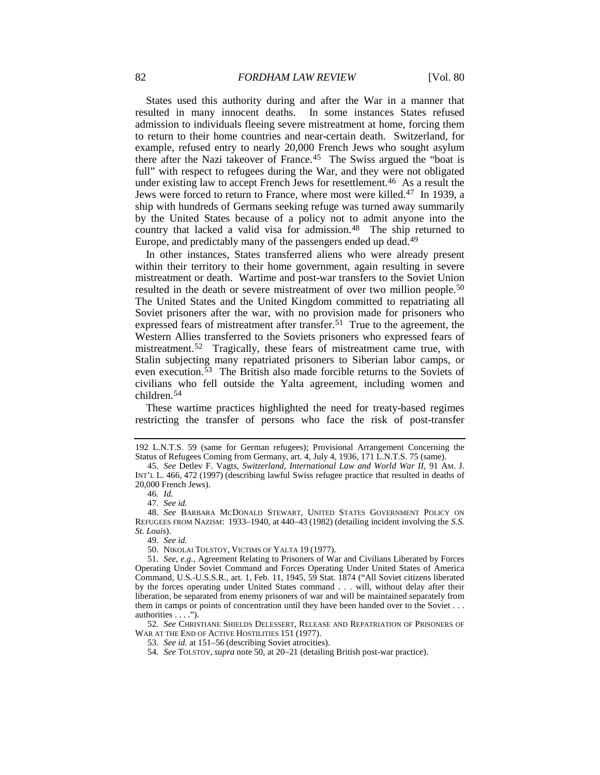States used this authority during and after the War in a manner that resulted in many innocent deaths. In some instances States refused admission to individuals fleeing severe mistreatment at home, forcing them to return to their home countries and near-certain death. Switzerland, for example, refused entry to nearly 20,000 French Jews who sought asylum there after the Nazi takeover of France.[45](#page-10-1) The Swiss argued the "boat is full" with respect to refugees during the War, and they were not obligated under existing law to accept French Jews for resettlement.<sup>[46](#page-10-2)</sup> As a result the Jews were forced to return to France, where most were killed.<sup>47</sup> In 1939, a ship with hundreds of Germans seeking refuge was turned away summarily by the United States because of a policy not to admit anyone into the country that lacked a valid visa for admission.<sup>[48](#page-10-4)</sup> The ship returned to Europe, and predictably many of the passengers ended up dead.<sup>[49](#page-10-5)</sup>

<span id="page-10-0"></span>In other instances, States transferred aliens who were already present within their territory to their home government, again resulting in severe mistreatment or death. Wartime and post-war transfers to the Soviet Union resulted in the death or severe mistreatment of over two million people.[50](#page-10-6) The United States and the United Kingdom committed to repatriating all Soviet prisoners after the war, with no provision made for prisoners who expressed fears of mistreatment after transfer.<sup>[51](#page-10-7)</sup> True to the agreement, the Western Allies transferred to the Soviets prisoners who expressed fears of mistreatment.<sup>52</sup> Tragically, these fears of mistreatment came true, with Stalin subjecting many repatriated prisoners to Siberian labor camps, or even execution[.53](#page-10-9) The British also made forcible returns to the Soviets of civilians who fell outside the Yalta agreement, including women and children.[54](#page-10-10)

These wartime practices highlighted the need for treaty-based regimes restricting the transfer of persons who face the risk of post-transfer

<span id="page-10-10"></span><span id="page-10-9"></span><span id="page-10-8"></span>52*. See* CHRISTIANE SHIELDS DELESSERT, RELEASE AND REPATRIATION OF PRISONERS OF WAR AT THE END OF ACTIVE HOSTILITIES 151 (1977).

<sup>192</sup> L.N.T.S. 59 (same for German refugees); Provisional Arrangement Concerning the Status of Refugees Coming from Germany, art. 4, July 4, 1936, 171 L.N.T.S. 75 (same).

<span id="page-10-1"></span><sup>45</sup>*. See* Detlev F. Vagts, *Switzerland, International Law and World War II*, 91 AM. J. INT'L L. 466, 472 (1997) (describing lawful Swiss refugee practice that resulted in deaths of 20,000 French Jews).

<sup>46</sup>*. Id.*

<sup>47</sup>*. See id.*

<span id="page-10-4"></span><span id="page-10-3"></span><span id="page-10-2"></span><sup>48</sup>*. See* BARBARA MCDONALD STEWART, UNITED STATES GOVERNMENT POLICY ON REFUGEES FROM NAZISM: 1933–1940, at 440–43 (1982) (detailing incident involving the *S.S. St. Louis*).

<sup>49</sup>*. See id.*

<sup>50.</sup> NIKOLAI TOLSTOY, VICTIMS OF YALTA 19 (1977).

<span id="page-10-7"></span><span id="page-10-6"></span><span id="page-10-5"></span><sup>51</sup>*. See, e.g.*, Agreement Relating to Prisoners of War and Civilians Liberated by Forces Operating Under Soviet Command and Forces Operating Under United States of America Command, U.S.-U.S.S.R., art. 1, Feb. 11, 1945, 59 Stat. 1874 ("All Soviet citizens liberated by the forces operating under United States command . . . will, without delay after their liberation, be separated from enemy prisoners of war and will be maintained separately from them in camps or points of concentration until they have been handed over to the Soviet . . . authorities . . . .").

<sup>53</sup>*. See id.* at 151–56 (describing Soviet atrocities).

<sup>54</sup>*. See* TOLSTOY, *supra* not[e 50,](#page-10-0) at 20–21 (detailing British post-war practice).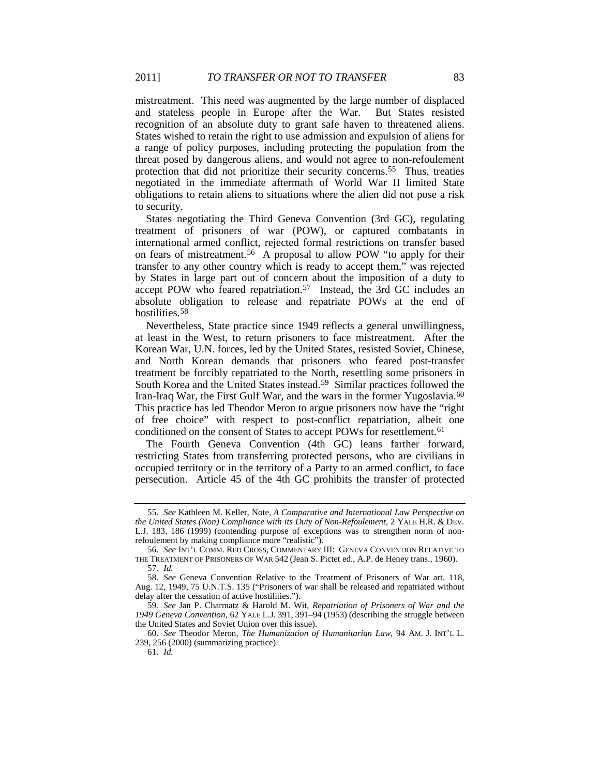mistreatment. This need was augmented by the large number of displaced and stateless people in Europe after the War. But States resisted recognition of an absolute duty to grant safe haven to threatened aliens. States wished to retain the right to use admission and expulsion of aliens for a range of policy purposes, including protecting the population from the threat posed by dangerous aliens, and would not agree to non-refoulement protection that did not prioritize their security concerns.<sup>[55](#page-11-2)</sup> Thus, treaties negotiated in the immediate aftermath of World War II limited State obligations to retain aliens to situations where the alien did not pose a risk to security.

<span id="page-11-0"></span>States negotiating the Third Geneva Convention (3rd GC), regulating treatment of prisoners of war (POW), or captured combatants in international armed conflict, rejected formal restrictions on transfer based on fears of mistreatment. [56](#page-11-3) A proposal to allow POW "to apply for their transfer to any other country which is ready to accept them," was rejected by States in large part out of concern about the imposition of a duty to accept POW who feared repatriation.<sup>[57](#page-11-4)</sup> Instead, the 3rd GC includes an absolute obligation to release and repatriate POWs at the end of hostilities.<sup>[58](#page-11-5)</sup>

<span id="page-11-9"></span><span id="page-11-1"></span>Nevertheless, State practice since 1949 reflects a general unwillingness, at least in the West, to return prisoners to face mistreatment. After the Korean War, U.N. forces, led by the United States, resisted Soviet, Chinese, and North Korean demands that prisoners who feared post-transfer treatment be forcibly repatriated to the North, resettling some prisoners in South Korea and the United States instead.[59](#page-11-6) Similar practices followed the Iran-Iraq War, the First Gulf War, and the wars in the former Yugoslavia.<sup>[60](#page-11-7)</sup> This practice has led Theodor Meron to argue prisoners now have the "right of free choice" with respect to post-conflict repatriation, albeit one conditioned on the consent of States to accept POWs for resettlement.<sup>[61](#page-11-8)</sup>

The Fourth Geneva Convention (4th GC) leans farther forward, restricting States from transferring protected persons, who are civilians in occupied territory or in the territory of a Party to an armed conflict, to face persecution. Article 45 of the 4th GC prohibits the transfer of protected

<span id="page-11-2"></span><sup>55</sup>*. See* Kathleen M. Keller, Note, *A Comparative and International Law Perspective on the United States (Non) Compliance with its Duty of Non-Refoulement*, 2 YALE H.R. & DEV. L.J. 183, 186 (1999) (contending purpose of exceptions was to strengthen norm of nonrefoulement by making compliance more "realistic").

<span id="page-11-3"></span><sup>56</sup>*. See* INT'L COMM. RED CROSS, COMMENTARY III: GENEVA CONVENTION RELATIVE TO THE TREATMENT OF PRISONERS OF WAR 542 (Jean S. Pictet ed., A.P. de Heney trans., 1960). 57*. Id.*

<span id="page-11-5"></span><span id="page-11-4"></span><sup>58</sup>*. See* Geneva Convention Relative to the Treatment of Prisoners of War art. 118, Aug. 12, 1949, 75 U.N.T.S. 135 ("Prisoners of war shall be released and repatriated without delay after the cessation of active hostilities.").

<span id="page-11-6"></span><sup>59</sup>*. See* Jan P. Charmatz & Harold M. Wit, *Repatriation of Prisoners of War and the 1949 Geneva Convention*, 62 YALE L.J. 391, 391–94 (1953) (describing the struggle between the United States and Soviet Union over this issue).

<span id="page-11-8"></span><span id="page-11-7"></span><sup>60</sup>*. See* Theodor Meron, *The Humanization of Humanitarian Law*, 94 AM. J. INT'L L. 239, 256 (2000) (summarizing practice).

<sup>61</sup>*. Id.*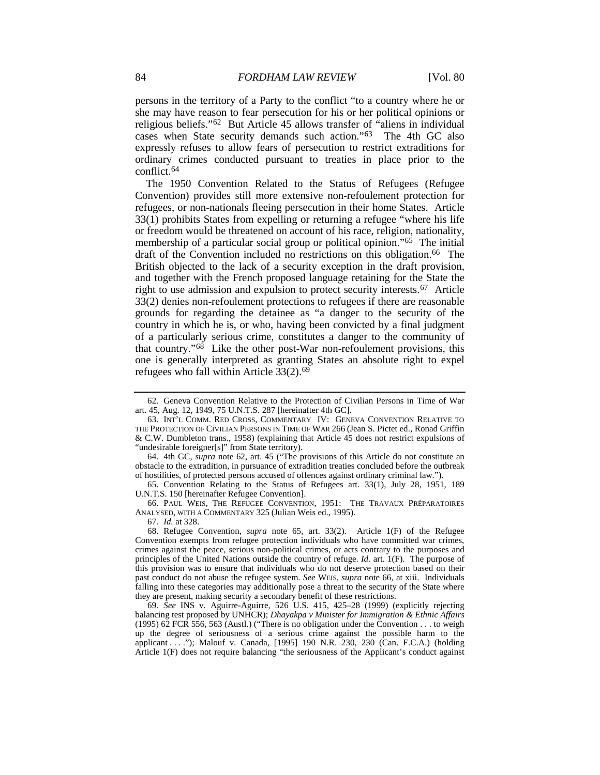<span id="page-12-2"></span><span id="page-12-0"></span>persons in the territory of a Party to the conflict "to a country where he or she may have reason to fear persecution for his or her political opinions or religious beliefs."[62](#page-12-5) But Article 45 allows transfer of "aliens in individual cases when State security demands such action."[63](#page-12-6) The 4th GC also expressly refuses to allow fears of persecution to restrict extraditions for ordinary crimes conducted pursuant to treaties in place prior to the conflict.[64](#page-12-7)

<span id="page-12-4"></span><span id="page-12-3"></span>The 1950 Convention Related to the Status of Refugees (Refugee Convention) provides still more extensive non-refoulement protection for refugees, or non-nationals fleeing persecution in their home States. Article 33(1) prohibits States from expelling or returning a refugee "where his life or freedom would be threatened on account of his race, religion, nationality, membership of a particular social group or political opinion."[65](#page-12-8) The initial draft of the Convention included no restrictions on this obligation.[66](#page-12-9) The British objected to the lack of a security exception in the draft provision, and together with the French proposed language retaining for the State the right to use admission and expulsion to protect security interests.[67](#page-12-10) Article 33(2) denies non-refoulement protections to refugees if there are reasonable grounds for regarding the detainee as "a danger to the security of the country in which he is, or who, having been convicted by a final judgment of a particularly serious crime, constitutes a danger to the community of that country."[68](#page-12-11) Like the other post-War non-refoulement provisions, this one is generally interpreted as granting States an absolute right to expel refugees who fall within Article 33(2).[69](#page-12-12)

67*. Id.* at 328.

<span id="page-12-5"></span><span id="page-12-1"></span><sup>62.</sup> Geneva Convention Relative to the Protection of Civilian Persons in Time of War art. 45, Aug. 12, 1949, 75 U.N.T.S. 287 [hereinafter 4th GC].

<span id="page-12-6"></span><sup>63</sup>*.* INT'L COMM. RED CROSS, COMMENTARY IV: GENEVA CONVENTION RELATIVE TO THE PROTECTION OF CIVILIAN PERSONS IN TIME OF WAR 266 (Jean S. Pictet ed., Ronad Griffin & C.W. Dumbleton trans., 1958) (explaining that Article 45 does not restrict expulsions of "undesirable foreigner[s]" from State territory).

<span id="page-12-7"></span><sup>64.</sup> 4th GC, *supra* note [62,](#page-12-2) art. 45 ("The provisions of this Article do not constitute an obstacle to the extradition, in pursuance of extradition treaties concluded before the outbreak of hostilities, of protected persons accused of offences against ordinary criminal law.").

<span id="page-12-8"></span><sup>65.</sup> Convention Relating to the Status of Refugees art. 33(1), July 28, 1951, 189 U.N.T.S. 150 [hereinafter Refugee Convention].

<span id="page-12-9"></span><sup>66.</sup> PAUL WEIS, THE REFUGEE CONVENTION, 1951: THE TRAVAUX PRÉPARATOIRES ANALYSED, WITH A COMMENTARY 325 (Julian Weis ed., 1995).

<span id="page-12-11"></span><span id="page-12-10"></span><sup>68.</sup> Refugee Convention, *supra* note [65,](#page-12-3) art. 33(2). Article 1(F) of the Refugee Convention exempts from refugee protection individuals who have committed war crimes, crimes against the peace, serious non-political crimes, or acts contrary to the purposes and principles of the United Nations outside the country of refuge. *Id.* art. 1(F). The purpose of this provision was to ensure that individuals who do not deserve protection based on their past conduct do not abuse the refugee system. *See* WEIS, *supra* note [66,](#page-12-4) at xiii. Individuals falling into these categories may additionally pose a threat to the security of the State where they are present, making security a secondary benefit of these restrictions.

<span id="page-12-12"></span><sup>69</sup>*. See* INS v. Aguirre-Aguirre, 526 U.S. 415, 425–28 (1999) (explicitly rejecting balancing test proposed by UNHCR); *Dhayakpa v Minister for Immigration & Ethnic Affairs* (1995) 62 FCR 556, 563 (Austl.) ("There is no obligation under the Convention . . . to weigh up the degree of seriousness of a serious crime against the possible harm to the applicant . . . ."); Malouf v. Canada, [1995] 190 N.R. 230, 230 (Can. F.C.A.) (holding Article 1(F) does not require balancing "the seriousness of the Applicant's conduct against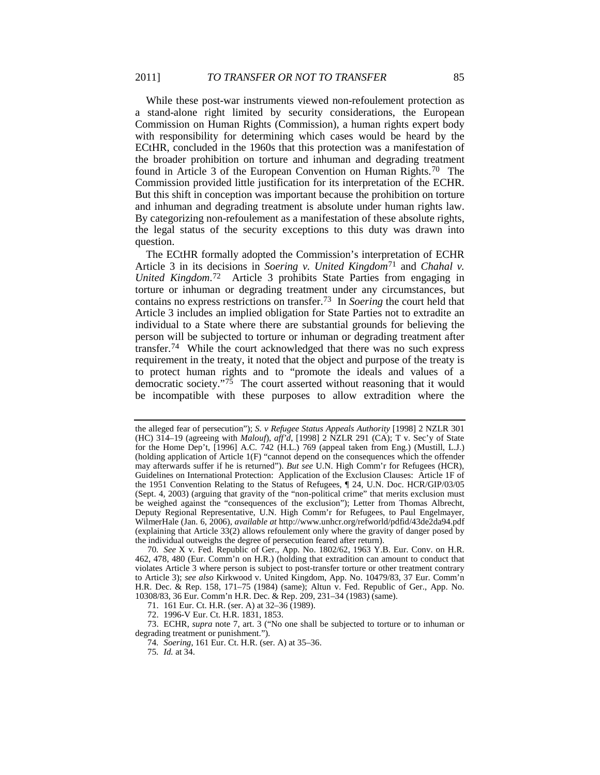While these post-war instruments viewed non-refoulement protection as a stand-alone right limited by security considerations, the European Commission on Human Rights (Commission), a human rights expert body with responsibility for determining which cases would be heard by the ECtHR, concluded in the 1960s that this protection was a manifestation of the broader prohibition on torture and inhuman and degrading treatment found in Article 3 of the European Convention on Human Rights.<sup>[70](#page-13-2)</sup> The Commission provided little justification for its interpretation of the ECHR. But this shift in conception was important because the prohibition on torture and inhuman and degrading treatment is absolute under human rights law. By categorizing non-refoulement as a manifestation of these absolute rights, the legal status of the security exceptions to this duty was drawn into question.

The ECtHR formally adopted the Commission's interpretation of ECHR Article 3 in its decisions in *Soering v. United Kingdom* [71](#page-13-3) and *Chahal v. United Kingdom*.[72](#page-13-4) Article 3 prohibits State Parties from engaging in torture or inhuman or degrading treatment under any circumstances, but contains no express restrictions on transfer.[73](#page-13-5) In *Soering* the court held that Article 3 includes an implied obligation for State Parties not to extradite an individual to a State where there are substantial grounds for believing the person will be subjected to torture or inhuman or degrading treatment after transfer.[74](#page-13-6) While the court acknowledged that there was no such express requirement in the treaty, it noted that the object and purpose of the treaty is to protect human rights and to "promote the ideals and values of a democratic society."<sup>[75](#page-13-7)</sup> The court asserted without reasoning that it would be incompatible with these purposes to allow extradition where the

<span id="page-13-1"></span><span id="page-13-0"></span>

the alleged fear of persecution"); *S. v Refugee Status Appeals Authority* [1998] 2 NZLR 301 (HC) 314–19 (agreeing with *Malouf*), *aff'd*, [1998] 2 NZLR 291 (CA); T v. Sec'y of State for the Home Dep't, [1996] A.C. 742 (H.L.) 769 (appeal taken from Eng.) (Mustill, L.J.) (holding application of Article 1(F) "cannot depend on the consequences which the offender may afterwards suffer if he is returned"). *But see* U.N. High Comm'r for Refugees (HCR), Guidelines on International Protection: Application of the Exclusion Clauses: Article 1F of the 1951 Convention Relating to the Status of Refugees, ¶ 24, U.N. Doc. HCR/GIP/03/05 (Sept. 4, 2003) (arguing that gravity of the "non-political crime" that merits exclusion must be weighed against the "consequences of the exclusion"); Letter from Thomas Albrecht, Deputy Regional Representative, U.N. High Comm'r for Refugees, to Paul Engelmayer, WilmerHale (Jan. 6, 2006), *available at* http://www.unhcr.org/refworld/pdfid/43de2da94.pdf (explaining that Article 33(2) allows refoulement only where the gravity of danger posed by the individual outweighs the degree of persecution feared after return).

<span id="page-13-2"></span><sup>70</sup>*. See* X v. Fed. Republic of Ger., App. No. 1802/62, 1963 Y.B. Eur. Conv. on H.R. 462, 478, 480 (Eur. Comm'n on H.R.) (holding that extradition can amount to conduct that violates Article 3 where person is subject to post-transfer torture or other treatment contrary to Article 3); *see also* Kirkwood v. United Kingdom, App. No. 10479/83, 37 Eur. Comm'n H.R. Dec. & Rep. 158, 171–75 (1984) (same); Altun v. Fed. Republic of Ger., App. No. 10308/83, 36 Eur. Comm'n H.R. Dec. & Rep. 209, 231–34 (1983) (same).

<sup>71.</sup> 161 Eur. Ct. H.R. (ser. A) at 32–36 (1989).

<sup>72.</sup> 1996-V Eur. Ct. H.R. 1831, 1853.

<span id="page-13-7"></span><span id="page-13-6"></span><span id="page-13-5"></span><span id="page-13-4"></span><span id="page-13-3"></span><sup>73.</sup> ECHR, *supra* note [7,](#page-3-11) art. 3 ("No one shall be subjected to torture or to inhuman or degrading treatment or punishment.").

<sup>74</sup>*. Soering*, 161 Eur. Ct. H.R. (ser. A) at 35–36.

<sup>75</sup>*. Id.* at 34.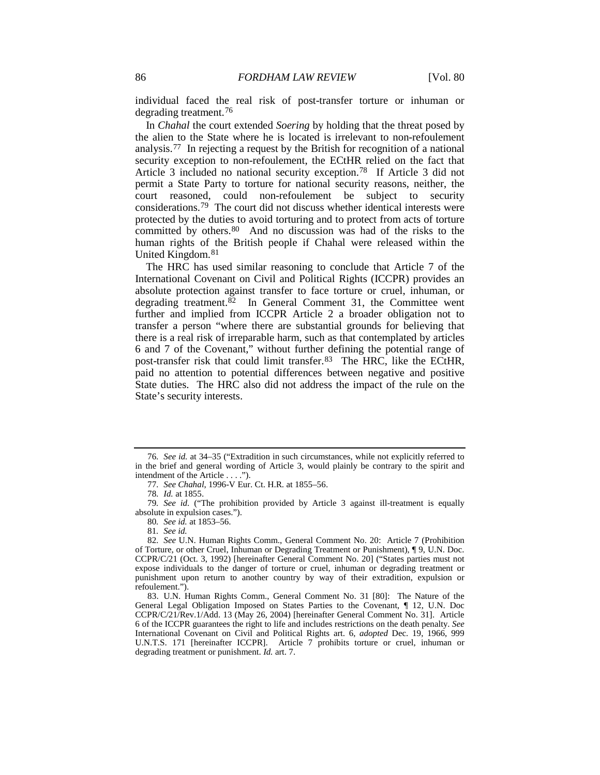individual faced the real risk of post-transfer torture or inhuman or degrading treatment.[76](#page-14-2)

<span id="page-14-12"></span>In *Chahal* the court extended *Soering* by holding that the threat posed by the alien to the State where he is located is irrelevant to non-refoulement analysis.[77](#page-14-3) In rejecting a request by the British for recognition of a national security exception to non-refoulement, the ECtHR relied on the fact that Article 3 included no national security exception.[78](#page-14-4) If Article 3 did not permit a State Party to torture for national security reasons, neither, the court reasoned, could non-refoulement be subject to security considerations.[79](#page-14-5) The court did not discuss whether identical interests were protected by the duties to avoid torturing and to protect from acts of torture committed by others.[80](#page-14-6) And no discussion was had of the risks to the human rights of the British people if Chahal were released within the United Kingdom.[81](#page-14-7)

<span id="page-14-11"></span><span id="page-14-10"></span><span id="page-14-1"></span><span id="page-14-0"></span>The HRC has used similar reasoning to conclude that Article 7 of the International Covenant on Civil and Political Rights (ICCPR) provides an absolute protection against transfer to face torture or cruel, inhuman, or degrading treatment. $82$  In General Comment 31, the Committee went further and implied from ICCPR Article 2 a broader obligation not to transfer a person "where there are substantial grounds for believing that there is a real risk of irreparable harm, such as that contemplated by articles 6 and 7 of the Covenant," without further defining the potential range of post-transfer risk that could limit transfer.<sup>[83](#page-14-9)</sup> The HRC, like the ECtHR, paid no attention to potential differences between negative and positive State duties. The HRC also did not address the impact of the rule on the State's security interests.

<span id="page-14-2"></span><sup>76</sup>*. See id.* at 34–35 ("Extradition in such circumstances, while not explicitly referred to in the brief and general wording of Article 3, would plainly be contrary to the spirit and intendment of the Article . . . .").

<sup>77</sup>*. See Chahal*, 1996-V Eur. Ct. H.R. at 1855–56.

<sup>78</sup>*. Id.* at 1855.

<span id="page-14-5"></span><span id="page-14-4"></span><span id="page-14-3"></span><sup>79</sup>*. See id.* ("The prohibition provided by Article 3 against ill-treatment is equally absolute in expulsion cases.").

<sup>80</sup>*. See id.* at 1853–56.

<sup>81</sup>*. See id.*

<span id="page-14-8"></span><span id="page-14-7"></span><span id="page-14-6"></span><sup>82</sup>*. See* U.N. Human Rights Comm., General Comment No. 20: Article 7 (Prohibition of Torture, or other Cruel, Inhuman or Degrading Treatment or Punishment), ¶ 9, U.N. Doc. CCPR/C/21 (Oct. 3, 1992) [hereinafter General Comment No. 20] ("States parties must not expose individuals to the danger of torture or cruel, inhuman or degrading treatment or punishment upon return to another country by way of their extradition, expulsion or refoulement.").

<span id="page-14-9"></span><sup>83.</sup> U.N. Human Rights Comm., General Comment No. 31 [80]: The Nature of the General Legal Obligation Imposed on States Parties to the Covenant, ¶ 12, U.N. Doc CCPR/C/21/Rev.1/Add. 13 (May 26, 2004) [hereinafter General Comment No. 31]. Article 6 of the ICCPR guarantees the right to life and includes restrictions on the death penalty. *See* International Covenant on Civil and Political Rights art. 6, *adopted* Dec. 19, 1966, 999 U.N.T.S. 171 [hereinafter ICCPR]. Article 7 prohibits torture or cruel, inhuman or degrading treatment or punishment. *Id.* art. 7.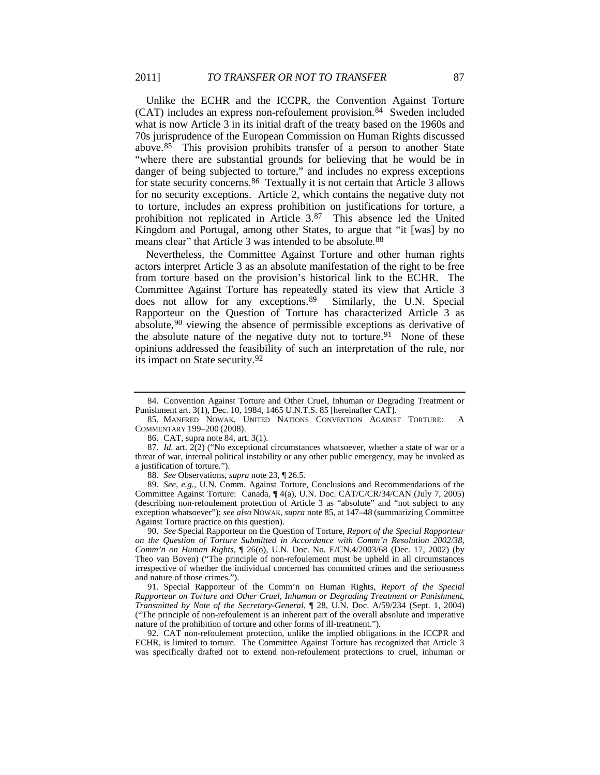<span id="page-15-5"></span><span id="page-15-4"></span>Unlike the ECHR and the ICCPR, the Convention Against Torture (CAT) includes an express non-refoulement provision.[84](#page-15-6) Sweden included what is now Article 3 in its initial draft of the treaty based on the 1960s and 70s jurisprudence of the European Commission on Human Rights discussed above.[85](#page-15-7) This provision prohibits transfer of a person to another State "where there are substantial grounds for believing that he would be in danger of being subjected to torture," and includes no express exceptions for state security concerns.[86](#page-15-8) Textually it is not certain that Article 3 allows for no security exceptions. Article 2, which contains the negative duty not to torture, includes an express prohibition on justifications for torture, a prohibition not replicated in Article 3.[87](#page-15-9) This absence led the United Kingdom and Portugal, among other States, to argue that "it [was] by no means clear" that Article 3 was intended to be absolute.<sup>[88](#page-15-10)</sup>

<span id="page-15-2"></span><span id="page-15-0"></span>Nevertheless, the Committee Against Torture and other human rights actors interpret Article 3 as an absolute manifestation of the right to be free from torture based on the provision's historical link to the ECHR. The Committee Against Torture has repeatedly stated its view that Article 3 does not allow for any exceptions[.89](#page-15-11) Similarly, the U.N. Special Rapporteur on the Question of Torture has characterized Article 3 as absolute,[90](#page-15-12) viewing the absence of permissible exceptions as derivative of the absolute nature of the negative duty not to torture.<sup>91</sup> None of these opinions addressed the feasibility of such an interpretation of the rule, nor its impact on State security.[92](#page-15-14)

88*. See* Observations, *supra* not[e 23,](#page-5-9) ¶ 26.5.

<span id="page-15-11"></span><span id="page-15-10"></span>89*. See, e.g.*, U.N. Comm. Against Torture, Conclusions and Recommendations of the Committee Against Torture: Canada, ¶ 4(a), U.N. Doc. CAT/C/CR/34/CAN (July 7, 2005) (describing non-refoulement protection of Article 3 as "absolute" and "not subject to any exception whatsoever"); *see also* NOWAK, *supra* not[e 85,](#page-15-5) at 147–48 (summarizing Committee Against Torture practice on this question).

<span id="page-15-12"></span>90*. See* Special Rapporteur on the Question of Torture, *Report of the Special Rapporteur on the Question of Torture Submitted in Accordance with Comm'n Resolution 2002/38, Comm'n on Human Rights*, ¶ 26(o), U.N. Doc. No. E/CN.4/2003/68 (Dec. 17, 2002) (by Theo van Boven) ("The principle of non-refoulement must be upheld in all circumstances irrespective of whether the individual concerned has committed crimes and the seriousness and nature of those crimes.").

<span id="page-15-13"></span>91. Special Rapporteur of the Comm'n on Human Rights, *Report of the Special Rapporteur on Torture and Other Cruel, Inhuman or Degrading Treatment or Punishment*, *Transmitted by Note of the Secretary-General*, ¶ 28, U.N. Doc. A/59/234 (Sept. 1, 2004) ("The principle of non-refoulement is an inherent part of the overall absolute and imperative nature of the prohibition of torture and other forms of ill-treatment.").

<span id="page-15-14"></span>92. CAT non-refoulement protection, unlike the implied obligations in the ICCPR and ECHR, is limited to torture. The Committee Against Torture has recognized that Article 3 was specifically drafted not to extend non-refoulement protections to cruel, inhuman or

<span id="page-15-6"></span><span id="page-15-3"></span><span id="page-15-1"></span><sup>84.</sup> Convention Against Torture and Other Cruel, Inhuman or Degrading Treatment or Punishment art. 3(1), Dec. 10, 1984, 1465 U.N.T.S. 85 [hereinafter CAT].

<span id="page-15-7"></span><sup>85.</sup> MANFRED NOWAK, UNITED NATIONS CONVENTION AGAINST TORTURE: A COMMENTARY 199–200 (2008).

<sup>86.</sup> CAT, supra note [84,](#page-15-4) art. 3(1).

<span id="page-15-9"></span><span id="page-15-8"></span><sup>87</sup>*. Id.* art. 2(2) ("No exceptional circumstances whatsoever, whether a state of war or a threat of war, internal political instability or any other public emergency, may be invoked as a justification of torture.").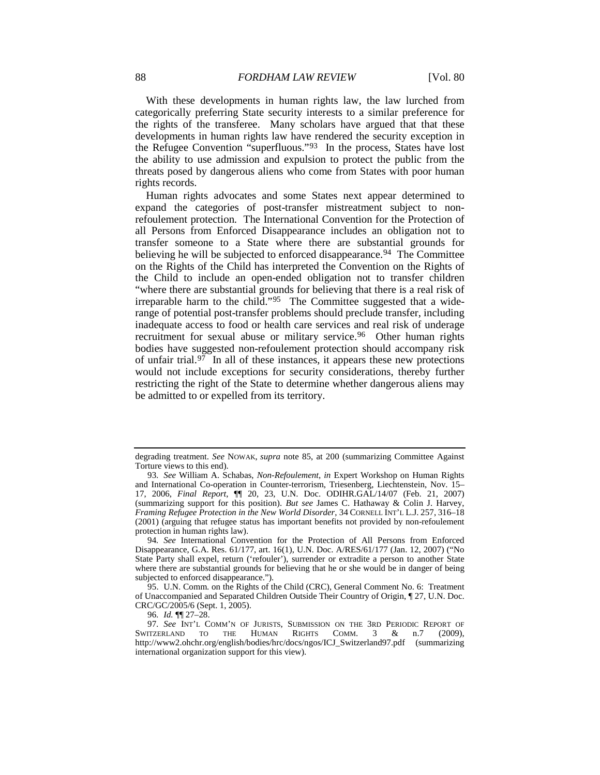With these developments in human rights law, the law lurched from categorically preferring State security interests to a similar preference for the rights of the transferee. Many scholars have argued that that these developments in human rights law have rendered the security exception in the Refugee Convention "superfluous."[93](#page-16-2) In the process, States have lost the ability to use admission and expulsion to protect the public from the threats posed by dangerous aliens who come from States with poor human rights records.

<span id="page-16-7"></span><span id="page-16-0"></span>Human rights advocates and some States next appear determined to expand the categories of post-transfer mistreatment subject to nonrefoulement protection. The International Convention for the Protection of all Persons from Enforced Disappearance includes an obligation not to transfer someone to a State where there are substantial grounds for believing he will be subjected to enforced disappearance.<sup>[94](#page-16-3)</sup> The Committee on the Rights of the Child has interpreted the Convention on the Rights of the Child to include an open-ended obligation not to transfer children "where there are substantial grounds for believing that there is a real risk of irreparable harm to the child."<sup>95</sup> The Committee suggested that a widerange of potential post-transfer problems should preclude transfer, including inadequate access to food or health care services and real risk of underage recruitment for sexual abuse or military service.<sup>96</sup> Other human rights bodies have suggested non-refoulement protection should accompany risk of unfair trial.<sup>[97](#page-16-6)</sup> In all of these instances, it appears these new protections would not include exceptions for security considerations, thereby further restricting the right of the State to determine whether dangerous aliens may be admitted to or expelled from its territory.

<span id="page-16-1"></span>degrading treatment. *See* NOWAK, *supra* note [85,](#page-15-5) at 200 (summarizing Committee Against Torture views to this end).

<span id="page-16-2"></span><sup>93</sup>*. See* William A. Schabas, *Non-Refoulement*, *in* Expert Workshop on Human Rights and International Co-operation in Counter-terrorism, Triesenberg, Liechtenstein, Nov. 15– 17, 2006, *Final Report*, ¶¶ 20, 23, U.N. Doc. ODIHR.GAL/14/07 (Feb. 21, 2007) (summarizing support for this position). *But see* James C. Hathaway & Colin J. Harvey, *Framing Refugee Protection in the New World Disorder*, 34 CORNELL INT'L L.J. 257, 316–18 (2001) (arguing that refugee status has important benefits not provided by non-refoulement protection in human rights law).

<span id="page-16-3"></span><sup>94</sup>*. See* International Convention for the Protection of All Persons from Enforced Disappearance, G.A. Res. 61/177, art. 16(1), U.N. Doc. A/RES/61/177 (Jan. 12, 2007) ("No State Party shall expel, return ('refouler'), surrender or extradite a person to another State where there are substantial grounds for believing that he or she would be in danger of being subjected to enforced disappearance.").

<span id="page-16-4"></span><sup>95.</sup> U.N. Comm. on the Rights of the Child (CRC), General Comment No. 6: Treatment of Unaccompanied and Separated Children Outside Their Country of Origin, ¶ 27, U.N. Doc. CRC/GC/2005/6 (Sept. 1, 2005).

<sup>96</sup>*. Id.* ¶¶ 27–28.

<span id="page-16-6"></span><span id="page-16-5"></span><sup>97.</sup> See INT'L COMM'N OF JURISTS, SUBMISSION ON THE 3RD PERIODIC REPORT OF THE HUMAN RIGHTS COMM. 3 & n.7 (2009). SWITZERLAND http://www2.ohchr.org/english/bodies/hrc/docs/ngos/ICJ\_Switzerland97.pdf (summarizing international organization support for this view).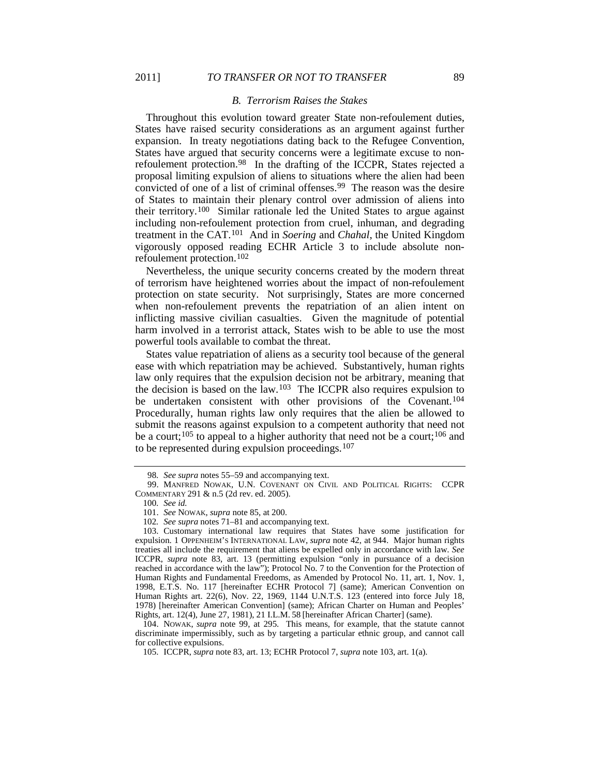#### <span id="page-17-0"></span>*B. Terrorism Raises the Stakes*

Throughout this evolution toward greater State non-refoulement duties, States have raised security considerations as an argument against further expansion. In treaty negotiations dating back to the Refugee Convention, States have argued that security concerns were a legitimate excuse to nonrefoulement protection.[98](#page-17-2) In the drafting of the ICCPR, States rejected a proposal limiting expulsion of aliens to situations where the alien had been convicted of one of a list of criminal offenses.<sup>99</sup> The reason was the desire of States to maintain their plenary control over admission of aliens into their territory.[100](#page-17-4) Similar rationale led the United States to argue against including non-refoulement protection from cruel, inhuman, and degrading treatment in the CAT.[101](#page-17-5) And in *Soering* and *Chahal*, the United Kingdom vigorously opposed reading ECHR Article 3 to include absolute nonrefoulement protection.[102](#page-17-6)

<span id="page-17-12"></span>Nevertheless, the unique security concerns created by the modern threat of terrorism have heightened worries about the impact of non-refoulement protection on state security. Not surprisingly, States are more concerned when non-refoulement prevents the repatriation of an alien intent on inflicting massive civilian casualties. Given the magnitude of potential harm involved in a terrorist attack, States wish to be able to use the most powerful tools available to combat the threat.

<span id="page-17-11"></span><span id="page-17-10"></span><span id="page-17-1"></span>States value repatriation of aliens as a security tool because of the general ease with which repatriation may be achieved. Substantively, human rights law only requires that the expulsion decision not be arbitrary, meaning that the decision is based on the law.[103](#page-17-7) The ICCPR also requires expulsion to be undertaken consistent with other provisions of the Covenant.<sup>[104](#page-17-8)</sup> Procedurally, human rights law only requires that the alien be allowed to submit the reasons against expulsion to a competent authority that need not be a court;<sup>[105](#page-17-9)</sup> to appeal to a higher authority that need not be a court;<sup>106</sup> and to be represented during expulsion proceedings.[107](#page-17-11)

<span id="page-17-9"></span><span id="page-17-8"></span>104. NOWAK, *supra* note [99,](#page-17-0) at 295. This means, for example, that the statute cannot discriminate impermissibly, such as by targeting a particular ethnic group, and cannot call for collective expulsions.

<span id="page-17-13"></span><sup>98</sup>*. See supra* note[s 55](#page-11-0)[–59](#page-11-9) and accompanying text.

<span id="page-17-4"></span><span id="page-17-3"></span><span id="page-17-2"></span><sup>99.</sup> MANFRED NOWAK, U.N. COVENANT ON CIVIL AND POLITICAL RIGHTS: CCPR COMMENTARY 291 & n.5 (2d rev. ed. 2005).

<sup>100</sup>*. See id.*

<sup>101.</sup> *See* NOWAK, *supra* note [85,](#page-15-5) at 200.

<sup>102</sup>*. See supra* note[s 71](#page-13-0)[–81](#page-14-10) and accompanying text.

<span id="page-17-7"></span><span id="page-17-6"></span><span id="page-17-5"></span><sup>103.</sup> Customary international law requires that States have some justification for expulsion. 1 OPPENHEIM'S INTERNATIONAL LAW, *supra* note [42,](#page-9-0) at 944. Major human rights treaties all include the requirement that aliens be expelled only in accordance with law. *See* ICCPR, *supra* note [83,](#page-14-1) art. 13 (permitting expulsion "only in pursuance of a decision reached in accordance with the law"); Protocol No. 7 to the Convention for the Protection of Human Rights and Fundamental Freedoms, as Amended by Protocol No. 11, art. 1, Nov. 1, 1998, E.T.S. No. 117 [hereinafter ECHR Protocol 7] (same); American Convention on Human Rights art. 22(6), Nov. 22, 1969, 1144 U.N.T.S. 123 (entered into force July 18, 1978) [hereinafter American Convention] (same); African Charter on Human and Peoples' Rights, art. 12(4), June 27, 1981), 21 I.L.M. 58 [hereinafter African Charter] (same).

<sup>105.</sup> ICCPR, *supra* note [83,](#page-14-1) art. 13; ECHR Protocol 7, *supra* note [103,](#page-17-1) art. 1(a).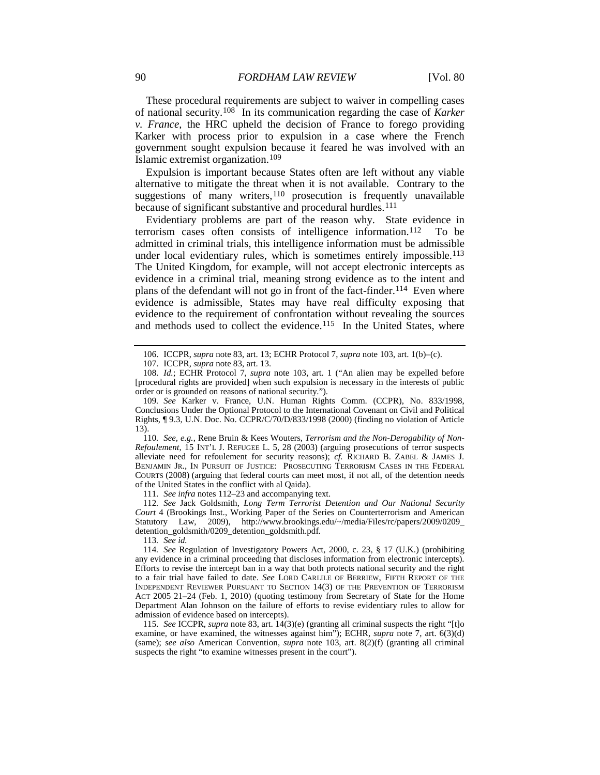These procedural requirements are subject to waiver in compelling cases of national security.<sup>108</sup> In its communication regarding the case of *Karker v. France*, the HRC upheld the decision of France to forego providing Karker with process prior to expulsion in a case where the French government sought expulsion because it feared he was involved with an Islamic extremist organization.[109](#page-18-2)

<span id="page-18-10"></span>Expulsion is important because States often are left without any viable alternative to mitigate the threat when it is not available. Contrary to the suggestions of many writers,<sup>[110](#page-18-3)</sup> prosecution is frequently unavailable because of significant substantive and procedural hurdles.<sup>[111](#page-18-4)</sup>

<span id="page-18-0"></span>Evidentiary problems are part of the reason why. State evidence in terrorism cases often consists of intelligence information.[112](#page-18-5) To be admitted in criminal trials, this intelligence information must be admissible under local evidentiary rules, which is sometimes entirely impossible.<sup>[113](#page-18-6)</sup> The United Kingdom, for example, will not accept electronic intercepts as evidence in a criminal trial, meaning strong evidence as to the intent and plans of the defendant will not go in front of the fact-finder.<sup>[114](#page-18-7)</sup> Even where evidence is admissible, States may have real difficulty exposing that evidence to the requirement of confrontation without revealing the sources and methods used to collect the evidence.<sup>[115](#page-18-8)</sup> In the United States, where

<span id="page-18-3"></span>110*. See, e.g.*, Rene Bruin & Kees Wouters, *Terrorism and the Non-Derogability of Non-Refoulement*, 15 INT'L J. REFUGEE L. 5, 28 (2003) (arguing prosecutions of terror suspects alleviate need for refoulement for security reasons); *cf.* RICHARD B. ZABEL & JAMES J. BENJAMIN JR., IN PURSUIT OF JUSTICE: PROSECUTING TERRORISM CASES IN THE FEDERAL COURTS (2008) (arguing that federal courts can meet most, if not all, of the detention needs of the United States in the conflict with al Qaida).

111*. See infra* note[s 112–](#page-18-0)23 and accompanying text.

<span id="page-18-5"></span><span id="page-18-4"></span>112*. See* Jack Goldsmith, *Long Term Terrorist Detention and Our National Security Court* 4 (Brookings Inst., Working Paper of the Series on Counterterrorism and American Statutory Law, 2009), http://www.brookings.edu/~/media/Files/rc/papers/2009/0209\_ detention\_goldsmith/0209\_detention\_goldsmith.pdf.

113*. See id.*

<span id="page-18-9"></span><sup>106.</sup> ICCPR, *supra* note [83,](#page-14-1) art. 13; ECHR Protocol 7, *supra* note [103,](#page-17-1) art. 1(b)–(c).

<sup>107.</sup> ICCPR, *supra* note [83,](#page-14-1) art. 13.

<span id="page-18-1"></span><sup>108</sup>*. Id.*; ECHR Protocol 7, *supra* note [103,](#page-17-1) art. 1 ("An alien may be expelled before [procedural rights are provided] when such expulsion is necessary in the interests of public order or is grounded on reasons of national security.").

<span id="page-18-2"></span><sup>109</sup>*. See* Karker v. France, U.N. Human Rights Comm. (CCPR), No. 833/1998, Conclusions Under the Optional Protocol to the International Covenant on Civil and Political Rights, ¶ 9.3, U.N. Doc. No. CCPR/C/70/D/833/1998 (2000) (finding no violation of Article 13).

<span id="page-18-7"></span><span id="page-18-6"></span><sup>114</sup>*. See* Regulation of Investigatory Powers Act, 2000, c. 23, § 17 (U.K.) (prohibiting any evidence in a criminal proceeding that discloses information from electronic intercepts). Efforts to revise the intercept ban in a way that both protects national security and the right to a fair trial have failed to date. *See* LORD CARLILE OF BERRIEW, FIFTH REPORT OF THE INDEPENDENT REVIEWER PURSUANT TO SECTION 14(3) OF THE PREVENTION OF TERRORISM ACT 2005 21–24 (Feb. 1, 2010) (quoting testimony from Secretary of State for the Home Department Alan Johnson on the failure of efforts to revise evidentiary rules to allow for admission of evidence based on intercepts).

<span id="page-18-8"></span><sup>115</sup>*. See* ICCPR, *supra* not[e 83,](#page-14-1) art. 14(3)(e) (granting all criminal suspects the right "[t]o examine, or have examined, the witnesses against him"); ECHR, *supra* note [7,](#page-3-12) art. 6(3)(d) (same); *see also* American Convention, *supra* note [103,](#page-17-1) art. 8(2)(f) (granting all criminal suspects the right "to examine witnesses present in the court").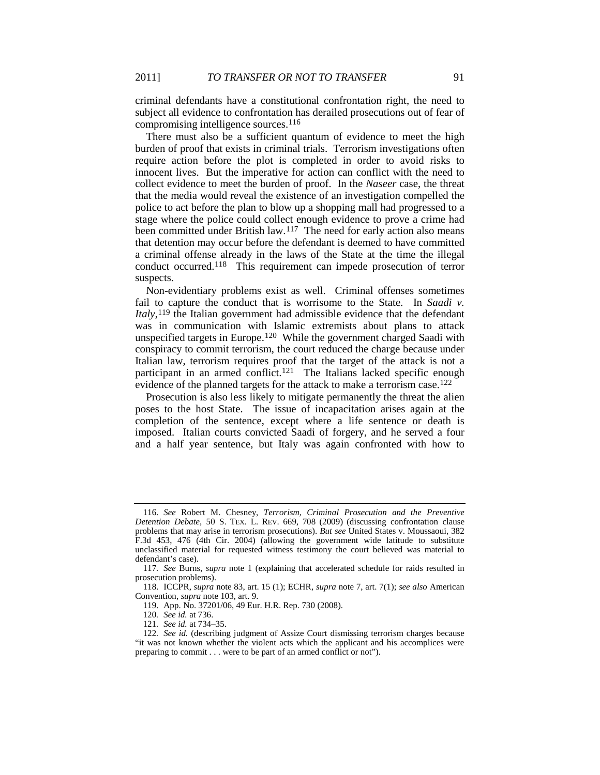criminal defendants have a constitutional confrontation right, the need to subject all evidence to confrontation has derailed prosecutions out of fear of compromising intelligence sources.[116](#page-19-0)

There must also be a sufficient quantum of evidence to meet the high burden of proof that exists in criminal trials. Terrorism investigations often require action before the plot is completed in order to avoid risks to innocent lives. But the imperative for action can conflict with the need to collect evidence to meet the burden of proof. In the *Naseer* case, the threat that the media would reveal the existence of an investigation compelled the police to act before the plan to blow up a shopping mall had progressed to a stage where the police could collect enough evidence to prove a crime had been committed under British law.<sup>[117](#page-19-1)</sup> The need for early action also means that detention may occur before the defendant is deemed to have committed a criminal offense already in the laws of the State at the time the illegal conduct occurred.[118](#page-19-2) This requirement can impede prosecution of terror suspects.

Non-evidentiary problems exist as well. Criminal offenses sometimes fail to capture the conduct that is worrisome to the State. In *Saadi v. Italy*, [119](#page-19-3) the Italian government had admissible evidence that the defendant was in communication with Islamic extremists about plans to attack unspecified targets in Europe.[120](#page-19-4) While the government charged Saadi with conspiracy to commit terrorism, the court reduced the charge because under Italian law, terrorism requires proof that the target of the attack is not a participant in an armed conflict.<sup>[121](#page-19-5)</sup> The Italians lacked specific enough evidence of the planned targets for the attack to make a terrorism case.<sup>[122](#page-19-6)</sup>

Prosecution is also less likely to mitigate permanently the threat the alien poses to the host State. The issue of incapacitation arises again at the completion of the sentence, except where a life sentence or death is imposed. Italian courts convicted Saadi of forgery, and he served a four and a half year sentence, but Italy was again confronted with how to

<span id="page-19-0"></span><sup>116</sup>*. See* Robert M. Chesney, *Terrorism, Criminal Prosecution and the Preventive Detention Debate*, 50 S. TEX. L. REV. 669, 708 (2009) (discussing confrontation clause problems that may arise in terrorism prosecutions). *But see* United States v. Moussaoui, 382 F.3d 453, 476 (4th Cir. 2004) (allowing the government wide latitude to substitute unclassified material for requested witness testimony the court believed was material to defendant's case).

<span id="page-19-1"></span><sup>117</sup>*. See* Burns, *supra* note 1 (explaining that accelerated schedule for raids resulted in prosecution problems).

<span id="page-19-3"></span><span id="page-19-2"></span><sup>118.</sup> ICCPR, *supra* note [83,](#page-14-1) art. 15 (1); ECHR, *supra* not[e 7,](#page-3-12) art. 7(1); *see also* American Convention, *supra* note [103,](#page-17-1) art. 9.

<sup>119.</sup> App. No. 37201/06, 49 Eur. H.R. Rep. 730 (2008).

<sup>120</sup>*. See id.* at 736.

<sup>121</sup>*. See id.* at 734–35.

<span id="page-19-6"></span><span id="page-19-5"></span><span id="page-19-4"></span><sup>122</sup>*. See id.* (describing judgment of Assize Court dismissing terrorism charges because "it was not known whether the violent acts which the applicant and his accomplices were preparing to commit . . . were to be part of an armed conflict or not").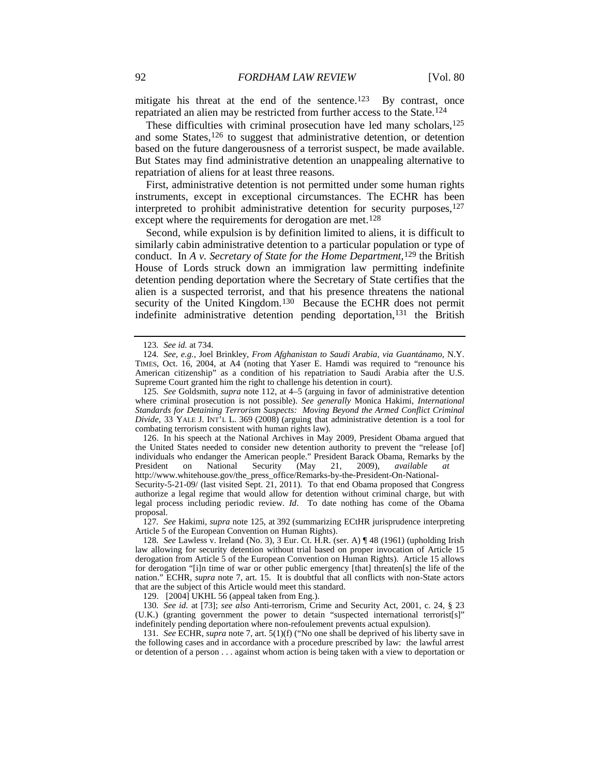mitigate his threat at the end of the sentence.<sup>[123](#page-20-1)</sup> By contrast, once repatriated an alien may be restricted from further access to the State.[124](#page-20-2)

<span id="page-20-0"></span>These difficulties with criminal prosecution have led many scholars,<sup>[125](#page-20-3)</sup> and some States,<sup>[126](#page-20-4)</sup> to suggest that administrative detention, or detention based on the future dangerousness of a terrorist suspect, be made available. But States may find administrative detention an unappealing alternative to repatriation of aliens for at least three reasons.

First, administrative detention is not permitted under some human rights instruments, except in exceptional circumstances. The ECHR has been interpreted to prohibit administrative detention for security purposes, [127](#page-20-5) except where the requirements for derogation are met.<sup>[128](#page-20-6)</sup>

Second, while expulsion is by definition limited to aliens, it is difficult to similarly cabin administrative detention to a particular population or type of conduct. In *A v.* Secretary of State for the Home Department,<sup>[129](#page-20-7)</sup> the British House of Lords struck down an immigration law permitting indefinite detention pending deportation where the Secretary of State certifies that the alien is a suspected terrorist, and that his presence threatens the national security of the United Kingdom.<sup>[130](#page-20-8)</sup> Because the ECHR does not permit indefinite administrative detention pending deportation,<sup>131</sup> the British

<span id="page-20-4"></span>126. In his speech at the National Archives in May 2009, President Obama argued that the United States needed to consider new detention authority to prevent the "release [of] individuals who endanger the American people." President Barack Obama, Remarks by the President on National Security (May 21, 2009), *available at* National Security (May 21, 2009), *available at* http://www.whitehouse.gov/the\_press\_office/Remarks-by-the-President-On-National-

Security-5-21-09/ (last visited Sept. 21, 2011). To that end Obama proposed that Congress authorize a legal regime that would allow for detention without criminal charge, but with legal process including periodic review. *Id*. To date nothing has come of the Obama proposal.

<span id="page-20-5"></span>127*. See* Hakimi, *supra* note [125,](#page-20-0) at 392 (summarizing ECtHR jurisprudence interpreting Article 5 of the European Convention on Human Rights).

<span id="page-20-6"></span>128*. See* Lawless v. Ireland (No. 3), 3 Eur. Ct. H.R. (ser. A) ¶ 48 (1961) (upholding Irish law allowing for security detention without trial based on proper invocation of Article 15 derogation from Article 5 of the European Convention on Human Rights). Article 15 allows for derogation "[i]n time of war or other public emergency [that] threaten[s] the life of the nation." ECHR, *supra* note [7,](#page-3-12) art. 15. It is doubtful that all conflicts with non-State actors that are the subject of this Article would meet this standard.

129. [2004] UKHL 56 (appeal taken from Eng.).

<span id="page-20-8"></span><span id="page-20-7"></span>130*. See id.* at [73]; *see also* Anti-terrorism, Crime and Security Act, 2001, c. 24, § 23 (U.K.) (granting government the power to detain "suspected international terrorist[s]" indefinitely pending deportation where non-refoulement prevents actual expulsion).

<span id="page-20-9"></span>131*. See* ECHR, *supra* note [7,](#page-3-12) art. 5(1)(f) ("No one shall be deprived of his liberty save in the following cases and in accordance with a procedure prescribed by law: the lawful arrest or detention of a person . . . against whom action is being taken with a view to deportation or

<sup>123</sup>*. See id.* at 734.

<span id="page-20-2"></span><span id="page-20-1"></span><sup>124</sup>*. See, e.g.*, Joel Brinkley, *From Afghanistan to Saudi Arabia, via Guantánamo*, N.Y. TIMES, Oct. 16, 2004, at A4 (noting that Yaser E. Hamdi was required to "renounce his American citizenship" as a condition of his repatriation to Saudi Arabia after the U.S. Supreme Court granted him the right to challenge his detention in court).

<span id="page-20-3"></span><sup>125</sup>*. See* Goldsmith, *supra* note [112,](#page-18-0) at 4–5 (arguing in favor of administrative detention where criminal prosecution is not possible). *See generally* Monica Hakimi, *International Standards for Detaining Terrorism Suspects: Moving Beyond the Armed Conflict Criminal Divide*, 33 YALE J. INT'L L. 369 (2008) (arguing that administrative detention is a tool for combating terrorism consistent with human rights law).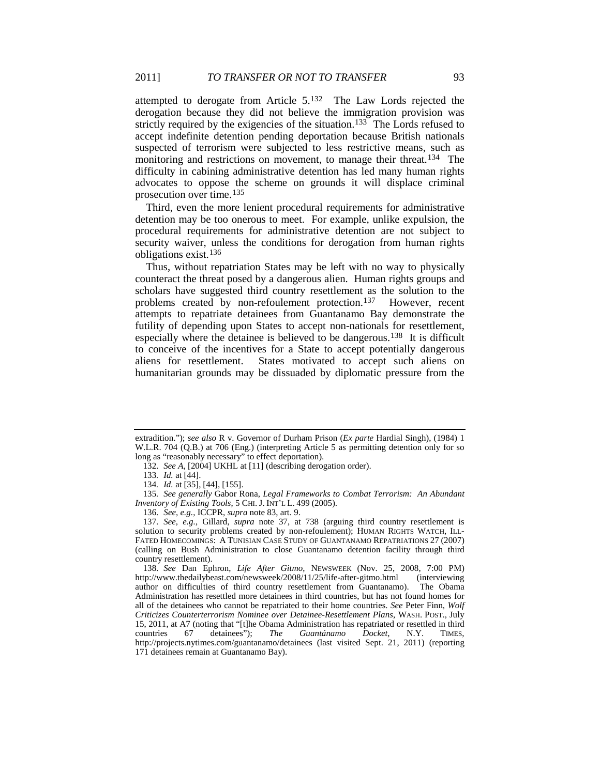attempted to derogate from Article 5.[132](#page-21-0) The Law Lords rejected the derogation because they did not believe the immigration provision was strictly required by the exigencies of the situation.<sup>133</sup> The Lords refused to accept indefinite detention pending deportation because British nationals suspected of terrorism were subjected to less restrictive means, such as monitoring and restrictions on movement, to manage their threat.<sup>134</sup> The difficulty in cabining administrative detention has led many human rights advocates to oppose the scheme on grounds it will displace criminal prosecution over time.[135](#page-21-3)

Third, even the more lenient procedural requirements for administrative detention may be too onerous to meet. For example, unlike expulsion, the procedural requirements for administrative detention are not subject to security waiver, unless the conditions for derogation from human rights obligations exist.[136](#page-21-4)

<span id="page-21-7"></span>Thus, without repatriation States may be left with no way to physically counteract the threat posed by a dangerous alien. Human rights groups and scholars have suggested third country resettlement as the solution to the problems created by non-refoulement protection.[137](#page-21-5) However, recent attempts to repatriate detainees from Guantanamo Bay demonstrate the futility of depending upon States to accept non-nationals for resettlement, especially where the detainee is believed to be dangerous.<sup>[138](#page-21-6)</sup> It is difficult to conceive of the incentives for a State to accept potentially dangerous aliens for resettlement. States motivated to accept such aliens on humanitarian grounds may be dissuaded by diplomatic pressure from the

<span id="page-21-0"></span>extradition."); *see also* R v. Governor of Durham Prison (*Ex parte* Hardial Singh), (1984) 1 W.L.R. 704 (Q.B.) at 706 (Eng.) (interpreting Article 5 as permitting detention only for so long as "reasonably necessary" to effect deportation).

<sup>132</sup>*. See A*, [2004] UKHL at [11] (describing derogation order).

<sup>133</sup>*. Id.* at [44].

<sup>134</sup>*. Id.* at [35], [44], [155].

<span id="page-21-3"></span><span id="page-21-2"></span><span id="page-21-1"></span><sup>135</sup>*. See generally* Gabor Rona, *Legal Frameworks to Combat Terrorism: An Abundant Inventory of Existing Tools*, 5 CHI. J. INT'L L. 499 (2005).

<sup>136</sup>*. See, e.g.*, ICCPR, *supra* not[e 83,](#page-14-1) art. 9.

<span id="page-21-5"></span><span id="page-21-4"></span><sup>137</sup>*. See, e.g.*, Gillard, *supra* note [37,](#page-7-5) at 738 (arguing third country resettlement is solution to security problems created by non-refoulement); HUMAN RIGHTS WATCH, ILL-FATED HOMECOMINGS: A TUNISIAN CASE STUDY OF GUANTANAMO REPATRIATIONS 27 (2007) (calling on Bush Administration to close Guantanamo detention facility through third country resettlement).

<span id="page-21-6"></span><sup>138</sup>*. See* Dan Ephron, *Life After Gitmo*, NEWSWEEK (Nov. 25, 2008, 7:00 PM) http://www.thedailybeast.com/newsweek/2008/11/25/life-after-gitmo.html (interviewing author on difficulties of third country resettlement from Guantanamo). The Obama Administration has resettled more detainees in third countries, but has not found homes for all of the detainees who cannot be repatriated to their home countries. *See* Peter Finn, *Wolf Criticizes Counterterrorism Nominee over Detainee-Resettlement Plans*, WASH. POST., July 15, 2011, at A7 (noting that "[t]he Obama Administration has repatriated or resettled in third countries 67 detainees"); The Guantánamo Docket, N.Y. TIMES, Guantánamo Docket, N.Y. TIMES, http://projects.nytimes.com/guantanamo/detainees (last visited Sept. 21, 2011) (reporting 171 detainees remain at Guantanamo Bay).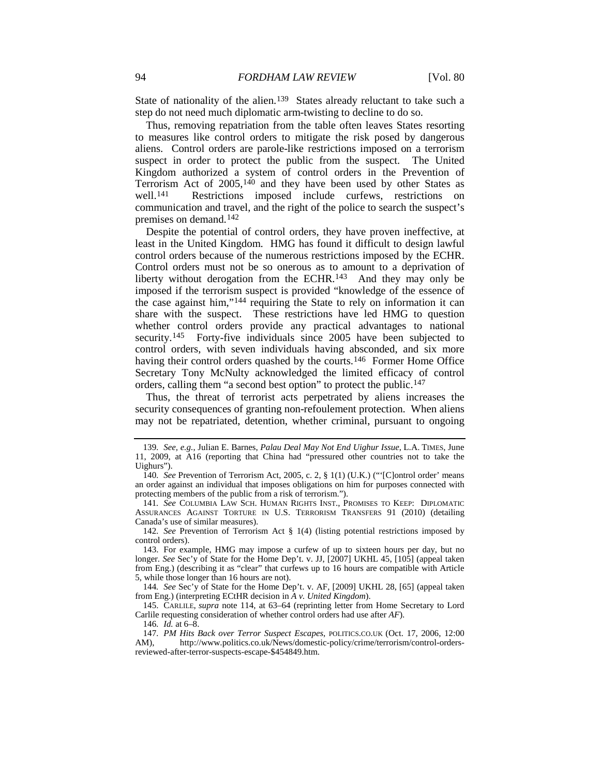State of nationality of the alien.<sup>139</sup> States already reluctant to take such a step do not need much diplomatic arm-twisting to decline to do so.

Thus, removing repatriation from the table often leaves States resorting to measures like control orders to mitigate the risk posed by dangerous aliens. Control orders are parole-like restrictions imposed on a terrorism suspect in order to protect the public from the suspect. The United Kingdom authorized a system of control orders in the Prevention of Terrorism Act of 2005, [140](#page-22-1) and they have been used by other States as well.<sup>[141](#page-22-2)</sup> Restrictions imposed include curfews, restrictions on communication and travel, and the right of the police to search the suspect's premises on demand.[142](#page-22-3)

<span id="page-22-9"></span>Despite the potential of control orders, they have proven ineffective, at least in the United Kingdom. HMG has found it difficult to design lawful control orders because of the numerous restrictions imposed by the ECHR. Control orders must not be so onerous as to amount to a deprivation of liberty without derogation from the ECHR.<sup>[143](#page-22-4)</sup> And they may only be imposed if the terrorism suspect is provided "knowledge of the essence of the case against him,"[144](#page-22-5) requiring the State to rely on information it can share with the suspect. These restrictions have led HMG to question whether control orders provide any practical advantages to national security.<sup>[145](#page-22-6)</sup> Forty-five individuals since 2005 have been subjected to control orders, with seven individuals having absconded, and six more having their control orders quashed by the courts.<sup>[146](#page-22-7)</sup> Former Home Office Secretary Tony McNulty acknowledged the limited efficacy of control orders, calling them "a second best option" to protect the public.<sup>[147](#page-22-8)</sup>

Thus, the threat of terrorist acts perpetrated by aliens increases the security consequences of granting non-refoulement protection. When aliens may not be repatriated, detention, whether criminal, pursuant to ongoing

<span id="page-22-5"></span>144*. See* Sec'y of State for the Home Dep't. v. AF, [2009] UKHL 28, [65] (appeal taken from Eng.) (interpreting ECtHR decision in *A v. United Kingdom*).

<span id="page-22-6"></span>145. CARLILE, *supra* note [114,](#page-18-9) at 63–64 (reprinting letter from Home Secretary to Lord Carlile requesting consideration of whether control orders had use after *AF*).

146*. Id.* at 6–8.

<span id="page-22-8"></span><span id="page-22-7"></span>147*. PM Hits Back over Terror Suspect Escapes*, POLITICS.CO.UK (Oct. 17, 2006, 12:00 AM), http://www.politics.co.uk/News/domestic-policy/crime/terrorism/control-ordersreviewed-after-terror-suspects-escape-\$454849.htm.

<span id="page-22-0"></span><sup>139</sup>*. See, e.g.*, Julian E. Barnes, *Palau Deal May Not End Uighur Issue*, L.A. TIMES, June 11, 2009, at A16 (reporting that China had "pressured other countries not to take the Uighurs").

<span id="page-22-1"></span><sup>140</sup>*. See* Prevention of Terrorism Act, 2005, c. 2, § 1(1) (U.K.) ("'[C]ontrol order' means an order against an individual that imposes obligations on him for purposes connected with protecting members of the public from a risk of terrorism.").

<span id="page-22-2"></span><sup>141</sup>*. See* COLUMBIA LAW SCH. HUMAN RIGHTS INST., PROMISES TO KEEP: DIPLOMATIC ASSURANCES AGAINST TORTURE IN U.S. TERRORISM TRANSFERS 91 (2010) (detailing Canada's use of similar measures).

<span id="page-22-3"></span><sup>142</sup>*. See* Prevention of Terrorism Act § 1(4) (listing potential restrictions imposed by control orders).

<span id="page-22-4"></span><sup>143.</sup> For example, HMG may impose a curfew of up to sixteen hours per day, but no longer. *See* Sec'y of State for the Home Dep't. v. JJ, [2007] UKHL 45, [105] (appeal taken from Eng.) (describing it as "clear" that curfews up to 16 hours are compatible with Article 5, while those longer than 16 hours are not).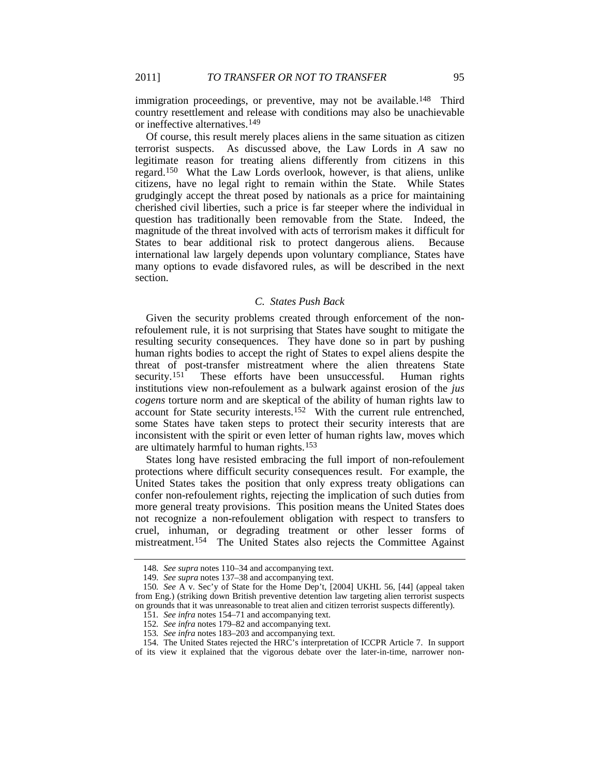immigration proceedings, or preventive, may not be available.<sup>148</sup> Third country resettlement and release with conditions may also be unachievable or ineffective alternatives.[149](#page-23-2)

Of course, this result merely places aliens in the same situation as citizen terrorist suspects. As discussed above, the Law Lords in *A* saw no legitimate reason for treating aliens differently from citizens in this regard. [150](#page-23-3) What the Law Lords overlook, however, is that aliens, unlike citizens, have no legal right to remain within the State. While States grudgingly accept the threat posed by nationals as a price for maintaining cherished civil liberties, such a price is far steeper where the individual in question has traditionally been removable from the State. Indeed, the magnitude of the threat involved with acts of terrorism makes it difficult for States to bear additional risk to protect dangerous aliens. Because international law largely depends upon voluntary compliance, States have many options to evade disfavored rules, as will be described in the next section.

# *C. States Push Back*

Given the security problems created through enforcement of the nonrefoulement rule, it is not surprising that States have sought to mitigate the resulting security consequences. They have done so in part by pushing human rights bodies to accept the right of States to expel aliens despite the threat of post-transfer mistreatment where the alien threatens State<br>security.<sup>151</sup> These efforts have been unsuccessful. Human rights These efforts have been unsuccessful. Human rights institutions view non-refoulement as a bulwark against erosion of the *jus cogens* torture norm and are skeptical of the ability of human rights law to account for State security interests.[152](#page-23-5) With the current rule entrenched, some States have taken steps to protect their security interests that are inconsistent with the spirit or even letter of human rights law, moves which are ultimately harmful to human rights.[153](#page-23-6)

States long have resisted embracing the full import of non-refoulement protections where difficult security consequences result. For example, the United States takes the position that only express treaty obligations can confer non-refoulement rights, rejecting the implication of such duties from more general treaty provisions. This position means the United States does not recognize a non-refoulement obligation with respect to transfers to cruel, inhuman, or degrading treatment or other lesser forms of mistreatment.<sup>[154](#page-23-7)</sup> The United States also rejects the Committee Against

<span id="page-23-0"></span><sup>148</sup>*. See supra* notes [110–](#page-18-10)34 and accompanying text.

<sup>149</sup>*. See supra* note[s 137–](#page-21-7)38 and accompanying text.

<span id="page-23-4"></span><span id="page-23-3"></span><span id="page-23-2"></span><span id="page-23-1"></span><sup>150</sup>*. See* A v. Sec'y of State for the Home Dep't, [2004] UKHL 56, [44] (appeal taken from Eng.) (striking down British preventive detention law targeting alien terrorist suspects on grounds that it was unreasonable to treat alien and citizen terrorist suspects differently).

<sup>151</sup>*. See infra* notes [154–](#page-23-0)71 and accompanying text.

<sup>152</sup>*. See infra* note[s 179–](#page-27-3)82 and accompanying text.

<sup>153</sup>*. See infra* note[s 183](#page-27-2)[–203](#page-29-0) and accompanying text.

<sup>154.</sup> The United States rejected the HRC's interpretation of ICCPR Article 7. In support

<span id="page-23-7"></span><span id="page-23-6"></span><span id="page-23-5"></span>of its view it explained that the vigorous debate over the later-in-time, narrower non-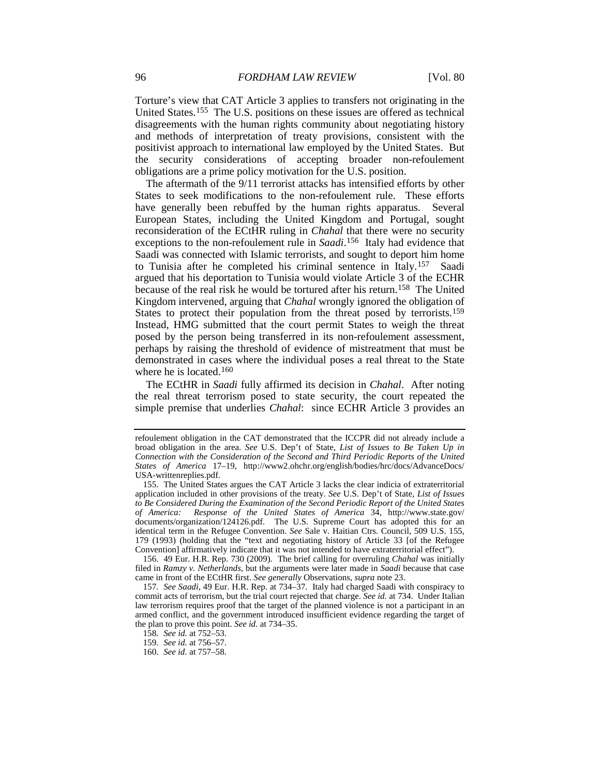<span id="page-24-7"></span>Torture's view that CAT Article 3 applies to transfers not originating in the United States.<sup>[155](#page-24-0)</sup> The U.S. positions on these issues are offered as technical disagreements with the human rights community about negotiating history and methods of interpretation of treaty provisions, consistent with the positivist approach to international law employed by the United States. But the security considerations of accepting broader non-refoulement obligations are a prime policy motivation for the U.S. position.

<span id="page-24-6"></span>The aftermath of the 9/11 terrorist attacks has intensified efforts by other States to seek modifications to the non-refoulement rule. These efforts have generally been rebuffed by the human rights apparatus. Several European States, including the United Kingdom and Portugal, sought reconsideration of the ECtHR ruling in *Chahal* that there were no security exceptions to the non-refoulement rule in *Saadi*. [156](#page-24-1) Italy had evidence that Saadi was connected with Islamic terrorists, and sought to deport him home to Tunisia after he completed his criminal sentence in Italy.[157](#page-24-2) Saadi argued that his deportation to Tunisia would violate Article 3 of the ECHR because of the real risk he would be tortured after his return.[158](#page-24-3) The United Kingdom intervened, arguing that *Chahal* wrongly ignored the obligation of States to protect their population from the threat posed by terrorists.<sup>[159](#page-24-4)</sup> Instead, HMG submitted that the court permit States to weigh the threat posed by the person being transferred in its non-refoulement assessment, perhaps by raising the threshold of evidence of mistreatment that must be demonstrated in cases where the individual poses a real threat to the State where he is located.<sup>[160](#page-24-5)</sup>

The ECtHR in *Saadi* fully affirmed its decision in *Chahal*. After noting the real threat terrorism posed to state security, the court repeated the simple premise that underlies *Chahal*: since ECHR Article 3 provides an

refoulement obligation in the CAT demonstrated that the ICCPR did not already include a broad obligation in the area. *See* U.S. Dep't of State, *List of Issues to Be Taken Up in Connection with the Consideration of the Second and Third Periodic Reports of the United States of America* 17–19, http://www2.ohchr.org/english/bodies/hrc/docs/AdvanceDocs/ USA-writtenreplies.pdf.

<span id="page-24-0"></span><sup>155.</sup> The United States argues the CAT Article 3 lacks the clear indicia of extraterritorial application included in other provisions of the treaty. *See* U.S. Dep't of State, *List of Issues to Be Considered During the Examination of the Second Periodic Report of the United States of America: Response of the United States of America* 34, http://www.state.gov/ documents/organization/124126.pdf. The U.S. Supreme Court has adopted this for an identical term in the Refugee Convention. *See* Sale v. Haitian Ctrs. Council, 509 U.S. 155, 179 (1993) (holding that the "text and negotiating history of Article 33 [of the Refugee Convention] affirmatively indicate that it was not intended to have extraterritorial effect").

<span id="page-24-1"></span><sup>156.</sup> 49 Eur. H.R. Rep. 730 (2009). The brief calling for overruling *Chahal* was initially filed in *Ramzy v. Netherlands*, but the arguments were later made in *Saadi* because that case came in front of the ECtHR first. *See generally* Observations, *supra* not[e 23.](#page-5-9)

<span id="page-24-3"></span><span id="page-24-2"></span><sup>157</sup>*. See Saadi*, 49 Eur. H.R. Rep. at 734–37. Italy had charged Saadi with conspiracy to commit acts of terrorism, but the trial court rejected that charge. *See id.* at 734. Under Italian law terrorism requires proof that the target of the planned violence is not a participant in an armed conflict, and the government introduced insufficient evidence regarding the target of the plan to prove this point. *See id.* at 734–35.

<sup>158</sup>*. See id.* at 752–53.

<sup>159</sup>*. See id.* at 756–57.

<span id="page-24-5"></span><span id="page-24-4"></span><sup>160</sup>*. See id.* at 757–58.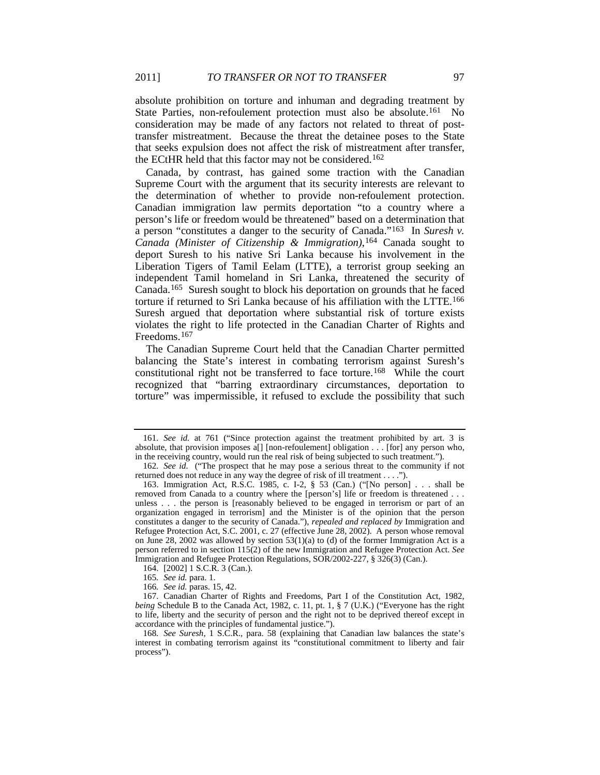<span id="page-25-8"></span>absolute prohibition on torture and inhuman and degrading treatment by State Parties, non-refoulement protection must also be absolute.<sup>[161](#page-25-0)</sup> No consideration may be made of any factors not related to threat of posttransfer mistreatment. Because the threat the detainee poses to the State that seeks expulsion does not affect the risk of mistreatment after transfer, the ECtHR held that this factor may not be considered.[162](#page-25-1)

<span id="page-25-9"></span>Canada, by contrast, has gained some traction with the Canadian Supreme Court with the argument that its security interests are relevant to the determination of whether to provide non-refoulement protection. Canadian immigration law permits deportation "to a country where a person's life or freedom would be threatened" based on a determination that a person "constitutes a danger to the security of Canada."[163](#page-25-2) In *Suresh v. Canada (Minister of Citizenship & Immigration)*,[164](#page-25-3) Canada sought to deport Suresh to his native Sri Lanka because his involvement in the Liberation Tigers of Tamil Eelam (LTTE), a terrorist group seeking an independent Tamil homeland in Sri Lanka, threatened the security of Canada.[165](#page-25-4) Suresh sought to block his deportation on grounds that he faced torture if returned to Sri Lanka because of his affiliation with the LTTE.[166](#page-25-5) Suresh argued that deportation where substantial risk of torture exists violates the right to life protected in the Canadian Charter of Rights and Freedoms.[167](#page-25-6)

<span id="page-25-10"></span>The Canadian Supreme Court held that the Canadian Charter permitted balancing the State's interest in combating terrorism against Suresh's constitutional right not be transferred to face torture.[168](#page-25-7) While the court recognized that "barring extraordinary circumstances, deportation to torture" was impermissible, it refused to exclude the possibility that such

<span id="page-25-0"></span><sup>161</sup>*. See id.* at 761 ("Since protection against the treatment prohibited by art. 3 is absolute, that provision imposes a[] [non-refoulement] obligation . . . [for] any person who, in the receiving country, would run the real risk of being subjected to such treatment.").

<span id="page-25-1"></span><sup>162</sup>*. See id.* ("The prospect that he may pose a serious threat to the community if not returned does not reduce in any way the degree of risk of ill treatment . . . .").

<span id="page-25-2"></span><sup>163.</sup> Immigration Act, R.S.C. 1985, c. I-2, § 53 (Can.) ("[No person] . . . shall be removed from Canada to a country where the [person's] life or freedom is threatened . . . unless . . . the person is [reasonably believed to be engaged in terrorism or part of an organization engaged in terrorism] and the Minister is of the opinion that the person constitutes a danger to the security of Canada."), *repealed and replaced by* Immigration and Refugee Protection Act, S.C. 2001, c. 27 (effective June 28, 2002). A person whose removal on June 28, 2002 was allowed by section  $53(1)(a)$  to (d) of the former Immigration Act is a person referred to in section 115(2) of the new Immigration and Refugee Protection Act. *See* Immigration and Refugee Protection Regulations, SOR/2002-227, § 326(3) (Can.).

<sup>164.</sup> [2002] 1 S.C.R. 3 (Can.).

<sup>165</sup>*. See id.* para. 1.

<sup>166</sup>*. See id.* paras. 15, 42.

<span id="page-25-6"></span><span id="page-25-5"></span><span id="page-25-4"></span><span id="page-25-3"></span><sup>167.</sup> Canadian Charter of Rights and Freedoms, Part I of the Constitution Act, 1982, *being* Schedule B to the Canada Act, 1982, c. 11, pt. 1, § 7 (U.K.) ("Everyone has the right to life, liberty and the security of person and the right not to be deprived thereof except in accordance with the principles of fundamental justice.").

<span id="page-25-7"></span><sup>168</sup>*. See Suresh*, 1 S.C.R., para. 58 (explaining that Canadian law balances the state's interest in combating terrorism against its "constitutional commitment to liberty and fair process").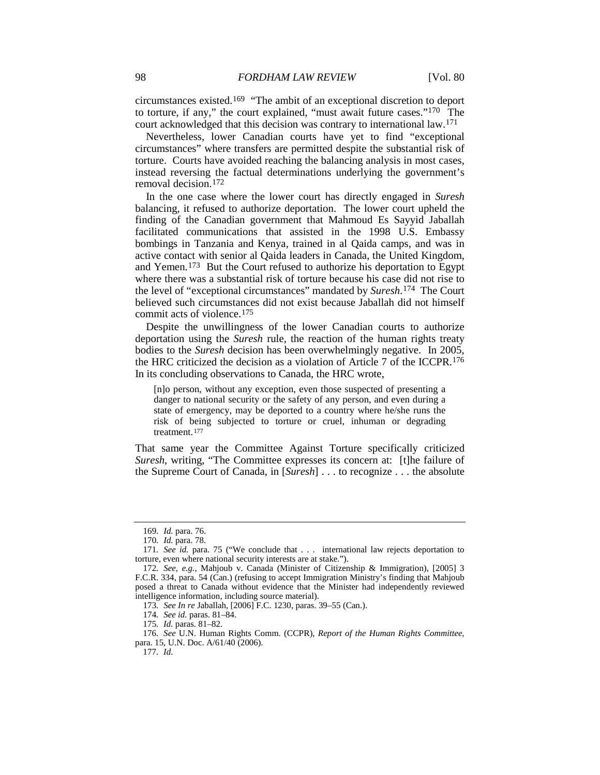circumstances existed.[169](#page-26-0) "The ambit of an exceptional discretion to deport to torture, if any," the court explained, "must await future cases."[170](#page-26-1) The court acknowledged that this decision was contrary to international law.[171](#page-26-2)

Nevertheless, lower Canadian courts have yet to find "exceptional circumstances" where transfers are permitted despite the substantial risk of torture. Courts have avoided reaching the balancing analysis in most cases, instead reversing the factual determinations underlying the government's removal decision.[172](#page-26-3)

<span id="page-26-10"></span>In the one case where the lower court has directly engaged in *Suresh* balancing, it refused to authorize deportation. The lower court upheld the finding of the Canadian government that Mahmoud Es Sayyid Jaballah facilitated communications that assisted in the 1998 U.S. Embassy bombings in Tanzania and Kenya, trained in al Qaida camps, and was in active contact with senior al Qaida leaders in Canada, the United Kingdom, and Yemen. [173](#page-26-4) But the Court refused to authorize his deportation to Egypt where there was a substantial risk of torture because his case did not rise to the level of "exceptional circumstances" mandated by *Suresh*.[174](#page-26-5) The Court believed such circumstances did not exist because Jaballah did not himself commit acts of violence.[175](#page-26-6)

Despite the unwillingness of the lower Canadian courts to authorize deportation using the *Suresh* rule, the reaction of the human rights treaty bodies to the *Suresh* decision has been overwhelmingly negative. In 2005, the HRC criticized the decision as a violation of Article 7 of the ICCPR.[176](#page-26-7) In its concluding observations to Canada, the HRC wrote,

<span id="page-26-9"></span>[n]o person, without any exception, even those suspected of presenting a danger to national security or the safety of any person, and even during a state of emergency, may be deported to a country where he/she runs the risk of being subjected to torture or cruel, inhuman or degrading treatment. [177](#page-26-8)

That same year the Committee Against Torture specifically criticized *Suresh*, writing, "The Committee expresses its concern at: [t]he failure of the Supreme Court of Canada, in [*Suresh*] . . . to recognize . . . the absolute

<sup>169</sup>*. Id.* para. 76.

<sup>170</sup>*. Id.* para. 78.

<span id="page-26-2"></span><span id="page-26-1"></span><span id="page-26-0"></span><sup>171</sup>*. See id.* para. 75 ("We conclude that . . . international law rejects deportation to torture, even where national security interests are at stake.").

<span id="page-26-3"></span><sup>172</sup>*. See, e.g.*, Mahjoub v. Canada (Minister of Citizenship & Immigration), [2005] 3 F.C.R. 334, para. 54 (Can.) (refusing to accept Immigration Ministry's finding that Mahjoub posed a threat to Canada without evidence that the Minister had independently reviewed intelligence information, including source material).

<sup>173</sup>*. See In re* Jaballah, [2006] F.C. 1230, paras. 39–55 (Can.).

<sup>174</sup>*. See id.* paras. 81–84.

<sup>175</sup>*. Id.* paras. 81–82.

<span id="page-26-8"></span><span id="page-26-7"></span><span id="page-26-6"></span><span id="page-26-5"></span><span id="page-26-4"></span><sup>176</sup>*. See* U.N. Human Rights Comm. (CCPR), *Report of the Human Rights Committee*, para. 15, U.N. Doc. A/61/40 (2006).

<sup>177</sup>*. Id.*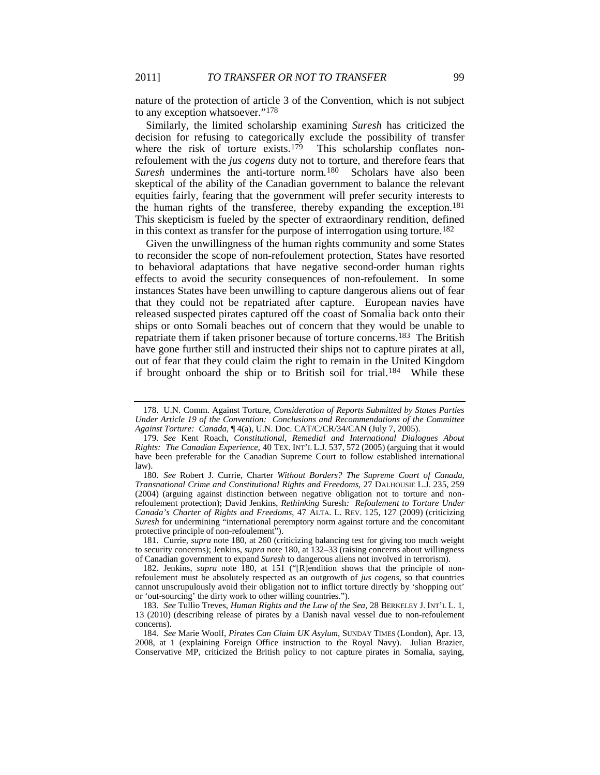nature of the protection of article 3 of the Convention, which is not subject to any exception whatsoever."[178](#page-27-5)

<span id="page-27-4"></span><span id="page-27-3"></span>Similarly, the limited scholarship examining *Suresh* has criticized the decision for refusing to categorically exclude the possibility of transfer where the risk of torture exists.<sup>[179](#page-27-6)</sup> This scholarship conflates nonrefoulement with the *jus cogens* duty not to torture, and therefore fears that *Suresh* undermines the anti-torture norm.<sup>180</sup> Scholars have also been skeptical of the ability of the Canadian government to balance the relevant equities fairly, fearing that the government will prefer security interests to the human rights of the transferee, thereby expanding the exception.[181](#page-27-8) This skepticism is fueled by the specter of extraordinary rendition, defined in this context as transfer for the purpose of interrogation using torture.<sup>182</sup>

<span id="page-27-1"></span><span id="page-27-0"></span>Given the unwillingness of the human rights community and some States to reconsider the scope of non-refoulement protection, States have resorted to behavioral adaptations that have negative second-order human rights effects to avoid the security consequences of non-refoulement. In some instances States have been unwilling to capture dangerous aliens out of fear that they could not be repatriated after capture. European navies have released suspected pirates captured off the coast of Somalia back onto their ships or onto Somali beaches out of concern that they would be unable to repatriate them if taken prisoner because of torture concerns.[183](#page-27-10) The British have gone further still and instructed their ships not to capture pirates at all, out of fear that they could claim the right to remain in the United Kingdom if brought onboard the ship or to British soil for trial.<sup>[184](#page-27-11)</sup> While these

<span id="page-27-5"></span><span id="page-27-2"></span><sup>178.</sup> U.N. Comm. Against Torture, *Consideration of Reports Submitted by States Parties Under Article 19 of the Convention: Conclusions and Recommendations of the Committee Against Torture: Canada*, ¶ 4(a), U.N. Doc. CAT/C/CR/34/CAN (July 7, 2005).

<span id="page-27-6"></span><sup>179</sup>*. See* Kent Roach, *Constitutional, Remedial and International Dialogues About Rights: The Canadian Experience*, 40 TEX. INT'L L.J. 537, 572 (2005) (arguing that it would have been preferable for the Canadian Supreme Court to follow established international law).

<span id="page-27-7"></span><sup>180</sup>*. See* Robert J. Currie, Charter *Without Borders? The Supreme Court of Canada, Transnational Crime and Constitutional Rights and Freedoms*, 27 DALHOUSIE L.J. 235, 259 (2004) (arguing against distinction between negative obligation not to torture and nonrefoulement protection); David Jenkins, *Rethinking* Suresh*: Refoulement to Torture Under Canada's Charter of Rights and Freedoms*, 47 ALTA. L. REV. 125, 127 (2009) (criticizing *Suresh* for undermining "international peremptory norm against torture and the concomitant protective principle of non-refoulement").

<span id="page-27-8"></span><sup>181.</sup> Currie, *supra* note [180,](#page-27-4) at 260 (criticizing balancing test for giving too much weight to security concerns); Jenkins, *supra* not[e 180,](#page-27-4) at 132–33 (raising concerns about willingness of Canadian government to expand *Suresh* to dangerous aliens not involved in terrorism).

<span id="page-27-9"></span><sup>182.</sup> Jenkins, *supra* note [180,](#page-27-4) at 151 ("[R]endition shows that the principle of nonrefoulement must be absolutely respected as an outgrowth of *jus cogens*, so that countries cannot unscrupulously avoid their obligation not to inflict torture directly by 'shopping out' or 'out-sourcing' the dirty work to other willing countries.").

<span id="page-27-10"></span><sup>183</sup>*. See* Tullio Treves, *Human Rights and the Law of the Sea*, 28 BERKELEY J. INT'L L. 1, 13 (2010) (describing release of pirates by a Danish naval vessel due to non-refoulement concerns).

<span id="page-27-11"></span><sup>184</sup>*. See* Marie Woolf, *Pirates Can Claim UK Asylum*, SUNDAY TIMES (London), Apr. 13, 2008, at 1 (explaining Foreign Office instruction to the Royal Navy). Julian Brazier, Conservative MP, criticized the British policy to not capture pirates in Somalia, saying,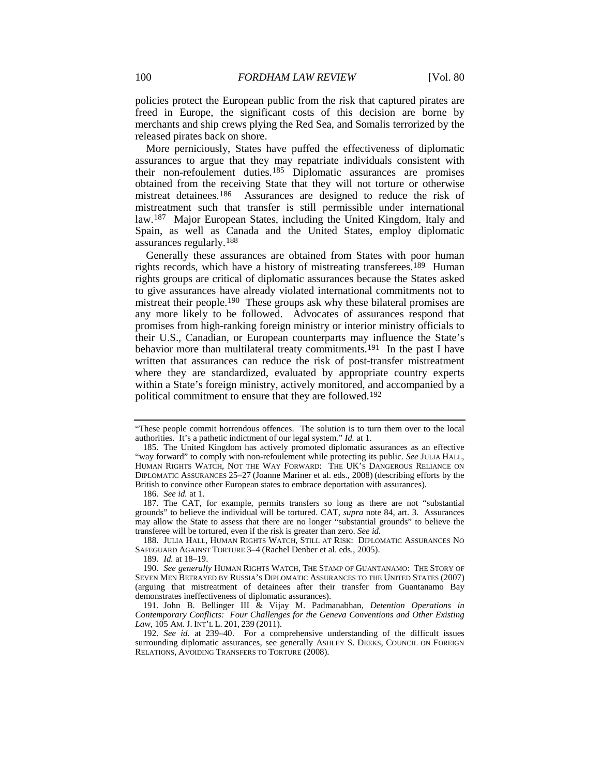policies protect the European public from the risk that captured pirates are freed in Europe, the significant costs of this decision are borne by merchants and ship crews plying the Red Sea, and Somalis terrorized by the released pirates back on shore.

<span id="page-28-0"></span>More perniciously, States have puffed the effectiveness of diplomatic assurances to argue that they may repatriate individuals consistent with their non-refoulement duties.[185](#page-28-1) Diplomatic assurances are promises obtained from the receiving State that they will not torture or otherwise mistreat detainees.<sup>[186](#page-28-2)</sup> Assurances are designed to reduce the risk of mistreatment such that transfer is still permissible under international law.[187](#page-28-3) Major European States, including the United Kingdom, Italy and Spain, as well as Canada and the United States, employ diplomatic assurances regularly.[188](#page-28-4)

Generally these assurances are obtained from States with poor human rights records, which have a history of mistreating transferees.<sup>[189](#page-28-5)</sup> Human rights groups are critical of diplomatic assurances because the States asked to give assurances have already violated international commitments not to mistreat their people.<sup>190</sup> These groups ask why these bilateral promises are any more likely to be followed. Advocates of assurances respond that promises from high-ranking foreign ministry or interior ministry officials to their U.S., Canadian, or European counterparts may influence the State's behavior more than multilateral treaty commitments.<sup>[191](#page-28-7)</sup> In the past I have written that assurances can reduce the risk of post-transfer mistreatment where they are standardized, evaluated by appropriate country experts within a State's foreign ministry, actively monitored, and accompanied by a political commitment to ensure that they are followed.[192](#page-28-8)

186*. See id.* at 1.

<span id="page-28-4"></span>188. JULIA HALL, HUMAN RIGHTS WATCH, STILL AT RISK: DIPLOMATIC ASSURANCES NO SAFEGUARD AGAINST TORTURE 3–4 (Rachel Denber et al. eds., 2005).

189. *Id.* at 18–19.

<span id="page-28-9"></span><sup>&</sup>quot;These people commit horrendous offences. The solution is to turn them over to the local authorities. It's a pathetic indictment of our legal system." *Id.* at 1.

<span id="page-28-1"></span><sup>185.</sup> The United Kingdom has actively promoted diplomatic assurances as an effective "way forward" to comply with non-refoulement while protecting its public. *See* JULIA HALL, HUMAN RIGHTS WATCH, NOT THE WAY FORWARD: THE UK'S DANGEROUS RELIANCE ON DIPLOMATIC ASSURANCES 25–27 (Joanne Mariner et al. eds., 2008) (describing efforts by the British to convince other European states to embrace deportation with assurances).

<span id="page-28-3"></span><span id="page-28-2"></span><sup>187.</sup> The CAT, for example, permits transfers so long as there are not "substantial grounds" to believe the individual will be tortured. CAT, *supra* note [84,](#page-15-4) art. 3. Assurances may allow the State to assess that there are no longer "substantial grounds" to believe the transferee will be tortured, even if the risk is greater than zero. *See id.*

<span id="page-28-6"></span><span id="page-28-5"></span><sup>190</sup>*. See generally* HUMAN RIGHTS WATCH, THE STAMP OF GUANTANAMO: THE STORY OF SEVEN MEN BETRAYED BY RUSSIA'S DIPLOMATIC ASSURANCES TO THE UNITED STATES (2007) (arguing that mistreatment of detainees after their transfer from Guantanamo Bay demonstrates ineffectiveness of diplomatic assurances).

<span id="page-28-7"></span><sup>191.</sup> John B. Bellinger III & Vijay M. Padmanabhan, *Detention Operations in Contemporary Conflicts: Four Challenges for the Geneva Conventions and Other Existing*  Law, 105 AM. J. INT'L L. 201, 239 (2011).

<span id="page-28-8"></span><sup>192</sup>*. See id.* at 239–40. For a comprehensive understanding of the difficult issues surrounding diplomatic assurances, see generally ASHLEY S. DEEKS, COUNCIL ON FOREIGN RELATIONS, AVOIDING TRANSFERS TO TORTURE (2008).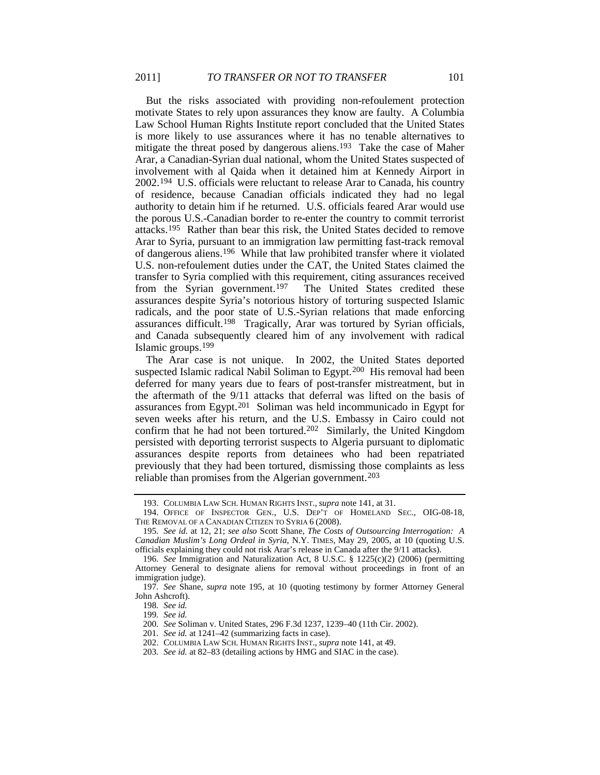<span id="page-29-1"></span>But the risks associated with providing non-refoulement protection motivate States to rely upon assurances they know are faulty. A Columbia Law School Human Rights Institute report concluded that the United States is more likely to use assurances where it has no tenable alternatives to mitigate the threat posed by dangerous aliens.[193](#page-29-2) Take the case of Maher Arar, a Canadian-Syrian dual national, whom the United States suspected of involvement with al Qaida when it detained him at Kennedy Airport in 2002.[194](#page-29-3) U.S. officials were reluctant to release Arar to Canada, his country of residence, because Canadian officials indicated they had no legal authority to detain him if he returned. U.S. officials feared Arar would use the porous U.S.-Canadian border to re-enter the country to commit terrorist attacks.[195](#page-29-4) Rather than bear this risk, the United States decided to remove Arar to Syria, pursuant to an immigration law permitting fast-track removal of dangerous aliens.[196](#page-29-5) While that law prohibited transfer where it violated U.S. non-refoulement duties under the CAT, the United States claimed the transfer to Syria complied with this requirement, citing assurances received from the Syrian government.<sup>[197](#page-29-6)</sup> The United States credited these assurances despite Syria's notorious history of torturing suspected Islamic radicals, and the poor state of U.S.-Syrian relations that made enforcing assurances difficult.[198](#page-29-7) Tragically, Arar was tortured by Syrian officials, and Canada subsequently cleared him of any involvement with radical Islamic groups.[199](#page-29-8)

The Arar case is not unique. In 2002, the United States deported suspected Islamic radical Nabil Soliman to Egypt.<sup>200</sup> His removal had been deferred for many years due to fears of post-transfer mistreatment, but in the aftermath of the 9/11 attacks that deferral was lifted on the basis of assurances from Egypt.[201](#page-29-10) Soliman was held incommunicado in Egypt for seven weeks after his return, and the U.S. Embassy in Cairo could not confirm that he had not been tortured.[202](#page-29-11) Similarly, the United Kingdom persisted with deporting terrorist suspects to Algeria pursuant to diplomatic assurances despite reports from detainees who had been repatriated previously that they had been tortured, dismissing those complaints as less reliable than promises from the Algerian government.<sup>[203](#page-29-12)</sup>

<span id="page-29-0"></span><sup>193.</sup> COLUMBIA LAW SCH. HUMAN RIGHTS INST., *supra* note [141,](#page-22-9) at 31.

<span id="page-29-3"></span><span id="page-29-2"></span><sup>194.</sup> OFFICE OF INSPECTOR GEN., U.S. DEP'T OF HOMELAND SEC., OIG-08-18, THE REMOVAL OF A CANADIAN CITIZEN TO SYRIA 6 (2008).

<span id="page-29-4"></span><sup>195</sup>*. See id.* at 12, 21; *see also* Scott Shane, *The Costs of Outsourcing Interrogation: A Canadian Muslim's Long Ordeal in Syria*, N.Y. TIMES, May 29, 2005, at 10 (quoting U.S. officials explaining they could not risk Arar's release in Canada after the 9/11 attacks).

<span id="page-29-5"></span><sup>196</sup>*. See* Immigration and Naturalization Act, 8 U.S.C. § 1225(c)(2) (2006) (permitting Attorney General to designate aliens for removal without proceedings in front of an immigration judge).

<span id="page-29-9"></span><span id="page-29-8"></span><span id="page-29-7"></span><span id="page-29-6"></span><sup>197</sup>*. See* Shane, *supra* note [195,](#page-29-1) at 10 (quoting testimony by former Attorney General John Ashcroft).

<sup>198</sup>*. See id.*

<sup>199</sup>*. See id.*

<span id="page-29-10"></span><sup>200</sup>*. See* Soliman v. United States, 296 F.3d 1237, 1239–40 (11th Cir. 2002).

<sup>201</sup>*. See id.* at 1241–42 (summarizing facts in case).

<sup>202.</sup> COLUMBIA LAW SCH. HUMAN RIGHTS INST., *supra* note [141,](#page-22-9) at 49.

<span id="page-29-12"></span><span id="page-29-11"></span><sup>203</sup>*. See id.* at 82–83 (detailing actions by HMG and SIAC in the case).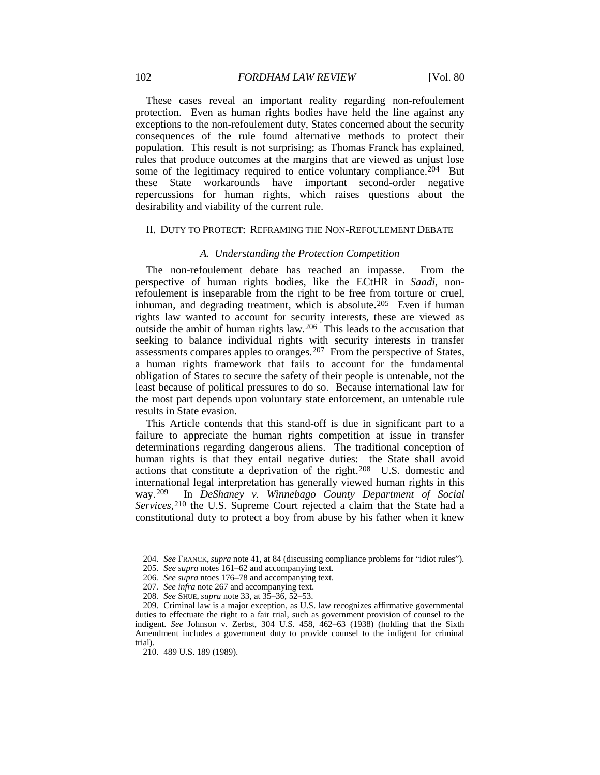These cases reveal an important reality regarding non-refoulement protection. Even as human rights bodies have held the line against any exceptions to the non-refoulement duty, States concerned about the security consequences of the rule found alternative methods to protect their population. This result is not surprising; as Thomas Franck has explained, rules that produce outcomes at the margins that are viewed as unjust lose some of the legitimacy required to entice voluntary compliance.<sup>204</sup> But these State workarounds have important second-order negative repercussions for human rights, which raises questions about the desirability and viability of the current rule.

#### II. DUTY TO PROTECT: REFRAMING THE NON-REFOULEMENT DEBATE

## *A. Understanding the Protection Competition*

The non-refoulement debate has reached an impasse. From the perspective of human rights bodies, like the ECtHR in *Saadi*, nonrefoulement is inseparable from the right to be free from torture or cruel, inhuman, and degrading treatment, which is absolute.<sup>205</sup> Even if human rights law wanted to account for security interests, these are viewed as outside the ambit of human rights law.[206](#page-30-3) This leads to the accusation that seeking to balance individual rights with security interests in transfer assessments compares apples to oranges.<sup>[207](#page-30-4)</sup> From the perspective of States, a human rights framework that fails to account for the fundamental obligation of States to secure the safety of their people is untenable, not the least because of political pressures to do so. Because international law for the most part depends upon voluntary state enforcement, an untenable rule results in State evasion.

This Article contends that this stand-off is due in significant part to a failure to appreciate the human rights competition at issue in transfer determinations regarding dangerous aliens. The traditional conception of human rights is that they entail negative duties: the State shall avoid actions that constitute a deprivation of the right. [208](#page-30-5) U.S. domestic and international legal interpretation has generally viewed human rights in this way.<sup>209</sup> In *DeShaney v. Winnebago County Department of Social* In *DeShaney v. Winnebago County Department of Social* Services,<sup>[210](#page-30-7)</sup> the U.S. Supreme Court rejected a claim that the State had a constitutional duty to protect a boy from abuse by his father when it knew

<span id="page-30-0"></span><sup>204</sup>*. See* FRANCK, *supra* note [41,](#page-9-6) at 84 (discussing compliance problems for "idiot rules").

<sup>205</sup>*. See supra* note[s 161–](#page-25-8)62 and accompanying text.

<sup>206</sup>*. See supra* ntoe[s 176–](#page-26-9)78 and accompanying text.

<sup>207</sup>*. See infra* not[e 267](#page-40-0) and accompanying text.

<sup>208</sup>*. See* SHUE, *supra* not[e 33,](#page-6-7) at 35–36, 52–53.

<span id="page-30-7"></span><span id="page-30-6"></span><span id="page-30-5"></span><span id="page-30-4"></span><span id="page-30-3"></span><span id="page-30-2"></span><span id="page-30-1"></span><sup>209.</sup> Criminal law is a major exception, as U.S. law recognizes affirmative governmental duties to effectuate the right to a fair trial, such as government provision of counsel to the indigent. *See* Johnson v. Zerbst, 304 U.S. 458, 462–63 (1938) (holding that the Sixth Amendment includes a government duty to provide counsel to the indigent for criminal trial).

<sup>210.</sup> 489 U.S. 189 (1989).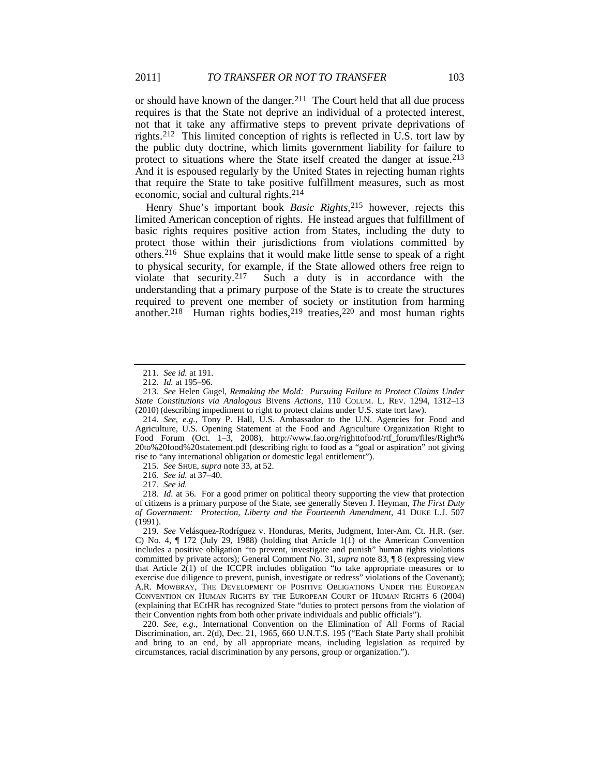or should have known of the danger.[211](#page-31-1) The Court held that all due process requires is that the State not deprive an individual of a protected interest, not that it take any affirmative steps to prevent private deprivations of rights.[212](#page-31-2) This limited conception of rights is reflected in U.S. tort law by the public duty doctrine, which limits government liability for failure to protect to situations where the State itself created the danger at issue.[213](#page-31-3) And it is espoused regularly by the United States in rejecting human rights that require the State to take positive fulfillment measures, such as most economic, social and cultural rights.[214](#page-31-4)

Henry Shue's important book *Basic Rights,*[215](#page-31-5) however, rejects this limited American conception of rights. He instead argues that fulfillment of basic rights requires positive action from States, including the duty to protect those within their jurisdictions from violations committed by others.[216](#page-31-6) Shue explains that it would make little sense to speak of a right to physical security, for example, if the State allowed others free reign to violate that security.[217](#page-31-7) Such a duty is in accordance with the understanding that a primary purpose of the State is to create the structures required to prevent one member of society or institution from harming another.<sup>[218](#page-31-8)</sup> Human rights bodies,<sup>[219](#page-31-9)</sup> treaties,<sup>[220](#page-31-10)</sup> and most human rights

215*. See* SHUE, *supra* note [33,](#page-6-7) at 52.

217*. See id.*

<span id="page-31-0"></span><sup>211</sup>*. See id.* at 191.

<sup>212</sup>*. Id.* at 195–96.

<span id="page-31-3"></span><span id="page-31-2"></span><span id="page-31-1"></span><sup>213</sup>*. See* Helen Gugel, *Remaking the Mold: Pursuing Failure to Protect Claims Under State Constitutions via Analogous* Bivens *Actions*, 110 COLUM. L. REV. 1294, 1312–13 (2010) (describing impediment to right to protect claims under U.S. state tort law).

<span id="page-31-4"></span><sup>214</sup>*. See, e.g.*, Tony P. Hall, U.S. Ambassador to the U.N. Agencies for Food and Agriculture, U.S. Opening Statement at the Food and Agriculture Organization Right to Food Forum (Oct. 1–3, 2008), http://www.fao.org/righttofood/rtf\_forum/files/Right% 20to%20food%20statement.pdf (describing right to food as a "goal or aspiration" not giving rise to "any international obligation or domestic legal entitlement").

<sup>216</sup>*. See id.* at 37–40.

<span id="page-31-8"></span><span id="page-31-7"></span><span id="page-31-6"></span><span id="page-31-5"></span><sup>218</sup>*. Id.* at 56. For a good primer on political theory supporting the view that protection of citizens is a primary purpose of the State, see generally Steven J. Heyman, *The First Duty of Government: Protection, Liberty and the Fourteenth Amendment*, 41 DUKE L.J. 507 (1991).

<span id="page-31-9"></span><sup>219</sup>*. See* Velásquez-Rodríguez v. Honduras, Merits, Judgment, Inter-Am. Ct. H.R. (ser. C) No. 4,  $\P$  172 (July 29, 1988) (holding that Article 1(1) of the American Convention includes a positive obligation "to prevent, investigate and punish" human rights violations committed by private actors); General Comment No. 31, *supra* not[e 83,](#page-14-1) ¶ 8 (expressing view that Article 2(1) of the ICCPR includes obligation "to take appropriate measures or to exercise due diligence to prevent, punish, investigate or redress" violations of the Covenant); A.R. MOWBRAY, THE DEVELOPMENT OF POSITIVE OBLIGATIONS UNDER THE EUROPEAN CONVENTION ON HUMAN RIGHTS BY THE EUROPEAN COURT OF HUMAN RIGHTS 6 (2004) (explaining that ECtHR has recognized State "duties to protect persons from the violation of their Convention rights from both other private individuals and public officials").

<span id="page-31-10"></span><sup>220</sup>*. See, e.g.*, International Convention on the Elimination of All Forms of Racial Discrimination, art. 2(d), Dec. 21, 1965, 660 U.N.T.S. 195 ("Each State Party shall prohibit and bring to an end, by all appropriate means, including legislation as required by circumstances, racial discrimination by any persons, group or organization.").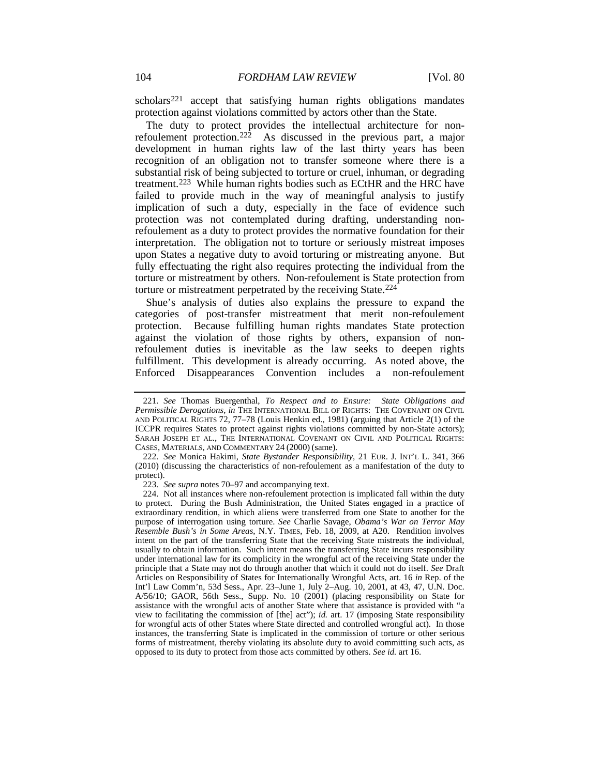scholars<sup>[221](#page-32-0)</sup> accept that satisfying human rights obligations mandates protection against violations committed by actors other than the State.

<span id="page-32-5"></span>The duty to protect provides the intellectual architecture for nonrefoulement protection. [222](#page-32-1) As discussed in the previous part, a major development in human rights law of the last thirty years has been recognition of an obligation not to transfer someone where there is a substantial risk of being subjected to torture or cruel, inhuman, or degrading treatment.[223](#page-32-2) While human rights bodies such as ECtHR and the HRC have failed to provide much in the way of meaningful analysis to justify implication of such a duty, especially in the face of evidence such protection was not contemplated during drafting, understanding nonrefoulement as a duty to protect provides the normative foundation for their interpretation. The obligation not to torture or seriously mistreat imposes upon States a negative duty to avoid torturing or mistreating anyone. But fully effectuating the right also requires protecting the individual from the torture or mistreatment by others. Non-refoulement is State protection from torture or mistreatment perpetrated by the receiving State.<sup>[224](#page-32-3)</sup>

<span id="page-32-4"></span>Shue's analysis of duties also explains the pressure to expand the categories of post-transfer mistreatment that merit non-refoulement protection. Because fulfilling human rights mandates State protection against the violation of those rights by others, expansion of nonrefoulement duties is inevitable as the law seeks to deepen rights fulfillment. This development is already occurring. As noted above, the Enforced Disappearances Convention includes a non-refoulement

223*. See supra* note[s 70](#page-13-1)[–97](#page-16-1) and accompanying text.

<span id="page-32-0"></span><sup>221</sup>*. See* Thomas Buergenthal, *To Respect and to Ensure: State Obligations and Permissible Derogations*, *in* THE INTERNATIONAL BILL OF RIGHTS: THE COVENANT ON CIVIL AND POLITICAL RIGHTS 72, 77–78 (Louis Henkin ed., 1981) (arguing that Article 2(1) of the ICCPR requires States to protect against rights violations committed by non-State actors); SARAH JOSEPH ET AL., THE INTERNATIONAL COVENANT ON CIVIL AND POLITICAL RIGHTS: CASES, MATERIALS, AND COMMENTARY 24 (2000) (same).

<span id="page-32-1"></span><sup>222</sup>*. See* Monica Hakimi, *State Bystander Responsibility*, 21 EUR. J. INT'L L. 341, 366 (2010) (discussing the characteristics of non-refoulement as a manifestation of the duty to protect).

<span id="page-32-3"></span><span id="page-32-2"></span><sup>224.</sup> Not all instances where non-refoulement protection is implicated fall within the duty to protect. During the Bush Administration, the United States engaged in a practice of extraordinary rendition, in which aliens were transferred from one State to another for the purpose of interrogation using torture. *See* Charlie Savage, *Obama's War on Terror May Resemble Bush's in Some Areas*, N.Y. TIMES, Feb. 18, 2009, at A20. Rendition involves intent on the part of the transferring State that the receiving State mistreats the individual, usually to obtain information. Such intent means the transferring State incurs responsibility under international law for its complicity in the wrongful act of the receiving State under the principle that a State may not do through another that which it could not do itself. *See* Draft Articles on Responsibility of States for Internationally Wrongful Acts, art. 16 *in* Rep. of the Int'l Law Comm'n, 53d Sess., Apr. 23–June 1, July 2–Aug. 10, 2001, at 43, 47, U.N. Doc. A/56/10; GAOR, 56th Sess., Supp. No. 10 (2001) (placing responsibility on State for assistance with the wrongful acts of another State where that assistance is provided with "a view to facilitating the commission of [the] act"); *id.* art. 17 (imposing State responsibility for wrongful acts of other States where State directed and controlled wrongful act). In those instances, the transferring State is implicated in the commission of torture or other serious forms of mistreatment, thereby violating its absolute duty to avoid committing such acts, as opposed to its duty to protect from those acts committed by others. *See id.* art 16.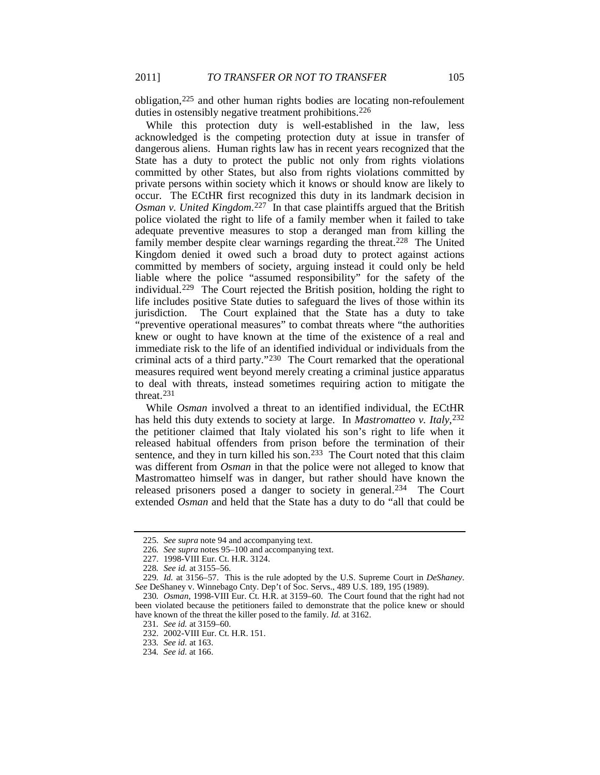obligation,[225](#page-33-1) and other human rights bodies are locating non-refoulement duties in ostensibly negative treatment prohibitions.<sup>226</sup>

<span id="page-33-0"></span>While this protection duty is well-established in the law, less acknowledged is the competing protection duty at issue in transfer of dangerous aliens. Human rights law has in recent years recognized that the State has a duty to protect the public not only from rights violations committed by other States, but also from rights violations committed by private persons within society which it knows or should know are likely to occur. The ECtHR first recognized this duty in its landmark decision in *Osman v. United Kingdom*.[227](#page-33-3) In that case plaintiffs argued that the British police violated the right to life of a family member when it failed to take adequate preventive measures to stop a deranged man from killing the family member despite clear warnings regarding the threat.<sup>228</sup> The United Kingdom denied it owed such a broad duty to protect against actions committed by members of society, arguing instead it could only be held liable where the police "assumed responsibility" for the safety of the individual.[229](#page-33-5) The Court rejected the British position, holding the right to life includes positive State duties to safeguard the lives of those within its jurisdiction. The Court explained that the State has a duty to take "preventive operational measures" to combat threats where "the authorities knew or ought to have known at the time of the existence of a real and immediate risk to the life of an identified individual or individuals from the criminal acts of a third party."[230](#page-33-6) The Court remarked that the operational measures required went beyond merely creating a criminal justice apparatus to deal with threats, instead sometimes requiring action to mitigate the threat.[231](#page-33-7)

While *Osman* involved a threat to an identified individual, the ECtHR has held this duty extends to society at large. In *Mastromatteo v. Italy*,<sup>[232](#page-33-8)</sup> the petitioner claimed that Italy violated his son's right to life when it released habitual offenders from prison before the termination of their sentence, and they in turn killed his son.<sup>233</sup> The Court noted that this claim was different from *Osman* in that the police were not alleged to know that Mastromatteo himself was in danger, but rather should have known the released prisoners posed a danger to society in general.<sup>[234](#page-33-10)</sup> The Court extended *Osman* and held that the State has a duty to do "all that could be

<sup>225</sup>*. See supra* note [94](#page-16-0) and accompanying text.

<sup>226</sup>*. See supra* note[s 95](#page-16-7)[–100](#page-17-12) and accompanying text.

<sup>227.</sup> 1998-VIII Eur. Ct. H.R. 3124.

<sup>228</sup>*. See id.* at 3155–56.

<span id="page-33-5"></span><span id="page-33-4"></span><span id="page-33-3"></span><span id="page-33-2"></span><span id="page-33-1"></span><sup>229</sup>*. Id.* at 3156–57. This is the rule adopted by the U.S. Supreme Court in *DeShaney*. *See* DeShaney v. Winnebago Cnty. Dep't of Soc. Servs., 489 U.S. 189, 195 (1989).

<span id="page-33-8"></span><span id="page-33-7"></span><span id="page-33-6"></span><sup>230</sup>*. Osman*, 1998-VIII Eur. Ct. H.R. at 3159–60. The Court found that the right had not been violated because the petitioners failed to demonstrate that the police knew or should have known of the threat the killer posed to the family. *Id.* at 3162.

<sup>231</sup>*. See id.* at 3159–60.

<sup>232.</sup> 2002-VIII Eur. Ct. H.R. 151.

<sup>233</sup>*. See id.* at 163.

<span id="page-33-10"></span><span id="page-33-9"></span><sup>234</sup>*. See id.* at 166.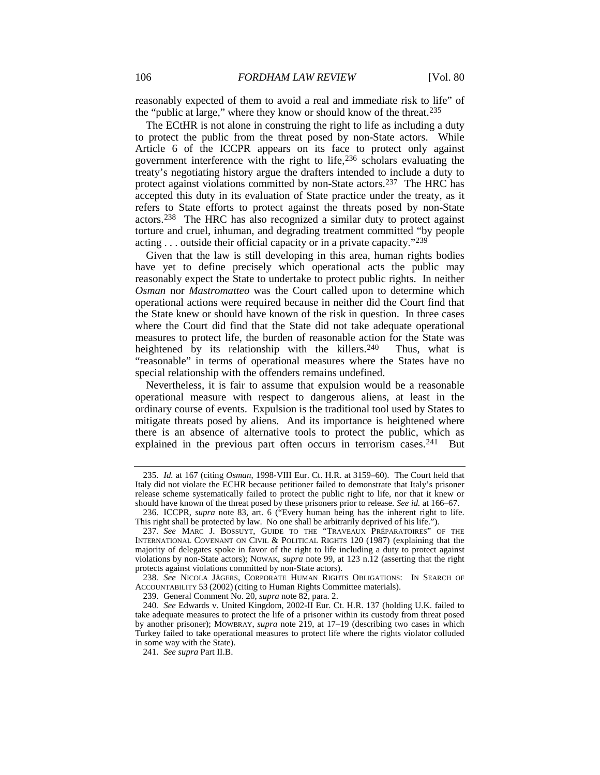reasonably expected of them to avoid a real and immediate risk to life" of the "public at large," where they know or should know of the threat[.235](#page-34-0)

The ECtHR is not alone in construing the right to life as including a duty to protect the public from the threat posed by non-State actors. While Article 6 of the ICCPR appears on its face to protect only against government interference with the right to life,[236](#page-34-1) scholars evaluating the treaty's negotiating history argue the drafters intended to include a duty to protect against violations committed by non-State actors.[237](#page-34-2) The HRC has accepted this duty in its evaluation of State practice under the treaty, as it refers to State efforts to protect against the threats posed by non-State actors.[238](#page-34-3) The HRC has also recognized a similar duty to protect against torture and cruel, inhuman, and degrading treatment committed "by people acting . . . outside their official capacity or in a private capacity.["239](#page-34-4)

Given that the law is still developing in this area, human rights bodies have yet to define precisely which operational acts the public may reasonably expect the State to undertake to protect public rights. In neither *Osman* nor *Mastromatteo* was the Court called upon to determine which operational actions were required because in neither did the Court find that the State knew or should have known of the risk in question. In three cases where the Court did find that the State did not take adequate operational measures to protect life, the burden of reasonable action for the State was heightened by its relationship with the killers.<sup>[240](#page-34-5)</sup> Thus, what is "reasonable" in terms of operational measures where the States have no special relationship with the offenders remains undefined.

Nevertheless, it is fair to assume that expulsion would be a reasonable operational measure with respect to dangerous aliens, at least in the ordinary course of events. Expulsion is the traditional tool used by States to mitigate threats posed by aliens. And its importance is heightened where there is an absence of alternative tools to protect the public, which as explained in the previous part often occurs in terrorism cases.<sup>[241](#page-34-6)</sup> But

<span id="page-34-3"></span>238*. See* NICOLA JÄGERS, CORPORATE HUMAN RIGHTS OBLIGATIONS: IN SEARCH OF ACCOUNTABILITY 53 (2002) (citing to Human Rights Committee materials).

239. General Comment No. 20, *supra* note [82,](#page-14-11) para. 2.

<span id="page-34-0"></span><sup>235</sup>*. Id.* at 167 (citing *Osman*, 1998-VIII Eur. Ct. H.R. at 3159–60). The Court held that Italy did not violate the ECHR because petitioner failed to demonstrate that Italy's prisoner release scheme systematically failed to protect the public right to life, nor that it knew or should have known of the threat posed by these prisoners prior to release. *See id.* at 166–67.

<span id="page-34-1"></span><sup>236.</sup> ICCPR, *supra* note [83,](#page-14-1) art. 6 ("Every human being has the inherent right to life. This right shall be protected by law. No one shall be arbitrarily deprived of his life.").

<span id="page-34-2"></span><sup>237</sup>*. See* MARC J. BOSSUYT, GUIDE TO THE "TRAVEAUX PRÉPARATOIRES" OF THE INTERNATIONAL COVENANT ON CIVIL & POLITICAL RIGHTS 120 (1987) (explaining that the majority of delegates spoke in favor of the right to life including a duty to protect against violations by non-State actors); NOWAK, *supra* note [99,](#page-17-0) at 123 n.12 (asserting that the right protects against violations committed by non-State actors).

<span id="page-34-6"></span><span id="page-34-5"></span><span id="page-34-4"></span><sup>240</sup>*. See* Edwards v. United Kingdom, 2002-II Eur. Ct. H.R. 137 (holding U.K. failed to take adequate measures to protect the life of a prisoner within its custody from threat posed by another prisoner); MOWBRAY, *supra* note [219,](#page-31-0) at 17–19 (describing two cases in which Turkey failed to take operational measures to protect life where the rights violator colluded in some way with the State).

<sup>241</sup>*. See supra* Part II.B.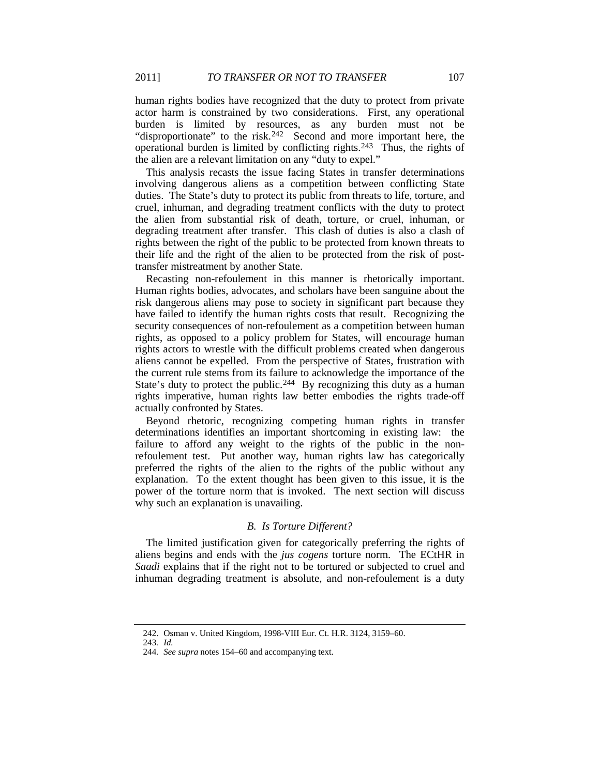human rights bodies have recognized that the duty to protect from private actor harm is constrained by two considerations. First, any operational burden is limited by resources, as any burden must not be "disproportionate" to the risk.<sup>[242](#page-35-1)</sup> Second and more important here, the operational burden is limited by conflicting rights.<sup>[243](#page-35-2)</sup> Thus, the rights of the alien are a relevant limitation on any "duty to expel."

This analysis recasts the issue facing States in transfer determinations involving dangerous aliens as a competition between conflicting State duties. The State's duty to protect its public from threats to life, torture, and cruel, inhuman, and degrading treatment conflicts with the duty to protect the alien from substantial risk of death, torture, or cruel, inhuman, or degrading treatment after transfer. This clash of duties is also a clash of rights between the right of the public to be protected from known threats to their life and the right of the alien to be protected from the risk of posttransfer mistreatment by another State.

Recasting non-refoulement in this manner is rhetorically important. Human rights bodies, advocates, and scholars have been sanguine about the risk dangerous aliens may pose to society in significant part because they have failed to identify the human rights costs that result. Recognizing the security consequences of non-refoulement as a competition between human rights, as opposed to a policy problem for States, will encourage human rights actors to wrestle with the difficult problems created when dangerous aliens cannot be expelled. From the perspective of States, frustration with the current rule stems from its failure to acknowledge the importance of the State's duty to protect the public.<sup>[244](#page-35-3)</sup> By recognizing this duty as a human rights imperative, human rights law better embodies the rights trade-off actually confronted by States.

Beyond rhetoric, recognizing competing human rights in transfer determinations identifies an important shortcoming in existing law: the failure to afford any weight to the rights of the public in the nonrefoulement test. Put another way, human rights law has categorically preferred the rights of the alien to the rights of the public without any explanation. To the extent thought has been given to this issue, it is the power of the torture norm that is invoked. The next section will discuss why such an explanation is unavailing.

# *B. Is Torture Different?*

The limited justification given for categorically preferring the rights of aliens begins and ends with the *jus cogens* torture norm. The ECtHR in *Saadi* explains that if the right not to be tortured or subjected to cruel and inhuman degrading treatment is absolute, and non-refoulement is a duty

<span id="page-35-0"></span>

<span id="page-35-1"></span><sup>242.</sup> Osman v. United Kingdom, 1998-VIII Eur. Ct. H.R. 3124, 3159–60.

<span id="page-35-2"></span><sup>243</sup>*. Id.*

<span id="page-35-3"></span><sup>244</sup>*. See supra* note[s 154–](#page-23-0)60 and accompanying text.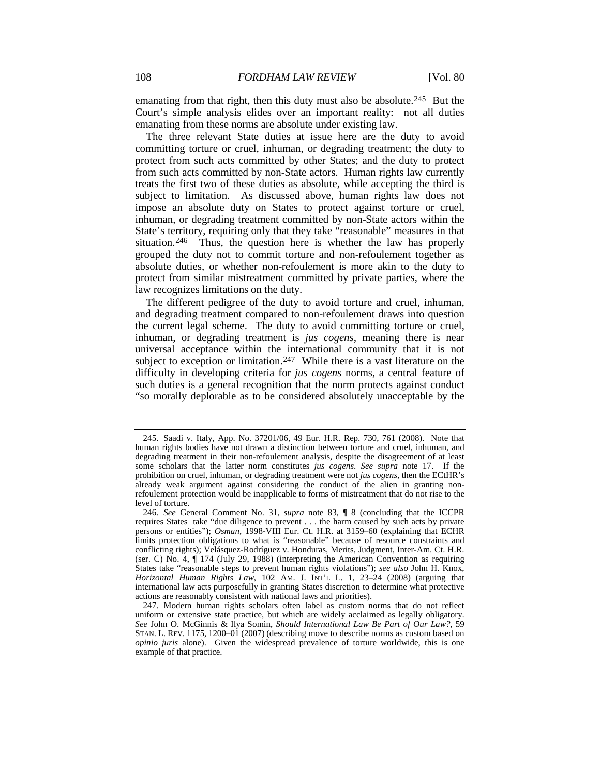emanating from that right, then this duty must also be absolute.<sup>[245](#page-36-1)</sup> But the Court's simple analysis elides over an important reality: not all duties emanating from these norms are absolute under existing law.

The three relevant State duties at issue here are the duty to avoid committing torture or cruel, inhuman, or degrading treatment; the duty to protect from such acts committed by other States; and the duty to protect from such acts committed by non-State actors. Human rights law currently treats the first two of these duties as absolute, while accepting the third is subject to limitation. As discussed above, human rights law does not impose an absolute duty on States to protect against torture or cruel, inhuman, or degrading treatment committed by non-State actors within the State's territory, requiring only that they take "reasonable" measures in that situation.<sup>[246](#page-36-2)</sup> Thus, the question here is whether the law has properly grouped the duty not to commit torture and non-refoulement together as absolute duties, or whether non-refoulement is more akin to the duty to protect from similar mistreatment committed by private parties, where the law recognizes limitations on the duty.

<span id="page-36-0"></span>The different pedigree of the duty to avoid torture and cruel, inhuman, and degrading treatment compared to non-refoulement draws into question the current legal scheme. The duty to avoid committing torture or cruel, inhuman, or degrading treatment is *jus cogens*, meaning there is near universal acceptance within the international community that it is not subject to exception or limitation.<sup>[247](#page-36-3)</sup> While there is a vast literature on the difficulty in developing criteria for *jus cogens* norms, a central feature of such duties is a general recognition that the norm protects against conduct "so morally deplorable as to be considered absolutely unacceptable by the

<span id="page-36-1"></span><sup>245.</sup> Saadi v. Italy, App. No. 37201/06, 49 Eur. H.R. Rep. 730, 761 (2008). Note that human rights bodies have not drawn a distinction between torture and cruel, inhuman, and degrading treatment in their non-refoulement analysis, despite the disagreement of at least some scholars that the latter norm constitutes *jus cogens*. *See supra* note [17.](#page-4-9) If the prohibition on cruel, inhuman, or degrading treatment were not *jus cogens*, then the ECtHR's already weak argument against considering the conduct of the alien in granting nonrefoulement protection would be inapplicable to forms of mistreatment that do not rise to the level of torture.

<span id="page-36-2"></span><sup>246</sup>*. See* General Comment No. 31, *supra* note [83,](#page-14-1) ¶ 8 (concluding that the ICCPR requires States take "due diligence to prevent . . . the harm caused by such acts by private persons or entities"); *Osman*, 1998-VIII Eur. Ct. H.R. at 3159–60 (explaining that ECHR limits protection obligations to what is "reasonable" because of resource constraints and conflicting rights); Velásquez-Rodríguez v. Honduras, Merits, Judgment, Inter-Am. Ct. H.R. (ser. C) No. 4, ¶ 174 (July 29, 1988) (interpreting the American Convention as requiring States take "reasonable steps to prevent human rights violations"); *see also* John H. Knox, *Horizontal Human Rights Law*, 102 AM. J. INT'L L. 1, 23–24 (2008) (arguing that international law acts purposefully in granting States discretion to determine what protective actions are reasonably consistent with national laws and priorities).

<span id="page-36-3"></span><sup>247.</sup> Modern human rights scholars often label as custom norms that do not reflect uniform or extensive state practice, but which are widely acclaimed as legally obligatory. *See* John O. McGinnis & Ilya Somin, *Should International Law Be Part of Our Law?*, 59 STAN. L. REV. 1175, 1200–01 (2007) (describing move to describe norms as custom based on *opinio juris* alone). Given the widespread prevalence of torture worldwide, this is one example of that practice.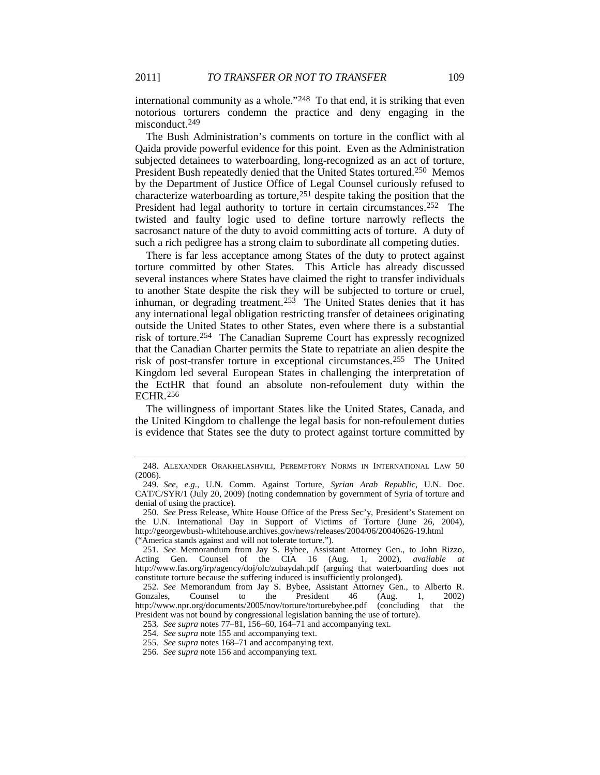international community as a whole."[248](#page-37-0) To that end, it is striking that even notorious torturers condemn the practice and deny engaging in the misconduct.<sup>[249](#page-37-1)</sup>

The Bush Administration's comments on torture in the conflict with al Qaida provide powerful evidence for this point. Even as the Administration subjected detainees to waterboarding, long-recognized as an act of torture, President Bush repeatedly denied that the United States tortured[.250](#page-37-2) Memos by the Department of Justice Office of Legal Counsel curiously refused to characterize waterboarding as torture,[251](#page-37-3) despite taking the position that the President had legal authority to torture in certain circumstances.<sup>252</sup> The twisted and faulty logic used to define torture narrowly reflects the sacrosanct nature of the duty to avoid committing acts of torture. A duty of such a rich pedigree has a strong claim to subordinate all competing duties.

There is far less acceptance among States of the duty to protect against torture committed by other States. This Article has already discussed several instances where States have claimed the right to transfer individuals to another State despite the risk they will be subjected to torture or cruel, inhuman, or degrading treatment.<sup>[253](#page-37-5)</sup> The United States denies that it has any international legal obligation restricting transfer of detainees originating outside the United States to other States, even where there is a substantial risk of torture.[254](#page-37-6) The Canadian Supreme Court has expressly recognized that the Canadian Charter permits the State to repatriate an alien despite the risk of post-transfer torture in exceptional circumstances.[255](#page-37-7) The United Kingdom led several European States in challenging the interpretation of the EctHR that found an absolute non-refoulement duty within the ECHR.[256](#page-37-8)

The willingness of important States like the United States, Canada, and the United Kingdom to challenge the legal basis for non-refoulement duties is evidence that States see the duty to protect against torture committed by

<span id="page-37-0"></span><sup>248.</sup> ALEXANDER ORAKHELASHVILI, PEREMPTORY NORMS IN INTERNATIONAL LAW 50 (2006).

<span id="page-37-1"></span><sup>249</sup>*. See, e.g.*, U.N. Comm. Against Torture, *Syrian Arab Republic*, U.N. Doc. CAT/C/SYR/1 (July 20, 2009) (noting condemnation by government of Syria of torture and denial of using the practice).

<span id="page-37-2"></span><sup>250</sup>*. See* Press Release, White House Office of the Press Sec'y, President's Statement on the U.N. International Day in Support of Victims of Torture (June 26, 2004), http://georgewbush-whitehouse.archives.gov/news/releases/2004/06/20040626-19.html ("America stands against and will not tolerate torture.").

<span id="page-37-3"></span><sup>251</sup>*. See* Memorandum from Jay S. Bybee, Assistant Attorney Gen., to John Rizzo, Acting Gen. Counsel of the CIA 16 (Aug. 1, 2002), *available at* http://www.fas.org/irp/agency/doj/olc/zubaydah.pdf (arguing that waterboarding does not constitute torture because the suffering induced is insufficiently prolonged).

<span id="page-37-6"></span><span id="page-37-5"></span><span id="page-37-4"></span><sup>252</sup>*. See* Memorandum from Jay S. Bybee, Assistant Attorney Gen., to Alberto R. President http://www.npr.org/documents/2005/nov/torture/torturebybee.pdf (concluding that the President was not bound by congressional legislation banning the use of torture).

<sup>253</sup>*. See supra* note[s 77](#page-14-12)[–81,](#page-14-10) [156–](#page-24-6)60[, 164–](#page-25-9)71 and accompanying text.

<sup>254</sup>*. See supra* not[e 155](#page-24-7) and accompanying text.

<span id="page-37-7"></span><sup>255</sup>*. See supra* note[s 168–](#page-25-10)71 and accompanying text.

<span id="page-37-8"></span><sup>256</sup>*. See supra* not[e 156](#page-24-6) and accompanying text.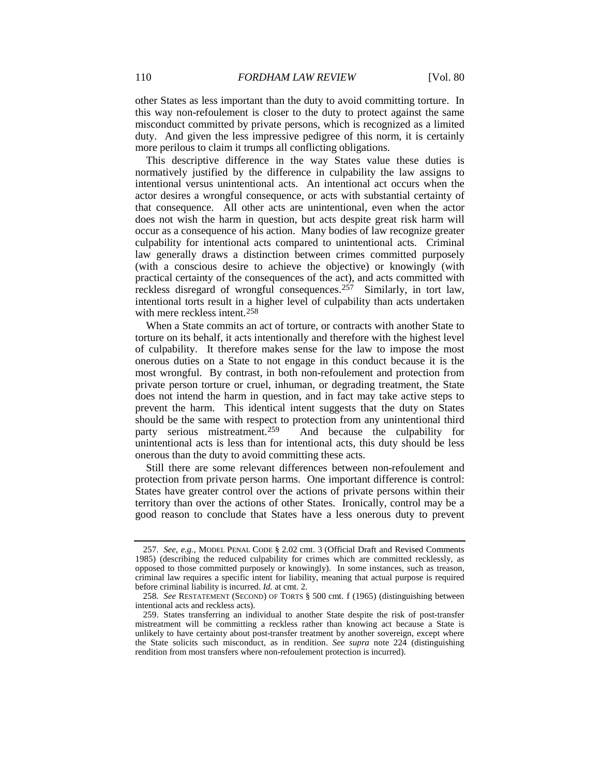other States as less important than the duty to avoid committing torture. In this way non-refoulement is closer to the duty to protect against the same misconduct committed by private persons, which is recognized as a limited duty. And given the less impressive pedigree of this norm, it is certainly more perilous to claim it trumps all conflicting obligations.

This descriptive difference in the way States value these duties is normatively justified by the difference in culpability the law assigns to intentional versus unintentional acts. An intentional act occurs when the actor desires a wrongful consequence, or acts with substantial certainty of that consequence. All other acts are unintentional, even when the actor does not wish the harm in question, but acts despite great risk harm will occur as a consequence of his action. Many bodies of law recognize greater culpability for intentional acts compared to unintentional acts. Criminal law generally draws a distinction between crimes committed purposely (with a conscious desire to achieve the objective) or knowingly (with practical certainty of the consequences of the act), and acts committed with reckless disregard of wrongful consequences.[257](#page-38-1) Similarly, in tort law, intentional torts result in a higher level of culpability than acts undertaken with mere reckless intent.<sup>[258](#page-38-2)</sup>

<span id="page-38-0"></span>When a State commits an act of torture, or contracts with another State to torture on its behalf, it acts intentionally and therefore with the highest level of culpability. It therefore makes sense for the law to impose the most onerous duties on a State to not engage in this conduct because it is the most wrongful. By contrast, in both non-refoulement and protection from private person torture or cruel, inhuman, or degrading treatment, the State does not intend the harm in question, and in fact may take active steps to prevent the harm. This identical intent suggests that the duty on States should be the same with respect to protection from any unintentional third party serious mistreatment.[259](#page-38-3) And because the culpability for unintentional acts is less than for intentional acts, this duty should be less onerous than the duty to avoid committing these acts.

Still there are some relevant differences between non-refoulement and protection from private person harms. One important difference is control: States have greater control over the actions of private persons within their territory than over the actions of other States. Ironically, control may be a good reason to conclude that States have a less onerous duty to prevent

<span id="page-38-1"></span><sup>257</sup>*. See, e.g.*, MODEL PENAL CODE § 2.02 cmt. 3 (Official Draft and Revised Comments 1985) (describing the reduced culpability for crimes which are committed recklessly, as opposed to those committed purposely or knowingly). In some instances, such as treason, criminal law requires a specific intent for liability, meaning that actual purpose is required before criminal liability is incurred. *Id.* at cmt. 2.

<span id="page-38-2"></span><sup>258</sup>*. See* RESTATEMENT (SECOND) OF TORTS § 500 cmt. f (1965) (distinguishing between intentional acts and reckless acts).

<span id="page-38-3"></span><sup>259.</sup> States transferring an individual to another State despite the risk of post-transfer mistreatment will be committing a reckless rather than knowing act because a State is unlikely to have certainty about post-transfer treatment by another sovereign, except where the State solicits such misconduct, as in rendition. *See supra* note [224](#page-32-4) (distinguishing rendition from most transfers where non-refoulement protection is incurred).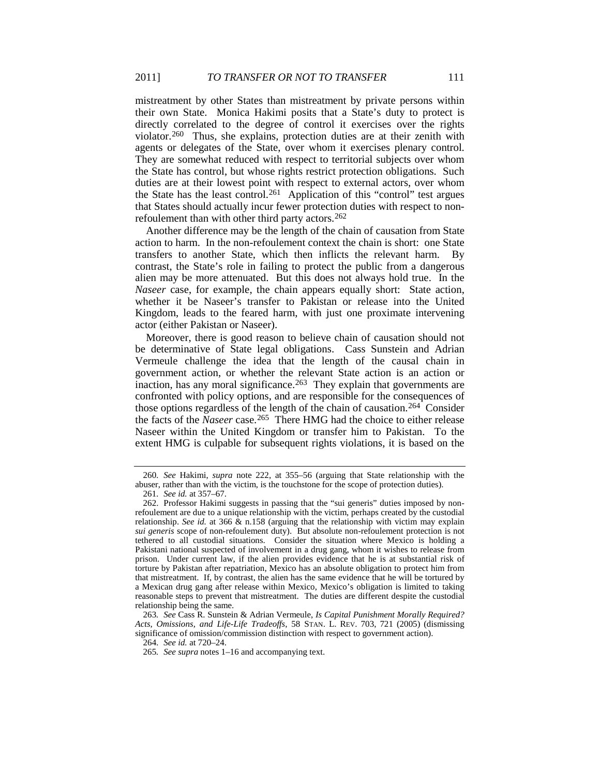mistreatment by other States than mistreatment by private persons within their own State. Monica Hakimi posits that a State's duty to protect is directly correlated to the degree of control it exercises over the rights violator[.260](#page-39-0) Thus, she explains, protection duties are at their zenith with agents or delegates of the State, over whom it exercises plenary control. They are somewhat reduced with respect to territorial subjects over whom the State has control, but whose rights restrict protection obligations. Such duties are at their lowest point with respect to external actors, over whom the State has the least control.<sup>261</sup> Application of this "control" test argues that States should actually incur fewer protection duties with respect to nonrefoulement than with other third party actors. $262$ 

Another difference may be the length of the chain of causation from State action to harm. In the non-refoulement context the chain is short: one State transfers to another State, which then inflicts the relevant harm. By contrast, the State's role in failing to protect the public from a dangerous alien may be more attenuated. But this does not always hold true. In the *Naseer* case, for example, the chain appears equally short: State action, whether it be Naseer's transfer to Pakistan or release into the United Kingdom, leads to the feared harm, with just one proximate intervening actor (either Pakistan or Naseer).

<span id="page-39-6"></span>Moreover, there is good reason to believe chain of causation should not be determinative of State legal obligations. Cass Sunstein and Adrian Vermeule challenge the idea that the length of the causal chain in government action, or whether the relevant State action is an action or inaction, has any moral significance.<sup>263</sup> They explain that governments are confronted with policy options, and are responsible for the consequences of those options regardless of the length of the chain of causation.<sup>[264](#page-39-4)</sup> Consider the facts of the *Naseer* case.[265](#page-39-5) There HMG had the choice to either release Naseer within the United Kingdom or transfer him to Pakistan. To the extent HMG is culpable for subsequent rights violations, it is based on the

<span id="page-39-0"></span><sup>260</sup>*. See* Hakimi, *supra* note [222,](#page-32-5) at 355–56 (arguing that State relationship with the abuser, rather than with the victim, is the touchstone for the scope of protection duties).

<sup>261</sup>*. See id.* at 357–67.

<span id="page-39-2"></span><span id="page-39-1"></span><sup>262.</sup> Professor Hakimi suggests in passing that the "sui generis" duties imposed by nonrefoulement are due to a unique relationship with the victim, perhaps created by the custodial relationship. *See id.* at 366 & n.158 (arguing that the relationship with victim may explain *sui generis* scope of non-refoulement duty). But absolute non-refoulement protection is not tethered to all custodial situations. Consider the situation where Mexico is holding a Pakistani national suspected of involvement in a drug gang, whom it wishes to release from prison. Under current law, if the alien provides evidence that he is at substantial risk of torture by Pakistan after repatriation, Mexico has an absolute obligation to protect him from that mistreatment. If, by contrast, the alien has the same evidence that he will be tortured by a Mexican drug gang after release within Mexico, Mexico's obligation is limited to taking reasonable steps to prevent that mistreatment. The duties are different despite the custodial relationship being the same.

<span id="page-39-5"></span><span id="page-39-4"></span><span id="page-39-3"></span><sup>263</sup>*. See* Cass R. Sunstein & Adrian Vermeule, *Is Capital Punishment Morally Required? Acts, Omissions, and Life-Life Tradeoffs*, 58 STAN. L. REV. 703, 721 (2005) (dismissing significance of omission/commission distinction with respect to government action).

<sup>264</sup>*. See id.* at 720–24.

<sup>265</sup>*. See supra* note[s 1](#page-3-0)[–16](#page-4-8) and accompanying text.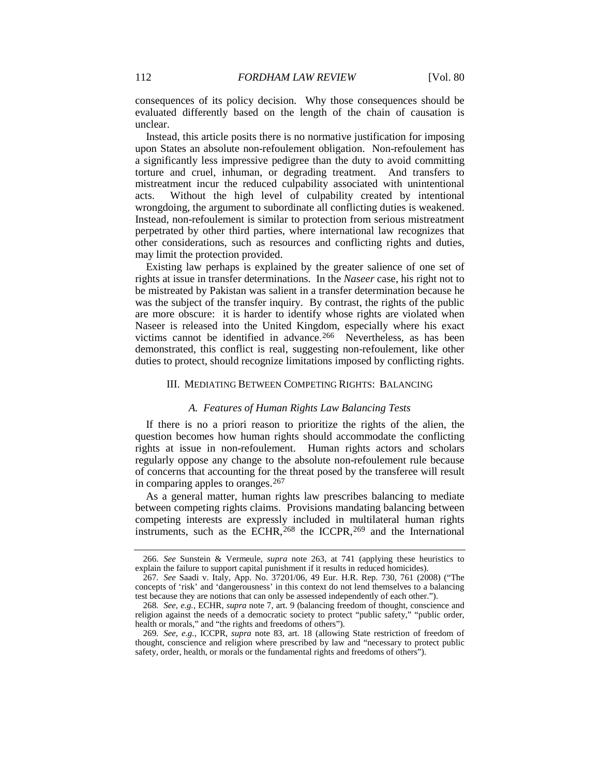consequences of its policy decision. Why those consequences should be evaluated differently based on the length of the chain of causation is unclear.

Instead, this article posits there is no normative justification for imposing upon States an absolute non-refoulement obligation. Non-refoulement has a significantly less impressive pedigree than the duty to avoid committing torture and cruel, inhuman, or degrading treatment. And transfers to mistreatment incur the reduced culpability associated with unintentional acts. Without the high level of culpability created by intentional wrongdoing, the argument to subordinate all conflicting duties is weakened. Instead, non-refoulement is similar to protection from serious mistreatment perpetrated by other third parties, where international law recognizes that other considerations, such as resources and conflicting rights and duties, may limit the protection provided.

Existing law perhaps is explained by the greater salience of one set of rights at issue in transfer determinations. In the *Naseer* case, his right not to be mistreated by Pakistan was salient in a transfer determination because he was the subject of the transfer inquiry. By contrast, the rights of the public are more obscure: it is harder to identify whose rights are violated when Naseer is released into the United Kingdom, especially where his exact victims cannot be identified in advance.<sup>[266](#page-40-2)</sup> Nevertheless, as has been demonstrated, this conflict is real, suggesting non-refoulement, like other duties to protect, should recognize limitations imposed by conflicting rights.

#### III. MEDIATING BETWEEN COMPETING RIGHTS: BALANCING

# <span id="page-40-0"></span>*A. Features of Human Rights Law Balancing Tests*

If there is no a priori reason to prioritize the rights of the alien, the question becomes how human rights should accommodate the conflicting rights at issue in non-refoulement. Human rights actors and scholars regularly oppose any change to the absolute non-refoulement rule because of concerns that accounting for the threat posed by the transferee will result in comparing apples to oranges.[267](#page-40-3)

As a general matter, human rights law prescribes balancing to mediate between competing rights claims. Provisions mandating balancing between competing interests are expressly included in multilateral human rights instruments, such as the ECHR,  $268$  the ICCPR,  $269$  and the International

<span id="page-40-2"></span><span id="page-40-1"></span><sup>266</sup>*. See* Sunstein & Vermeule, *supra* note [263,](#page-39-6) at 741 (applying these heuristics to explain the failure to support capital punishment if it results in reduced homicides).

<span id="page-40-3"></span><sup>267</sup>*. See* Saadi v. Italy, App. No. 37201/06, 49 Eur. H.R. Rep. 730, 761 (2008) ("The concepts of 'risk' and 'dangerousness' in this context do not lend themselves to a balancing test because they are notions that can only be assessed independently of each other.").

<span id="page-40-4"></span><sup>268</sup>*. See, e.g.*, ECHR, *supra* note [7,](#page-3-11) art. 9 (balancing freedom of thought, conscience and religion against the needs of a democratic society to protect "public safety," "public order, health or morals," and "the rights and freedoms of others").

<span id="page-40-5"></span><sup>269</sup>*. See, e.g.*, ICCPR, *supra* note [83,](#page-14-1) art. 18 (allowing State restriction of freedom of thought, conscience and religion where prescribed by law and "necessary to protect public safety, order, health, or morals or the fundamental rights and freedoms of others").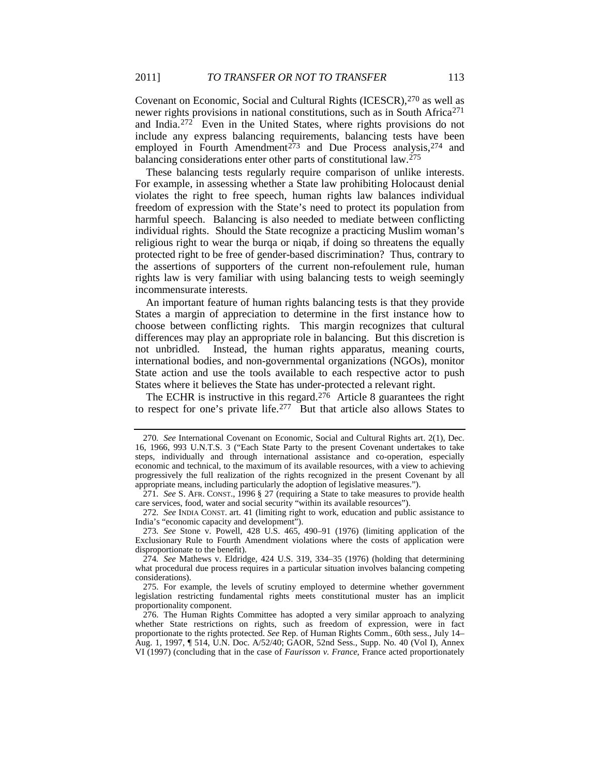Covenant on Economic, Social and Cultural Rights (ICESCR), <sup>[270](#page-41-0)</sup> as well as newer rights provisions in national constitutions, such as in South Africa<sup>[271](#page-41-1)</sup> and India.[272](#page-41-2) Even in the United States, where rights provisions do not include any express balancing requirements, balancing tests have been employed in Fourth Amendment<sup>[273](#page-41-3)</sup> and Due Process analysis,<sup>[274](#page-41-4)</sup> and balancing considerations enter other parts of constitutional law.[275](#page-41-5)

These balancing tests regularly require comparison of unlike interests. For example, in assessing whether a State law prohibiting Holocaust denial violates the right to free speech, human rights law balances individual freedom of expression with the State's need to protect its population from harmful speech. Balancing is also needed to mediate between conflicting individual rights. Should the State recognize a practicing Muslim woman's religious right to wear the burqa or niqab, if doing so threatens the equally protected right to be free of gender-based discrimination? Thus, contrary to the assertions of supporters of the current non-refoulement rule, human rights law is very familiar with using balancing tests to weigh seemingly incommensurate interests.

An important feature of human rights balancing tests is that they provide States a margin of appreciation to determine in the first instance how to choose between conflicting rights. This margin recognizes that cultural differences may play an appropriate role in balancing. But this discretion is not unbridled. Instead, the human rights apparatus, meaning courts, international bodies, and non-governmental organizations (NGOs), monitor State action and use the tools available to each respective actor to push States where it believes the State has under-protected a relevant right.

The ECHR is instructive in this regard.<sup>[276](#page-41-6)</sup> Article 8 guarantees the right to respect for one's private life.[277](#page-41-2) But that article also allows States to

<span id="page-41-0"></span><sup>270</sup>*. See* International Covenant on Economic, Social and Cultural Rights art. 2(1), Dec. 16, 1966, 993 U.N.T.S. 3 ("Each State Party to the present Covenant undertakes to take steps, individually and through international assistance and co-operation, especially economic and technical, to the maximum of its available resources, with a view to achieving progressively the full realization of the rights recognized in the present Covenant by all appropriate means, including particularly the adoption of legislative measures.").

<span id="page-41-1"></span><sup>271</sup>*. See* S. AFR. CONST., 1996 § 27 (requiring a State to take measures to provide health care services, food, water and social security "within its available resources").

<span id="page-41-2"></span><sup>272</sup>*. See* INDIA CONST. art. 41 (limiting right to work, education and public assistance to India's "economic capacity and development").

<span id="page-41-3"></span><sup>273</sup>*. See* Stone v. Powell, 428 U.S. 465, 490–91 (1976) (limiting application of the Exclusionary Rule to Fourth Amendment violations where the costs of application were disproportionate to the benefit).

<span id="page-41-4"></span><sup>274</sup>*. See* Mathews v. Eldridge, 424 U.S. 319, 334–35 (1976) (holding that determining what procedural due process requires in a particular situation involves balancing competing considerations).

<span id="page-41-5"></span><sup>275.</sup> For example, the levels of scrutiny employed to determine whether government legislation restricting fundamental rights meets constitutional muster has an implicit proportionality component.

<span id="page-41-6"></span><sup>276.</sup> The Human Rights Committee has adopted a very similar approach to analyzing whether State restrictions on rights, such as freedom of expression, were in fact proportionate to the rights protected. *See* Rep. of Human Rights Comm., 60th sess., July 14– Aug. 1, 1997, ¶ 514, U.N. Doc. A/52/40; GAOR, 52nd Sess., Supp. No. 40 (Vol I), Annex VI (1997) (concluding that in the case of *Faurisson v. France*, France acted proportionately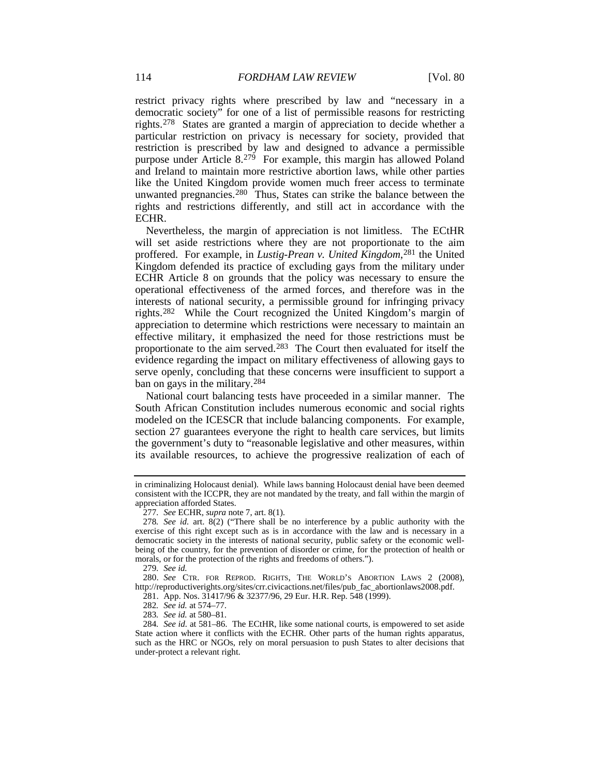restrict privacy rights where prescribed by law and "necessary in a democratic society" for one of a list of permissible reasons for restricting rights.[278](#page-42-0) States are granted a margin of appreciation to decide whether a particular restriction on privacy is necessary for society, provided that restriction is prescribed by law and designed to advance a permissible purpose under Article 8.[279](#page-42-1) For example, this margin has allowed Poland and Ireland to maintain more restrictive abortion laws, while other parties like the United Kingdom provide women much freer access to terminate unwanted pregnancies.<sup>[280](#page-42-2)</sup> Thus, States can strike the balance between the rights and restrictions differently, and still act in accordance with the ECHR.

Nevertheless, the margin of appreciation is not limitless. The ECtHR will set aside restrictions where they are not proportionate to the aim proffered. For example, in *Lustig-Prean v. United Kingdom*, [281](#page-42-3) the United Kingdom defended its practice of excluding gays from the military under ECHR Article 8 on grounds that the policy was necessary to ensure the operational effectiveness of the armed forces, and therefore was in the interests of national security, a permissible ground for infringing privacy rights.[282](#page-42-4) While the Court recognized the United Kingdom's margin of appreciation to determine which restrictions were necessary to maintain an effective military, it emphasized the need for those restrictions must be proportionate to the aim served.[283](#page-42-5) The Court then evaluated for itself the evidence regarding the impact on military effectiveness of allowing gays to serve openly, concluding that these concerns were insufficient to support a ban on gays in the military.[284](#page-42-6)

National court balancing tests have proceeded in a similar manner. The South African Constitution includes numerous economic and social rights modeled on the ICESCR that include balancing components. For example, section 27 guarantees everyone the right to health care services, but limits the government's duty to "reasonable legislative and other measures, within its available resources, to achieve the progressive realization of each of

in criminalizing Holocaust denial). While laws banning Holocaust denial have been deemed consistent with the ICCPR, they are not mandated by the treaty, and fall within the margin of appreciation afforded States.

<sup>277</sup>*. See* ECHR, *supra* not[e 7,](#page-3-12) art. 8(1).

<span id="page-42-0"></span><sup>278</sup>*. See id.* art. 8(2) ("There shall be no interference by a public authority with the exercise of this right except such as is in accordance with the law and is necessary in a democratic society in the interests of national security, public safety or the economic wellbeing of the country, for the prevention of disorder or crime, for the protection of health or morals, or for the protection of the rights and freedoms of others.").

<sup>279</sup>*. See id.*

<span id="page-42-3"></span><span id="page-42-2"></span><span id="page-42-1"></span><sup>280.</sup> *See* CTR. FOR REPROD. RIGHTS, THE WORLD'S ABORTION LAWS 2 (2008), http://reproductiverights.org/sites/crr.civicactions.net/files/pub\_fac\_abortionlaws2008.pdf.

<sup>281.</sup> App. Nos. 31417/96 & 32377/96, 29 Eur. H.R. Rep. 548 (1999).

<sup>282</sup>*. See id.* at 574–77.

<sup>283</sup>*. See id.* at 580–81.

<span id="page-42-6"></span><span id="page-42-5"></span><span id="page-42-4"></span><sup>284</sup>*. See id.* at 581–86. The ECtHR, like some national courts, is empowered to set aside State action where it conflicts with the ECHR. Other parts of the human rights apparatus, such as the HRC or NGOs, rely on moral persuasion to push States to alter decisions that under-protect a relevant right.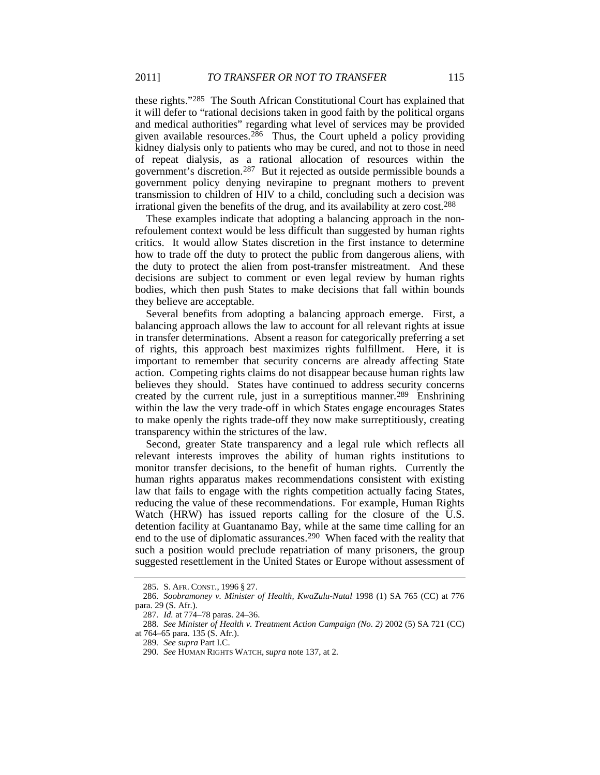these rights."[285](#page-43-0) The South African Constitutional Court has explained that it will defer to "rational decisions taken in good faith by the political organs and medical authorities" regarding what level of services may be provided given available resources.<sup>286</sup> Thus, the Court upheld a policy providing kidney dialysis only to patients who may be cured, and not to those in need of repeat dialysis, as a rational allocation of resources within the government's discretion.[287](#page-43-2) But it rejected as outside permissible bounds a government policy denying nevirapine to pregnant mothers to prevent transmission to children of HIV to a child, concluding such a decision was irrational given the benefits of the drug, and its availability at zero cost.[288](#page-43-3)

These examples indicate that adopting a balancing approach in the nonrefoulement context would be less difficult than suggested by human rights critics. It would allow States discretion in the first instance to determine how to trade off the duty to protect the public from dangerous aliens, with the duty to protect the alien from post-transfer mistreatment. And these decisions are subject to comment or even legal review by human rights bodies, which then push States to make decisions that fall within bounds they believe are acceptable.

Several benefits from adopting a balancing approach emerge. First, a balancing approach allows the law to account for all relevant rights at issue in transfer determinations. Absent a reason for categorically preferring a set of rights, this approach best maximizes rights fulfillment. Here, it is important to remember that security concerns are already affecting State action. Competing rights claims do not disappear because human rights law believes they should. States have continued to address security concerns created by the current rule, just in a surreptitious manner.<sup>[289](#page-43-4)</sup> Enshrining within the law the very trade-off in which States engage encourages States to make openly the rights trade-off they now make surreptitiously, creating transparency within the strictures of the law.

Second, greater State transparency and a legal rule which reflects all relevant interests improves the ability of human rights institutions to monitor transfer decisions, to the benefit of human rights. Currently the human rights apparatus makes recommendations consistent with existing law that fails to engage with the rights competition actually facing States, reducing the value of these recommendations. For example, Human Rights Watch (HRW) has issued reports calling for the closure of the U.S. detention facility at Guantanamo Bay, while at the same time calling for an end to the use of diplomatic assurances.<sup>[290](#page-43-5)</sup> When faced with the reality that such a position would preclude repatriation of many prisoners, the group suggested resettlement in the United States or Europe without assessment of

<sup>285.</sup> S. AFR. CONST., 1996 § 27.

<span id="page-43-1"></span><span id="page-43-0"></span><sup>286</sup>*. Soobramoney v. Minister of Health, KwaZulu-Natal* 1998 (1) SA 765 (CC) at 776 para. 29 (S. Afr.).

<sup>287</sup>*. Id.* at 774–78 paras. 24–36.

<span id="page-43-5"></span><span id="page-43-4"></span><span id="page-43-3"></span><span id="page-43-2"></span><sup>288</sup>*. See Minister of Health v. Treatment Action Campaign (No. 2)* 2002 (5) SA 721 (CC) at 764–65 para. 135 (S. Afr.).

<sup>289</sup>*. See supra* Part I.C.

<sup>290</sup>*. See* HUMAN RIGHTS WATCH, *supra* note [137,](#page-21-7) at 2.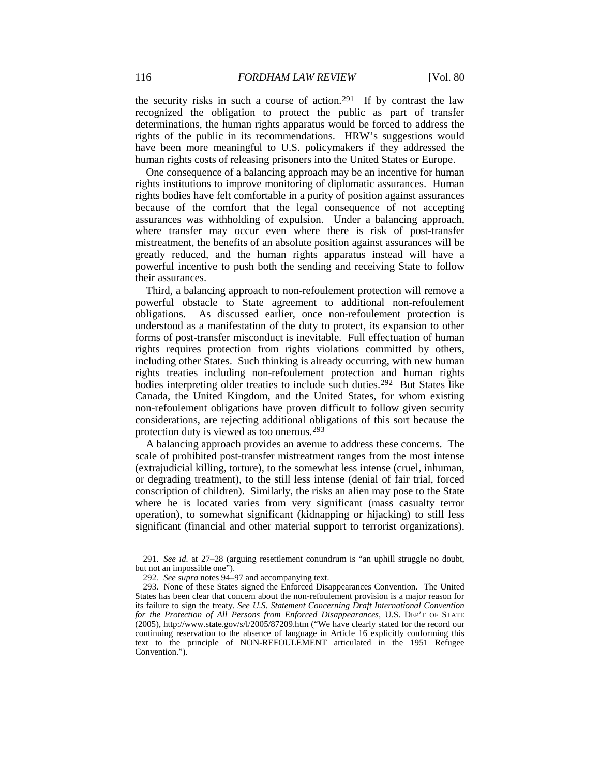the security risks in such a course of action.[291](#page-44-0) If by contrast the law recognized the obligation to protect the public as part of transfer determinations, the human rights apparatus would be forced to address the rights of the public in its recommendations. HRW's suggestions would have been more meaningful to U.S. policymakers if they addressed the human rights costs of releasing prisoners into the United States or Europe.

One consequence of a balancing approach may be an incentive for human rights institutions to improve monitoring of diplomatic assurances. Human rights bodies have felt comfortable in a purity of position against assurances because of the comfort that the legal consequence of not accepting assurances was withholding of expulsion. Under a balancing approach, where transfer may occur even where there is risk of post-transfer mistreatment, the benefits of an absolute position against assurances will be greatly reduced, and the human rights apparatus instead will have a powerful incentive to push both the sending and receiving State to follow their assurances.

Third, a balancing approach to non-refoulement protection will remove a powerful obstacle to State agreement to additional non-refoulement obligations. As discussed earlier, once non-refoulement protection is understood as a manifestation of the duty to protect, its expansion to other forms of post-transfer misconduct is inevitable. Full effectuation of human rights requires protection from rights violations committed by others, including other States. Such thinking is already occurring, with new human rights treaties including non-refoulement protection and human rights bodies interpreting older treaties to include such duties.[292](#page-44-1) But States like Canada, the United Kingdom, and the United States, for whom existing non-refoulement obligations have proven difficult to follow given security considerations, are rejecting additional obligations of this sort because the protection duty is viewed as too onerous.[293](#page-44-2)

A balancing approach provides an avenue to address these concerns. The scale of prohibited post-transfer mistreatment ranges from the most intense (extrajudicial killing, torture), to the somewhat less intense (cruel, inhuman, or degrading treatment), to the still less intense (denial of fair trial, forced conscription of children). Similarly, the risks an alien may pose to the State where he is located varies from very significant (mass casualty terror operation), to somewhat significant (kidnapping or hijacking) to still less significant (financial and other material support to terrorist organizations).

<span id="page-44-0"></span><sup>291</sup>*. See id.* at 27–28 (arguing resettlement conundrum is "an uphill struggle no doubt, but not an impossible one").

<sup>292</sup>*. See supra* note[s 94](#page-16-0)[–97](#page-16-1) and accompanying text.

<span id="page-44-2"></span><span id="page-44-1"></span><sup>293.</sup> None of these States signed the Enforced Disappearances Convention. The United States has been clear that concern about the non-refoulement provision is a major reason for its failure to sign the treaty. *See U.S. Statement Concerning Draft International Convention for the Protection of All Persons from Enforced Disappearances*, U.S. DEP'T OF STATE (2005), http://www.state.gov/s/l/2005/87209.htm ("We have clearly stated for the record our continuing reservation to the absence of language in Article 16 explicitly conforming this text to the principle of NON-REFOULEMENT articulated in the 1951 Refugee Convention.").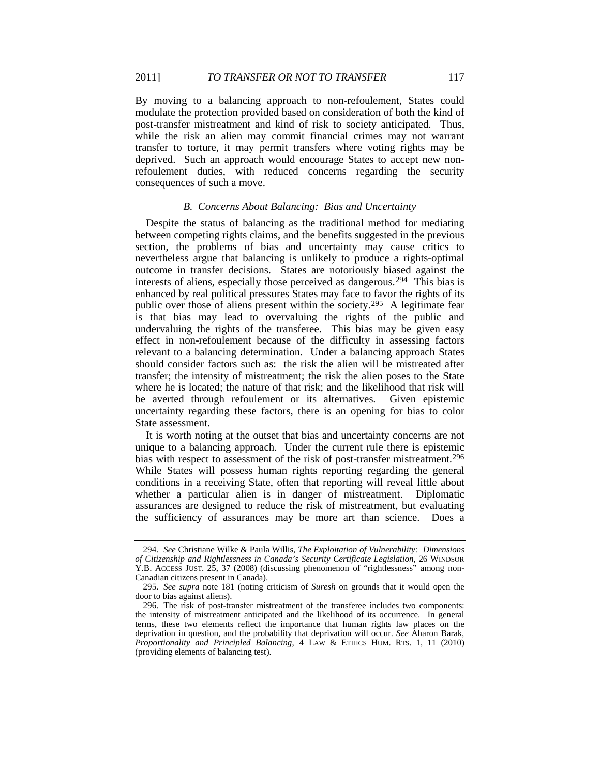By moving to a balancing approach to non-refoulement, States could modulate the protection provided based on consideration of both the kind of post-transfer mistreatment and kind of risk to society anticipated. Thus, while the risk an alien may commit financial crimes may not warrant transfer to torture, it may permit transfers where voting rights may be deprived. Such an approach would encourage States to accept new nonrefoulement duties, with reduced concerns regarding the security consequences of such a move.

# *B. Concerns About Balancing: Bias and Uncertainty*

Despite the status of balancing as the traditional method for mediating between competing rights claims, and the benefits suggested in the previous section, the problems of bias and uncertainty may cause critics to nevertheless argue that balancing is unlikely to produce a rights-optimal outcome in transfer decisions. States are notoriously biased against the interests of aliens, especially those perceived as dangerous.[294](#page-45-0) This bias is enhanced by real political pressures States may face to favor the rights of its public over those of aliens present within the society.<sup>[295](#page-45-1)</sup> A legitimate fear is that bias may lead to overvaluing the rights of the public and undervaluing the rights of the transferee. This bias may be given easy effect in non-refoulement because of the difficulty in assessing factors relevant to a balancing determination. Under a balancing approach States should consider factors such as: the risk the alien will be mistreated after transfer; the intensity of mistreatment; the risk the alien poses to the State where he is located; the nature of that risk; and the likelihood that risk will be averted through refoulement or its alternatives. Given epistemic uncertainty regarding these factors, there is an opening for bias to color State assessment.

It is worth noting at the outset that bias and uncertainty concerns are not unique to a balancing approach. Under the current rule there is epistemic bias with respect to assessment of the risk of post-transfer mistreatment. [296](#page-45-2) While States will possess human rights reporting regarding the general conditions in a receiving State, often that reporting will reveal little about whether a particular alien is in danger of mistreatment. Diplomatic assurances are designed to reduce the risk of mistreatment, but evaluating the sufficiency of assurances may be more art than science. Does a

<span id="page-45-0"></span><sup>294</sup>*. See* Christiane Wilke & Paula Willis, *The Exploitation of Vulnerability: Dimensions of Citizenship and Rightlessness in Canada's Security Certificate Legislation*, 26 WINDSOR Y.B. ACCESS JUST. 25, 37 (2008) (discussing phenomenon of "rightlessness" among non-Canadian citizens present in Canada).

<span id="page-45-1"></span><sup>295</sup>*. See supra* note [181](#page-27-0) (noting criticism of *Suresh* on grounds that it would open the door to bias against aliens).

<span id="page-45-2"></span><sup>296.</sup> The risk of post-transfer mistreatment of the transferee includes two components: the intensity of mistreatment anticipated and the likelihood of its occurrence. In general terms, these two elements reflect the importance that human rights law places on the deprivation in question, and the probability that deprivation will occur. *See* Aharon Barak, *Proportionality and Principled Balancing*, 4 LAW & ETHICS HUM. RTS. 1, 11 (2010) (providing elements of balancing test).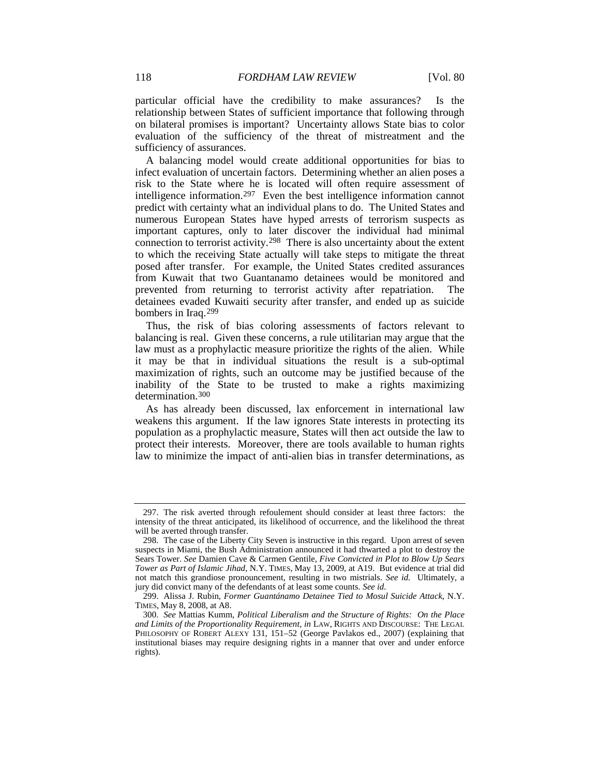particular official have the credibility to make assurances? Is the relationship between States of sufficient importance that following through on bilateral promises is important? Uncertainty allows State bias to color evaluation of the sufficiency of the threat of mistreatment and the sufficiency of assurances.

A balancing model would create additional opportunities for bias to infect evaluation of uncertain factors. Determining whether an alien poses a risk to the State where he is located will often require assessment of intelligence information[.297](#page-46-0) Even the best intelligence information cannot predict with certainty what an individual plans to do. The United States and numerous European States have hyped arrests of terrorism suspects as important captures, only to later discover the individual had minimal connection to terrorist activity[.298](#page-46-1) There is also uncertainty about the extent to which the receiving State actually will take steps to mitigate the threat posed after transfer. For example, the United States credited assurances from Kuwait that two Guantanamo detainees would be monitored and prevented from returning to terrorist activity after repatriation. The detainees evaded Kuwaiti security after transfer, and ended up as suicide bombers in Iraq.[299](#page-46-2)

Thus, the risk of bias coloring assessments of factors relevant to balancing is real. Given these concerns, a rule utilitarian may argue that the law must as a prophylactic measure prioritize the rights of the alien. While it may be that in individual situations the result is a sub-optimal maximization of rights, such an outcome may be justified because of the inability of the State to be trusted to make a rights maximizing determination.<sup>[300](#page-46-3)</sup>

<span id="page-46-4"></span>As has already been discussed, lax enforcement in international law weakens this argument. If the law ignores State interests in protecting its population as a prophylactic measure, States will then act outside the law to protect their interests. Moreover, there are tools available to human rights law to minimize the impact of anti-alien bias in transfer determinations, as

<span id="page-46-0"></span><sup>297.</sup> The risk averted through refoulement should consider at least three factors: the intensity of the threat anticipated, its likelihood of occurrence, and the likelihood the threat will be averted through transfer.

<span id="page-46-1"></span><sup>298.</sup> The case of the Liberty City Seven is instructive in this regard. Upon arrest of seven suspects in Miami, the Bush Administration announced it had thwarted a plot to destroy the Sears Tower. *See* Damien Cave & Carmen Gentile, *Five Convicted in Plot to Blow Up Sears Tower as Part of Islamic Jihad*, N.Y. TIMES, May 13, 2009, at A19. But evidence at trial did not match this grandiose pronouncement, resulting in two mistrials. *See id.* Ultimately, a jury did convict many of the defendants of at least some counts. *See id.*

<span id="page-46-2"></span><sup>299.</sup> Alissa J. Rubin, *Former Guantánamo Detainee Tied to Mosul Suicide Attack*, N.Y. TIMES, May 8, 2008, at A8.

<span id="page-46-3"></span><sup>300</sup>*. See* Mattias Kumm, *Political Liberalism and the Structure of Rights: On the Place and Limits of the Proportionality Requirement*, *in* LAW, RIGHTS AND DISCOURSE: THE LEGAL PHILOSOPHY OF ROBERT ALEXY 131, 151–52 (George Pavlakos ed., 2007) (explaining that institutional biases may require designing rights in a manner that over and under enforce rights).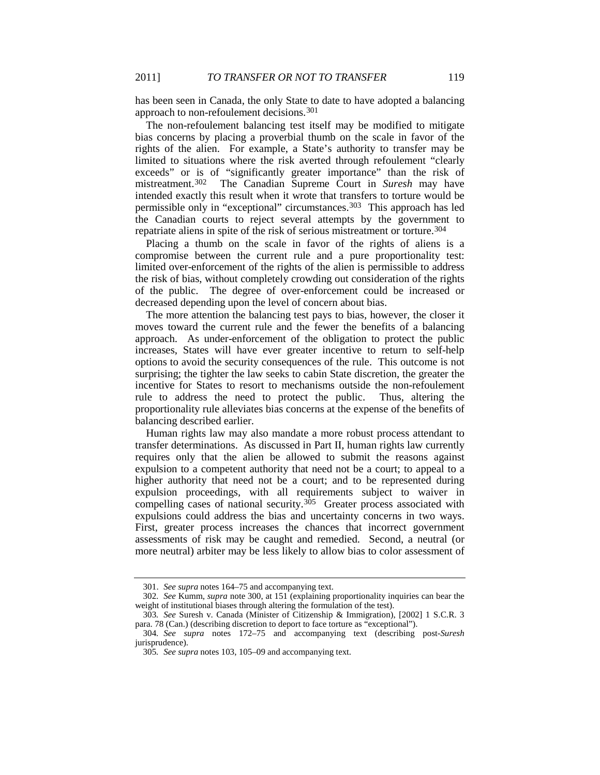has been seen in Canada, the only State to date to have adopted a balancing approach to non-refoulement decisions.[301](#page-47-0)

The non-refoulement balancing test itself may be modified to mitigate bias concerns by placing a proverbial thumb on the scale in favor of the rights of the alien. For example, a State's authority to transfer may be limited to situations where the risk averted through refoulement "clearly exceeds" or is of "significantly greater importance" than the risk of mistreatment.[302](#page-47-1) The Canadian Supreme Court in *Suresh* may have intended exactly this result when it wrote that transfers to torture would be permissible only in "exceptional" circumstances.[303](#page-47-2) This approach has led the Canadian courts to reject several attempts by the government to repatriate aliens in spite of the risk of serious mistreatment or torture[.304](#page-47-3)

Placing a thumb on the scale in favor of the rights of aliens is a compromise between the current rule and a pure proportionality test: limited over-enforcement of the rights of the alien is permissible to address the risk of bias, without completely crowding out consideration of the rights of the public. The degree of over-enforcement could be increased or decreased depending upon the level of concern about bias.

The more attention the balancing test pays to bias, however, the closer it moves toward the current rule and the fewer the benefits of a balancing approach. As under-enforcement of the obligation to protect the public increases, States will have ever greater incentive to return to self-help options to avoid the security consequences of the rule. This outcome is not surprising; the tighter the law seeks to cabin State discretion, the greater the incentive for States to resort to mechanisms outside the non-refoulement rule to address the need to protect the public. Thus, altering the proportionality rule alleviates bias concerns at the expense of the benefits of balancing described earlier.

Human rights law may also mandate a more robust process attendant to transfer determinations. As discussed in Part II, human rights law currently requires only that the alien be allowed to submit the reasons against expulsion to a competent authority that need not be a court; to appeal to a higher authority that need not be a court; and to be represented during expulsion proceedings, with all requirements subject to waiver in compelling cases of national security.<sup>[305](#page-47-4)</sup> Greater process associated with expulsions could address the bias and uncertainty concerns in two ways. First, greater process increases the chances that incorrect government assessments of risk may be caught and remedied. Second, a neutral (or more neutral) arbiter may be less likely to allow bias to color assessment of

<sup>301.</sup> *See supra* notes [164–](#page-25-9)75 and accompanying text.

<span id="page-47-1"></span><span id="page-47-0"></span><sup>302</sup>*. See* Kumm, *supra* note [300,](#page-46-4) at 151 (explaining proportionality inquiries can bear the weight of institutional biases through altering the formulation of the test).

<span id="page-47-2"></span><sup>303</sup>*. See* Suresh v. Canada (Minister of Citizenship & Immigration), [2002] 1 S.C.R. 3 para. 78 (Can.) (describing discretion to deport to face torture as "exceptional").

<span id="page-47-4"></span><span id="page-47-3"></span><sup>304</sup>*. See supra* notes [172–](#page-26-10)75 and accompanying text (describing post-*Suresh* jurisprudence).

<sup>305</sup>*. See supra* note[s 103,](#page-17-1) [105–](#page-17-13)09 and accompanying text.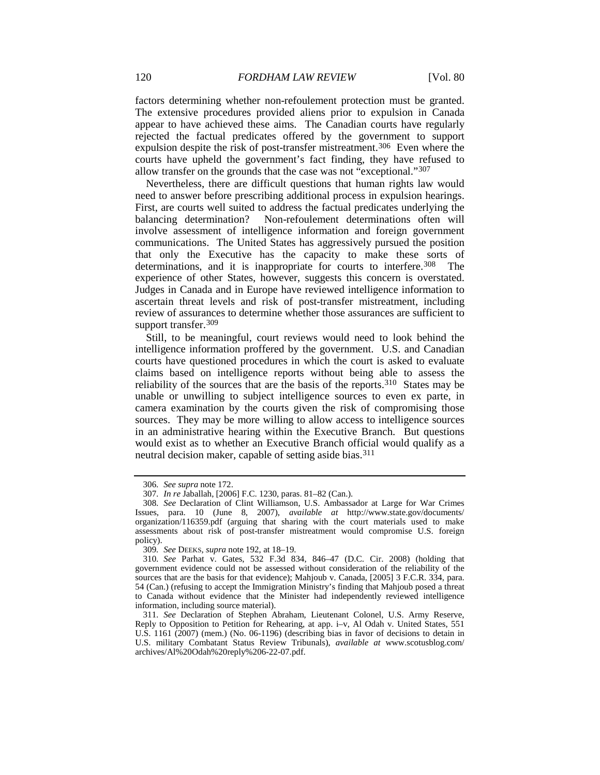factors determining whether non-refoulement protection must be granted. The extensive procedures provided aliens prior to expulsion in Canada appear to have achieved these aims. The Canadian courts have regularly rejected the factual predicates offered by the government to support expulsion despite the risk of post-transfer mistreatment.<sup>306</sup> Even where the courts have upheld the government's fact finding, they have refused to allow transfer on the grounds that the case was not "exceptional."[307](#page-48-1)

Nevertheless, there are difficult questions that human rights law would need to answer before prescribing additional process in expulsion hearings. First, are courts well suited to address the factual predicates underlying the balancing determination? Non-refoulement determinations often will involve assessment of intelligence information and foreign government communications. The United States has aggressively pursued the position that only the Executive has the capacity to make these sorts of determinations, and it is inappropriate for courts to interfere.<sup>308</sup> The experience of other States, however, suggests this concern is overstated. Judges in Canada and in Europe have reviewed intelligence information to ascertain threat levels and risk of post-transfer mistreatment, including review of assurances to determine whether those assurances are sufficient to support transfer.<sup>[309](#page-48-3)</sup>

Still, to be meaningful, court reviews would need to look behind the intelligence information proffered by the government. U.S. and Canadian courts have questioned procedures in which the court is asked to evaluate claims based on intelligence reports without being able to assess the reliability of the sources that are the basis of the reports.[310](#page-48-4) States may be unable or unwilling to subject intelligence sources to even ex parte, in camera examination by the courts given the risk of compromising those sources. They may be more willing to allow access to intelligence sources in an administrative hearing within the Executive Branch. But questions would exist as to whether an Executive Branch official would qualify as a neutral decision maker, capable of setting aside bias.<sup>311</sup>

<sup>306</sup>*. See supra* not[e 172.](#page-26-10)

<sup>307</sup>*. In re* Jaballah, [2006] F.C. 1230, paras. 81–82 (Can.).

<span id="page-48-2"></span><span id="page-48-1"></span><span id="page-48-0"></span><sup>308</sup>*. See* Declaration of Clint Williamson, U.S. Ambassador at Large for War Crimes Issues, para. 10 (June 8, 2007), *available at* http://www.state.gov/documents/ organization/116359.pdf (arguing that sharing with the court materials used to make assessments about risk of post-transfer mistreatment would compromise U.S. foreign policy).

<sup>309</sup>*. See* DEEKS*, supra* not[e 192,](#page-28-9) at 18–19.

<span id="page-48-4"></span><span id="page-48-3"></span><sup>310</sup>*. See* Parhat v. Gates, 532 F.3d 834, 846–47 (D.C. Cir. 2008) (holding that government evidence could not be assessed without consideration of the reliability of the sources that are the basis for that evidence); Mahjoub v. Canada, [2005] 3 F.C.R. 334, para. 54 (Can.) (refusing to accept the Immigration Ministry's finding that Mahjoub posed a threat to Canada without evidence that the Minister had independently reviewed intelligence information, including source material).

<span id="page-48-5"></span><sup>311</sup>*. See* Declaration of Stephen Abraham, Lieutenant Colonel, U.S. Army Reserve, Reply to Opposition to Petition for Rehearing, at app. i–v, Al Odah v. United States, 551 U.S. 1161 (2007) (mem.) (No. 06-1196) (describing bias in favor of decisions to detain in U.S. military Combatant Status Review Tribunals), *available at* www.scotusblog.com/ archives/Al%20Odah%20reply%206-22-07.pdf.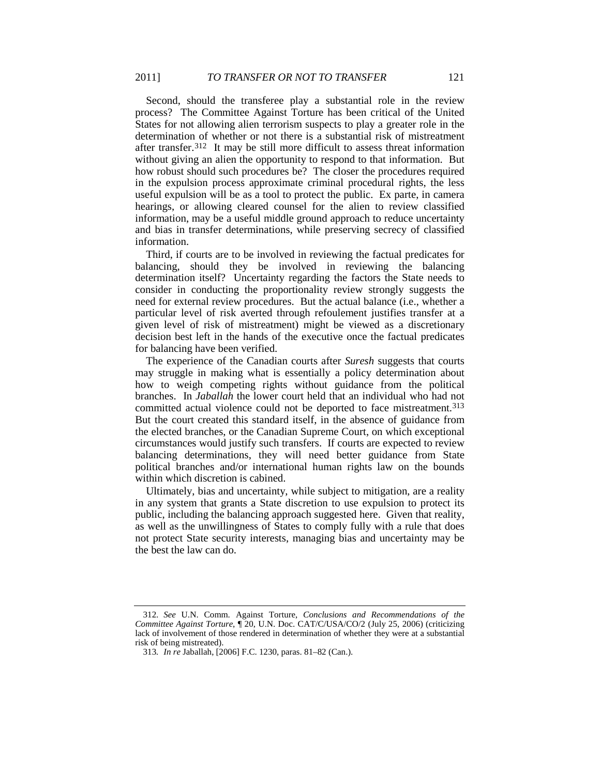Second, should the transferee play a substantial role in the review process? The Committee Against Torture has been critical of the United States for not allowing alien terrorism suspects to play a greater role in the determination of whether or not there is a substantial risk of mistreatment after transfer.[312](#page-49-0) It may be still more difficult to assess threat information without giving an alien the opportunity to respond to that information. But how robust should such procedures be? The closer the procedures required in the expulsion process approximate criminal procedural rights, the less useful expulsion will be as a tool to protect the public. Ex parte, in camera hearings, or allowing cleared counsel for the alien to review classified information, may be a useful middle ground approach to reduce uncertainty and bias in transfer determinations, while preserving secrecy of classified information.

Third, if courts are to be involved in reviewing the factual predicates for balancing, should they be involved in reviewing the balancing determination itself? Uncertainty regarding the factors the State needs to consider in conducting the proportionality review strongly suggests the need for external review procedures. But the actual balance (i.e., whether a particular level of risk averted through refoulement justifies transfer at a given level of risk of mistreatment) might be viewed as a discretionary decision best left in the hands of the executive once the factual predicates for balancing have been verified.

The experience of the Canadian courts after *Suresh* suggests that courts may struggle in making what is essentially a policy determination about how to weigh competing rights without guidance from the political branches. In *Jaballah* the lower court held that an individual who had not committed actual violence could not be deported to face mistreatment.<sup>[313](#page-49-1)</sup> But the court created this standard itself, in the absence of guidance from the elected branches, or the Canadian Supreme Court, on which exceptional circumstances would justify such transfers. If courts are expected to review balancing determinations, they will need better guidance from State political branches and/or international human rights law on the bounds within which discretion is cabined.

Ultimately, bias and uncertainty, while subject to mitigation, are a reality in any system that grants a State discretion to use expulsion to protect its public, including the balancing approach suggested here. Given that reality, as well as the unwillingness of States to comply fully with a rule that does not protect State security interests, managing bias and uncertainty may be the best the law can do.

<span id="page-49-1"></span><span id="page-49-0"></span><sup>312</sup>*. See* U.N. Comm. Against Torture, *Conclusions and Recommendations of the Committee Against Torture*, ¶ 20, U.N. Doc. CAT/C/USA/CO/2 (July 25, 2006) (criticizing lack of involvement of those rendered in determination of whether they were at a substantial risk of being mistreated).

<sup>313</sup>*. In re* Jaballah, [2006] F.C. 1230, paras. 81–82 (Can.).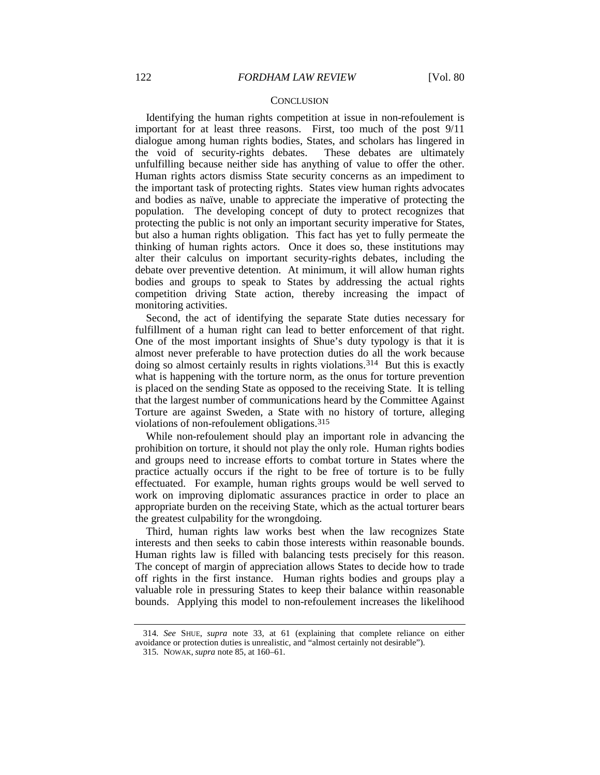#### **CONCLUSION**

Identifying the human rights competition at issue in non-refoulement is important for at least three reasons. First, too much of the post 9/11 dialogue among human rights bodies, States, and scholars has lingered in the void of security-rights debates. These debates are ultimately unfulfilling because neither side has anything of value to offer the other. Human rights actors dismiss State security concerns as an impediment to the important task of protecting rights. States view human rights advocates and bodies as naïve, unable to appreciate the imperative of protecting the population. The developing concept of duty to protect recognizes that protecting the public is not only an important security imperative for States, but also a human rights obligation. This fact has yet to fully permeate the thinking of human rights actors. Once it does so, these institutions may alter their calculus on important security-rights debates, including the debate over preventive detention. At minimum, it will allow human rights bodies and groups to speak to States by addressing the actual rights competition driving State action, thereby increasing the impact of monitoring activities.

Second, the act of identifying the separate State duties necessary for fulfillment of a human right can lead to better enforcement of that right. One of the most important insights of Shue's duty typology is that it is almost never preferable to have protection duties do all the work because doing so almost certainly results in rights violations.[314](#page-50-0) But this is exactly what is happening with the torture norm, as the onus for torture prevention is placed on the sending State as opposed to the receiving State. It is telling that the largest number of communications heard by the Committee Against Torture are against Sweden, a State with no history of torture, alleging violations of non-refoulement obligations.[315](#page-50-1)

While non-refoulement should play an important role in advancing the prohibition on torture, it should not play the only role. Human rights bodies and groups need to increase efforts to combat torture in States where the practice actually occurs if the right to be free of torture is to be fully effectuated. For example, human rights groups would be well served to work on improving diplomatic assurances practice in order to place an appropriate burden on the receiving State, which as the actual torturer bears the greatest culpability for the wrongdoing.

Third, human rights law works best when the law recognizes State interests and then seeks to cabin those interests within reasonable bounds. Human rights law is filled with balancing tests precisely for this reason. The concept of margin of appreciation allows States to decide how to trade off rights in the first instance. Human rights bodies and groups play a valuable role in pressuring States to keep their balance within reasonable bounds. Applying this model to non-refoulement increases the likelihood

<span id="page-50-1"></span><span id="page-50-0"></span><sup>314</sup>*. See* SHUE, *supra* note [33,](#page-6-7) at 61 (explaining that complete reliance on either avoidance or protection duties is unrealistic, and "almost certainly not desirable").

<sup>315.</sup> NOWAK, *supra* note [85,](#page-15-5) at 160–61.